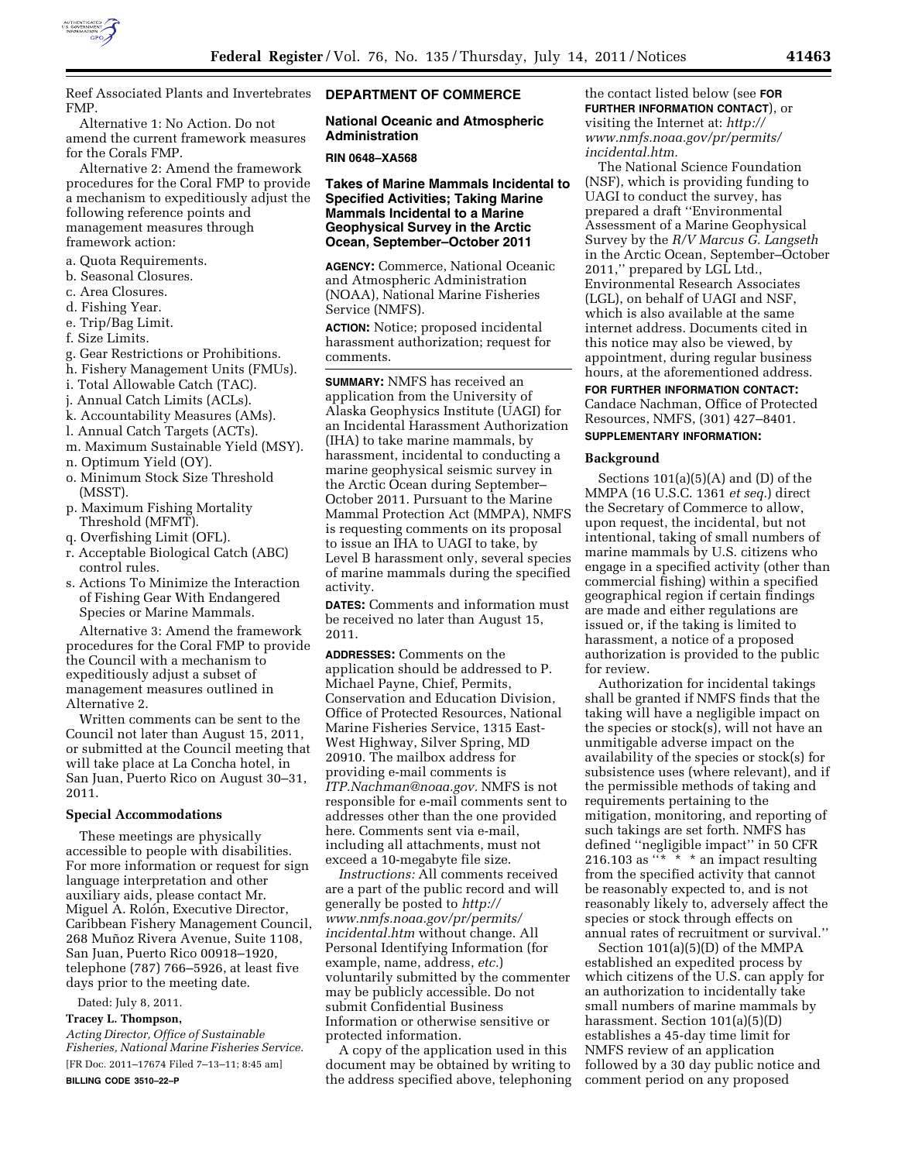

Reef Associated Plants and Invertebrates FMP.

Alternative 1: No Action. Do not amend the current framework measures for the Corals FMP.

Alternative 2: Amend the framework procedures for the Coral FMP to provide a mechanism to expeditiously adjust the following reference points and management measures through framework action:

- a. Quota Requirements.
- b. Seasonal Closures.
- c. Area Closures.
- d. Fishing Year.
- e. Trip/Bag Limit.
- f. Size Limits.
- g. Gear Restrictions or Prohibitions.
- h. Fishery Management Units (FMUs).
- i. Total Allowable Catch (TAC).
- j. Annual Catch Limits (ACLs).
- k. Accountability Measures (AMs).
- l. Annual Catch Targets (ACTs).
- m. Maximum Sustainable Yield (MSY).
- n. Optimum Yield (OY).
- o. Minimum Stock Size Threshold (MSST).
- p. Maximum Fishing Mortality Threshold (MFMT).
- q. Overfishing Limit (OFL).
- r. Acceptable Biological Catch (ABC) control rules.
- s. Actions To Minimize the Interaction of Fishing Gear With Endangered Species or Marine Mammals.

Alternative 3: Amend the framework procedures for the Coral FMP to provide the Council with a mechanism to expeditiously adjust a subset of management measures outlined in Alternative 2.

Written comments can be sent to the Council not later than August 15, 2011, or submitted at the Council meeting that will take place at La Concha hotel, in San Juan, Puerto Rico on August 30–31, 2011.

## **Special Accommodations**

These meetings are physically accessible to people with disabilities. For more information or request for sign language interpretation and other auxiliary aids, please contact Mr. Miguel A. Rolón, Executive Director, Caribbean Fishery Management Council, 268 Muñoz Rivera Avenue, Suite 1108, San Juan, Puerto Rico 00918–1920, telephone (787) 766–5926, at least five days prior to the meeting date.

Dated: July 8, 2011.

# **Tracey L. Thompson,**

*Acting Director, Office of Sustainable Fisheries, National Marine Fisheries Service.*  [FR Doc. 2011–17674 Filed 7–13–11; 8:45 am] **BILLING CODE 3510–22–P** 

# **DEPARTMENT OF COMMERCE**

# **National Oceanic and Atmospheric Administration**

#### **RIN 0648–XA568**

# **Takes of Marine Mammals Incidental to Specified Activities; Taking Marine Mammals Incidental to a Marine Geophysical Survey in the Arctic Ocean, September–October 2011**

**AGENCY:** Commerce, National Oceanic and Atmospheric Administration (NOAA), National Marine Fisheries Service (NMFS).

**ACTION:** Notice; proposed incidental harassment authorization; request for comments.

**SUMMARY:** NMFS has received an application from the University of Alaska Geophysics Institute (UAGI) for an Incidental Harassment Authorization (IHA) to take marine mammals, by harassment, incidental to conducting a marine geophysical seismic survey in the Arctic Ocean during September– October 2011. Pursuant to the Marine Mammal Protection Act (MMPA), NMFS is requesting comments on its proposal to issue an IHA to UAGI to take, by Level B harassment only, several species of marine mammals during the specified activity.

**DATES:** Comments and information must be received no later than August 15, 2011.

**ADDRESSES:** Comments on the application should be addressed to P. Michael Payne, Chief, Permits, Conservation and Education Division, Office of Protected Resources, National Marine Fisheries Service, 1315 East-West Highway, Silver Spring, MD 20910. The mailbox address for providing e-mail comments is *[ITP.Nachman@noaa.gov.](mailto:ITP.Nachman@noaa.gov)* NMFS is not responsible for e-mail comments sent to addresses other than the one provided here. Comments sent via e-mail, including all attachments, must not exceed a 10-megabyte file size.

*Instructions:* All comments received are a part of the public record and will generally be posted to *[http://](http://www.nmfs.noaa.gov/pr/permits/incidental.htm) [www.nmfs.noaa.gov/pr/permits/](http://www.nmfs.noaa.gov/pr/permits/incidental.htm) [incidental.htm](http://www.nmfs.noaa.gov/pr/permits/incidental.htm)* without change. All Personal Identifying Information (for example, name, address, *etc.*) voluntarily submitted by the commenter may be publicly accessible. Do not submit Confidential Business Information or otherwise sensitive or protected information.

A copy of the application used in this document may be obtained by writing to the address specified above, telephoning the contact listed below (see **FOR FURTHER INFORMATION CONTACT**), or visiting the Internet at: *[http://](http://www.nmfs.noaa.gov/pr/permits/incidental.htm)  [www.nmfs.noaa.gov/pr/permits/](http://www.nmfs.noaa.gov/pr/permits/incidental.htm) [incidental.htm.](http://www.nmfs.noaa.gov/pr/permits/incidental.htm)* 

The National Science Foundation (NSF), which is providing funding to UAGI to conduct the survey, has prepared a draft ''Environmental Assessment of a Marine Geophysical Survey by the *R/V Marcus G. Langseth*  in the Arctic Ocean, September–October 2011,'' prepared by LGL Ltd., Environmental Research Associates (LGL), on behalf of UAGI and NSF, which is also available at the same internet address. Documents cited in this notice may also be viewed, by appointment, during regular business hours, at the aforementioned address.

## **FOR FURTHER INFORMATION CONTACT:**  Candace Nachman, Office of Protected Resources, NMFS, (301) 427–8401.

#### **SUPPLEMENTARY INFORMATION:**

### **Background**

Sections  $101(a)(5)(A)$  and  $(D)$  of the MMPA (16 U.S.C. 1361 *et seq.*) direct the Secretary of Commerce to allow, upon request, the incidental, but not intentional, taking of small numbers of marine mammals by U.S. citizens who engage in a specified activity (other than commercial fishing) within a specified geographical region if certain findings are made and either regulations are issued or, if the taking is limited to harassment, a notice of a proposed authorization is provided to the public for review.

Authorization for incidental takings shall be granted if NMFS finds that the taking will have a negligible impact on the species or stock(s), will not have an unmitigable adverse impact on the availability of the species or stock(s) for subsistence uses (where relevant), and if the permissible methods of taking and requirements pertaining to the mitigation, monitoring, and reporting of such takings are set forth. NMFS has defined ''negligible impact'' in 50 CFR 216.103 as "\* \* \* an impact resulting from the specified activity that cannot be reasonably expected to, and is not reasonably likely to, adversely affect the species or stock through effects on annual rates of recruitment or survival.''

Section 101(a)(5)(D) of the MMPA established an expedited process by which citizens of the U.S. can apply for an authorization to incidentally take small numbers of marine mammals by harassment. Section 101(a)(5)(D) establishes a 45-day time limit for NMFS review of an application followed by a 30 day public notice and comment period on any proposed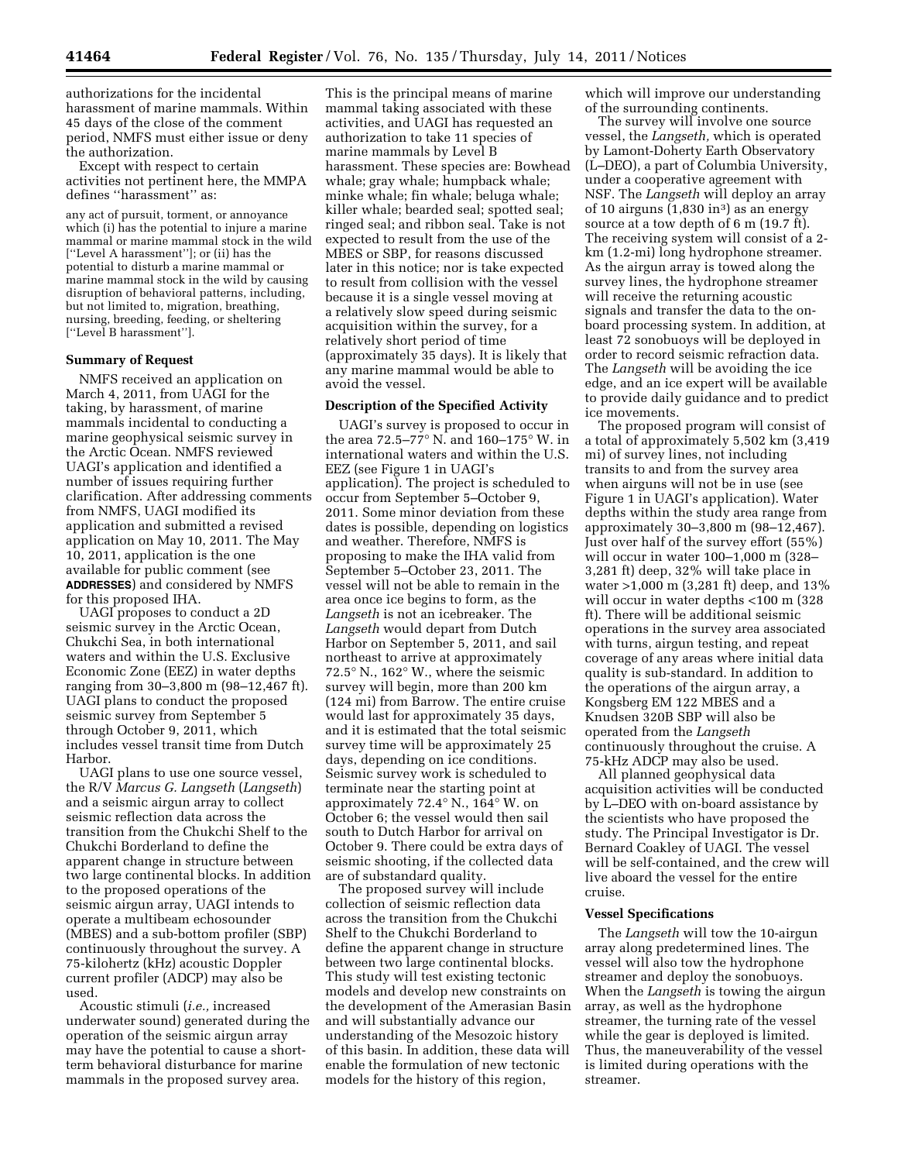authorizations for the incidental harassment of marine mammals. Within 45 days of the close of the comment period, NMFS must either issue or deny the authorization.

Except with respect to certain activities not pertinent here, the MMPA defines ''harassment'' as:

any act of pursuit, torment, or annoyance which (i) has the potential to injure a marine mammal or marine mammal stock in the wild [''Level A harassment'']; or (ii) has the potential to disturb a marine mammal or marine mammal stock in the wild by causing disruption of behavioral patterns, including, but not limited to, migration, breathing, nursing, breeding, feeding, or sheltering [''Level B harassment''].

## **Summary of Request**

NMFS received an application on March 4, 2011, from UAGI for the taking, by harassment, of marine mammals incidental to conducting a marine geophysical seismic survey in the Arctic Ocean. NMFS reviewed UAGI's application and identified a number of issues requiring further clarification. After addressing comments from NMFS, UAGI modified its application and submitted a revised application on May 10, 2011. The May 10, 2011, application is the one available for public comment (see **ADDRESSES**) and considered by NMFS for this proposed IHA.

UAGI proposes to conduct a 2D seismic survey in the Arctic Ocean, Chukchi Sea, in both international waters and within the U.S. Exclusive Economic Zone (EEZ) in water depths ranging from 30–3,800 m (98–12,467 ft). UAGI plans to conduct the proposed seismic survey from September 5 through October 9, 2011, which includes vessel transit time from Dutch Harbor.

UAGI plans to use one source vessel, the R/V *Marcus G. Langseth* (*Langseth*) and a seismic airgun array to collect seismic reflection data across the transition from the Chukchi Shelf to the Chukchi Borderland to define the apparent change in structure between two large continental blocks. In addition to the proposed operations of the seismic airgun array, UAGI intends to operate a multibeam echosounder (MBES) and a sub-bottom profiler (SBP) continuously throughout the survey. A 75-kilohertz (kHz) acoustic Doppler current profiler (ADCP) may also be used.

Acoustic stimuli (*i.e.,* increased underwater sound) generated during the operation of the seismic airgun array may have the potential to cause a shortterm behavioral disturbance for marine mammals in the proposed survey area.

This is the principal means of marine mammal taking associated with these activities, and UAGI has requested an authorization to take 11 species of marine mammals by Level B harassment. These species are: Bowhead whale; gray whale; humpback whale; minke whale; fin whale; beluga whale; killer whale; bearded seal; spotted seal; ringed seal; and ribbon seal. Take is not expected to result from the use of the MBES or SBP, for reasons discussed later in this notice; nor is take expected to result from collision with the vessel because it is a single vessel moving at a relatively slow speed during seismic acquisition within the survey, for a relatively short period of time (approximately 35 days). It is likely that any marine mammal would be able to avoid the vessel.

## **Description of the Specified Activity**

UAGI's survey is proposed to occur in the area 72.5–77° N. and 160–175° W. in international waters and within the U.S. EEZ (see Figure 1 in UAGI's application). The project is scheduled to occur from September 5–October 9, 2011. Some minor deviation from these dates is possible, depending on logistics and weather. Therefore, NMFS is proposing to make the IHA valid from September 5–October 23, 2011. The vessel will not be able to remain in the area once ice begins to form, as the *Langseth* is not an icebreaker. The *Langseth* would depart from Dutch Harbor on September 5, 2011, and sail northeast to arrive at approximately 72.5° N., 162° W., where the seismic survey will begin, more than 200 km (124 mi) from Barrow. The entire cruise would last for approximately 35 days, and it is estimated that the total seismic survey time will be approximately 25 days, depending on ice conditions. Seismic survey work is scheduled to terminate near the starting point at approximately 72.4° N., 164° W. on October 6; the vessel would then sail south to Dutch Harbor for arrival on October 9. There could be extra days of seismic shooting, if the collected data are of substandard quality.

The proposed survey will include collection of seismic reflection data across the transition from the Chukchi Shelf to the Chukchi Borderland to define the apparent change in structure between two large continental blocks. This study will test existing tectonic models and develop new constraints on the development of the Amerasian Basin and will substantially advance our understanding of the Mesozoic history of this basin. In addition, these data will enable the formulation of new tectonic models for the history of this region,

which will improve our understanding of the surrounding continents.

The survey will involve one source vessel, the *Langseth,* which is operated by Lamont-Doherty Earth Observatory (L–DEO), a part of Columbia University, under a cooperative agreement with NSF. The *Langseth* will deploy an array of 10 airguns  $(1,830 \text{ in}^3)$  as an energy source at a tow depth of 6 m (19.7 ft). The receiving system will consist of a 2 km (1.2-mi) long hydrophone streamer. As the airgun array is towed along the survey lines, the hydrophone streamer will receive the returning acoustic signals and transfer the data to the onboard processing system. In addition, at least 72 sonobuoys will be deployed in order to record seismic refraction data. The *Langseth* will be avoiding the ice edge, and an ice expert will be available to provide daily guidance and to predict ice movements.

The proposed program will consist of a total of approximately 5,502 km (3,419 mi) of survey lines, not including transits to and from the survey area when airguns will not be in use (see Figure 1 in UAGI's application). Water depths within the study area range from approximately 30–3,800 m (98–12,467). Just over half of the survey effort (55%) will occur in water 100–1,000 m (328– 3,281 ft) deep, 32% will take place in water >1,000 m (3,281 ft) deep, and 13% will occur in water depths <100 m (328) ft). There will be additional seismic operations in the survey area associated with turns, airgun testing, and repeat coverage of any areas where initial data quality is sub-standard. In addition to the operations of the airgun array, a Kongsberg EM 122 MBES and a Knudsen 320B SBP will also be operated from the *Langseth*  continuously throughout the cruise. A 75-kHz ADCP may also be used.

All planned geophysical data acquisition activities will be conducted by L–DEO with on-board assistance by the scientists who have proposed the study. The Principal Investigator is Dr. Bernard Coakley of UAGI. The vessel will be self-contained, and the crew will live aboard the vessel for the entire cruise.

### **Vessel Specifications**

The *Langseth* will tow the 10-airgun array along predetermined lines. The vessel will also tow the hydrophone streamer and deploy the sonobuoys. When the *Langseth* is towing the airgun array, as well as the hydrophone streamer, the turning rate of the vessel while the gear is deployed is limited. Thus, the maneuverability of the vessel is limited during operations with the streamer.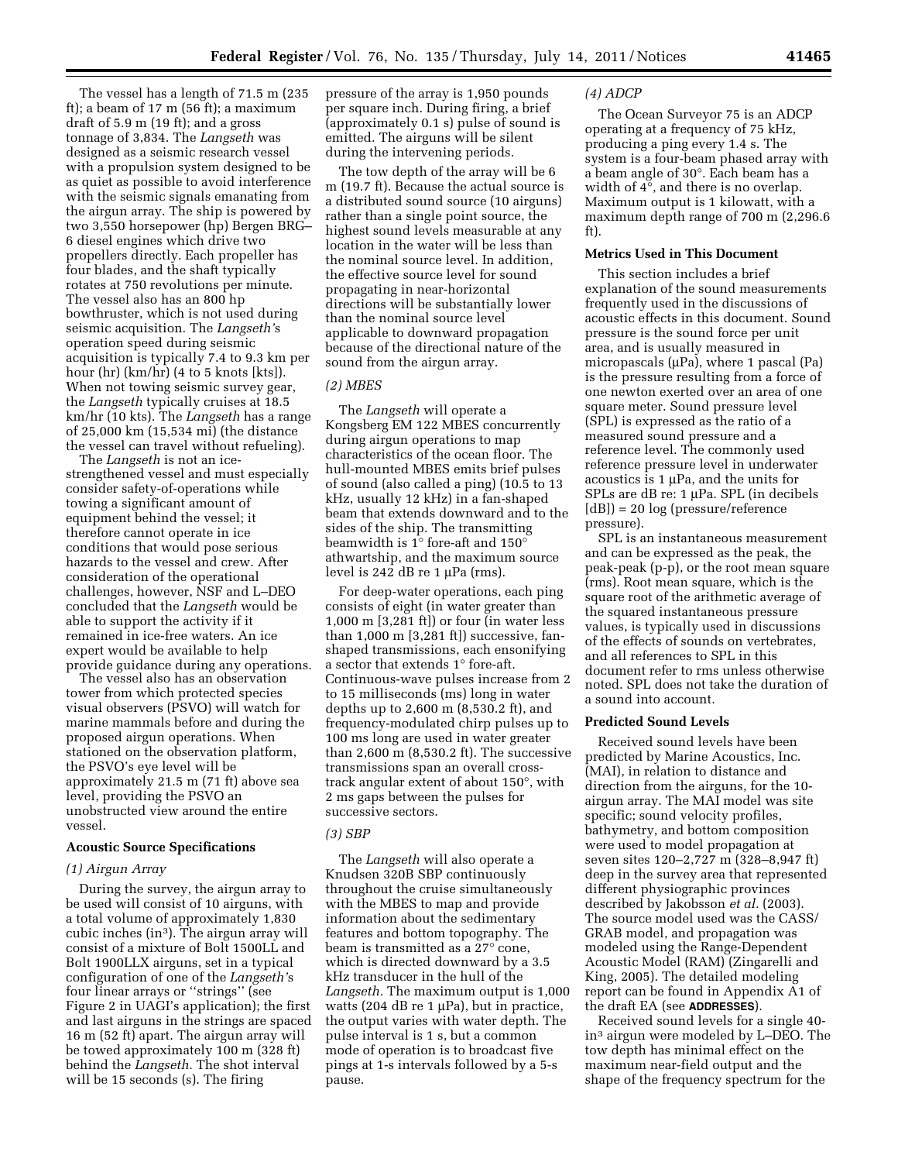The vessel has a length of 71.5 m (235 ft); a beam of 17 m (56 ft); a maximum draft of 5.9 m (19 ft); and a gross tonnage of 3,834. The *Langseth* was designed as a seismic research vessel with a propulsion system designed to be as quiet as possible to avoid interference with the seismic signals emanating from the airgun array. The ship is powered by two 3,550 horsepower (hp) Bergen BRG– 6 diesel engines which drive two propellers directly. Each propeller has four blades, and the shaft typically rotates at 750 revolutions per minute. The vessel also has an 800 hp bowthruster, which is not used during seismic acquisition. The *Langseth'*s operation speed during seismic acquisition is typically 7.4 to 9.3 km per hour (hr) (km/hr) (4 to 5 knots [kts]). When not towing seismic survey gear, the *Langseth* typically cruises at 18.5 km/hr (10 kts). The *Langseth* has a range of 25,000 km (15,534 mi) (the distance the vessel can travel without refueling).

The *Langseth* is not an icestrengthened vessel and must especially consider safety-of-operations while towing a significant amount of equipment behind the vessel; it therefore cannot operate in ice conditions that would pose serious hazards to the vessel and crew. After consideration of the operational challenges, however, NSF and L–DEO concluded that the *Langseth* would be able to support the activity if it remained in ice-free waters. An ice expert would be available to help provide guidance during any operations.

The vessel also has an observation tower from which protected species visual observers (PSVO) will watch for marine mammals before and during the proposed airgun operations. When stationed on the observation platform, the PSVO's eye level will be approximately 21.5 m (71 ft) above sea level, providing the PSVO an unobstructed view around the entire vessel.

### **Acoustic Source Specifications**

#### *(1) Airgun Array*

During the survey, the airgun array to be used will consist of 10 airguns, with a total volume of approximately 1,830 cubic inches (in3). The airgun array will consist of a mixture of Bolt 1500LL and Bolt 1900LLX airguns, set in a typical configuration of one of the *Langseth'*s four linear arrays or ''strings'' (see Figure 2 in UAGI's application); the first and last airguns in the strings are spaced 16 m (52 ft) apart. The airgun array will be towed approximately 100 m (328 ft) behind the *Langseth.* The shot interval will be 15 seconds (s). The firing

pressure of the array is 1,950 pounds per square inch. During firing, a brief (approximately 0.1 s) pulse of sound is emitted. The airguns will be silent during the intervening periods.

The tow depth of the array will be 6 m (19.7 ft). Because the actual source is a distributed sound source (10 airguns) rather than a single point source, the highest sound levels measurable at any location in the water will be less than the nominal source level. In addition, the effective source level for sound propagating in near-horizontal directions will be substantially lower than the nominal source level applicable to downward propagation because of the directional nature of the sound from the airgun array.

## *(2) MBES*

The *Langseth* will operate a Kongsberg EM 122 MBES concurrently during airgun operations to map characteristics of the ocean floor. The hull-mounted MBES emits brief pulses of sound (also called a ping) (10.5 to 13 kHz, usually 12 kHz) in a fan-shaped beam that extends downward and to the sides of the ship. The transmitting beamwidth is 1° fore-aft and 150° athwartship, and the maximum source level is 242 dB re 1 μPa (rms).

For deep-water operations, each ping consists of eight (in water greater than 1,000 m [3,281 ft]) or four (in water less than 1,000 m [3,281 ft]) successive, fanshaped transmissions, each ensonifying a sector that extends 1° fore-aft. Continuous-wave pulses increase from 2 to 15 milliseconds (ms) long in water depths up to 2,600 m (8,530.2 ft), and frequency-modulated chirp pulses up to 100 ms long are used in water greater than 2,600 m (8,530.2 ft). The successive transmissions span an overall crosstrack angular extent of about 150°, with 2 ms gaps between the pulses for successive sectors.

#### *(3) SBP*

The *Langseth* will also operate a Knudsen 320B SBP continuously throughout the cruise simultaneously with the MBES to map and provide information about the sedimentary features and bottom topography. The beam is transmitted as a 27° cone, which is directed downward by a 3.5 kHz transducer in the hull of the *Langseth.* The maximum output is 1,000 watts (204 dB re 1  $\mu$ Pa), but in practice, the output varies with water depth. The pulse interval is 1 s, but a common mode of operation is to broadcast five pings at 1-s intervals followed by a 5-s pause.

#### *(4) ADCP*

The Ocean Surveyor 75 is an ADCP operating at a frequency of 75 kHz, producing a ping every 1.4 s. The system is a four-beam phased array with a beam angle of 30°. Each beam has a width of 4°, and there is no overlap. Maximum output is 1 kilowatt, with a maximum depth range of 700 m (2,296.6 ft).

## **Metrics Used in This Document**

This section includes a brief explanation of the sound measurements frequently used in the discussions of acoustic effects in this document. Sound pressure is the sound force per unit area, and is usually measured in micropascals (μPa), where 1 pascal (Pa) is the pressure resulting from a force of one newton exerted over an area of one square meter. Sound pressure level (SPL) is expressed as the ratio of a measured sound pressure and a reference level. The commonly used reference pressure level in underwater acoustics is 1 μPa, and the units for SPLs are dB re: 1 μPa. SPL (in decibels  $[dB]$  = 20 log (pressure/reference pressure).

SPL is an instantaneous measurement and can be expressed as the peak, the peak-peak (p-p), or the root mean square (rms). Root mean square, which is the square root of the arithmetic average of the squared instantaneous pressure values, is typically used in discussions of the effects of sounds on vertebrates, and all references to SPL in this document refer to rms unless otherwise noted. SPL does not take the duration of a sound into account.

### **Predicted Sound Levels**

Received sound levels have been predicted by Marine Acoustics, Inc. (MAI), in relation to distance and direction from the airguns, for the 10 airgun array. The MAI model was site specific; sound velocity profiles, bathymetry, and bottom composition were used to model propagation at seven sites 120–2,727 m (328–8,947 ft) deep in the survey area that represented different physiographic provinces described by Jakobsson *et al.* (2003). The source model used was the CASS/ GRAB model, and propagation was modeled using the Range-Dependent Acoustic Model (RAM) (Zingarelli and King, 2005). The detailed modeling report can be found in Appendix A1 of the draft EA (see **ADDRESSES**).

Received sound levels for a single 40 in3 airgun were modeled by L–DEO. The tow depth has minimal effect on the maximum near-field output and the shape of the frequency spectrum for the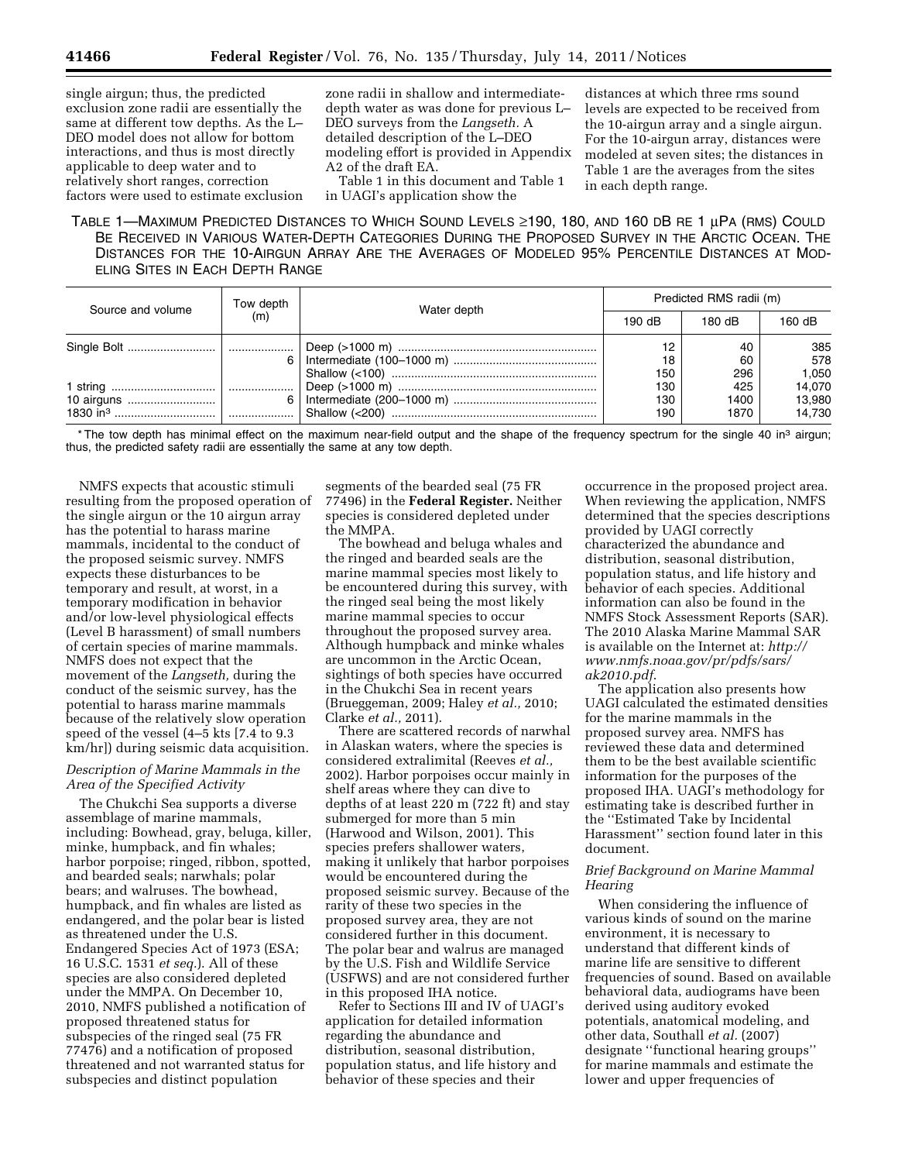single airgun; thus, the predicted exclusion zone radii are essentially the same at different tow depths. As the L– DEO model does not allow for bottom interactions, and thus is most directly applicable to deep water and to relatively short ranges, correction factors were used to estimate exclusion zone radii in shallow and intermediatedepth water as was done for previous L– DEO surveys from the *Langseth.* A detailed description of the L–DEO modeling effort is provided in Appendix A2 of the draft EA.

Table 1 in this document and Table 1 in UAGI's application show the

distances at which three rms sound levels are expected to be received from the 10-airgun array and a single airgun. For the 10-airgun array, distances were modeled at seven sites; the distances in Table 1 are the averages from the sites in each depth range.

TABLE 1—MAXIMUM PREDICTED DISTANCES TO WHICH SOUND LEVELS ≥190, 180, AND 160 DB RE 1 μPA (RMS) COULD BE RECEIVED IN VARIOUS WATER-DEPTH CATEGORIES DURING THE PROPOSED SURVEY IN THE ARCTIC OCEAN. THE DISTANCES FOR THE 10-AIRGUN ARRAY ARE THE AVERAGES OF MODELED 95% PERCENTILE DISTANCES AT MOD-ELING SITES IN EACH DEPTH RANGE

| Source and volume | Tow depth<br>(m) | Water depth | Predicted RMS radii (m) |        |        |
|-------------------|------------------|-------------|-------------------------|--------|--------|
|                   |                  |             | 190 dB                  | 180 dB | 160 dB |
|                   |                  |             |                         | 40     | 385    |
|                   | 6 I              |             | 18                      | 60     | 578    |
|                   |                  |             | 150                     | 296    | 1,050  |
|                   |                  |             | 130                     | 425    | 14,070 |
| 10 airguns        | 6 I              |             | 130                     | 1400   | 13,980 |
|                   |                  |             | 190                     | 1870   | 14.730 |

\* The tow depth has minimal effect on the maximum near-field output and the shape of the frequency spectrum for the single 40 in<sup>3</sup> airgun; thus, the predicted safety radii are essentially the same at any tow depth.

NMFS expects that acoustic stimuli resulting from the proposed operation of the single airgun or the 10 airgun array has the potential to harass marine mammals, incidental to the conduct of the proposed seismic survey. NMFS expects these disturbances to be temporary and result, at worst, in a temporary modification in behavior and/or low-level physiological effects (Level B harassment) of small numbers of certain species of marine mammals. NMFS does not expect that the movement of the *Langseth,* during the conduct of the seismic survey, has the potential to harass marine mammals because of the relatively slow operation speed of the vessel (4–5 kts [7.4 to 9.3 km/hr]) during seismic data acquisition.

## *Description of Marine Mammals in the Area of the Specified Activity*

The Chukchi Sea supports a diverse assemblage of marine mammals, including: Bowhead, gray, beluga, killer, minke, humpback, and fin whales; harbor porpoise; ringed, ribbon, spotted, and bearded seals; narwhals; polar bears; and walruses. The bowhead, humpback, and fin whales are listed as endangered, and the polar bear is listed as threatened under the U.S. Endangered Species Act of 1973 (ESA; 16 U.S.C. 1531 *et seq.*). All of these species are also considered depleted under the MMPA. On December 10, 2010, NMFS published a notification of proposed threatened status for subspecies of the ringed seal (75 FR 77476) and a notification of proposed threatened and not warranted status for subspecies and distinct population

segments of the bearded seal (75 FR 77496) in the **Federal Register.** Neither species is considered depleted under the MMPA.

The bowhead and beluga whales and the ringed and bearded seals are the marine mammal species most likely to be encountered during this survey, with the ringed seal being the most likely marine mammal species to occur throughout the proposed survey area. Although humpback and minke whales are uncommon in the Arctic Ocean, sightings of both species have occurred in the Chukchi Sea in recent years (Brueggeman, 2009; Haley *et al.,* 2010; Clarke *et al.,* 2011).

There are scattered records of narwhal in Alaskan waters, where the species is considered extralimital (Reeves *et al.,*  2002). Harbor porpoises occur mainly in shelf areas where they can dive to depths of at least 220 m (722 ft) and stay submerged for more than 5 min (Harwood and Wilson, 2001). This species prefers shallower waters, making it unlikely that harbor porpoises would be encountered during the proposed seismic survey. Because of the rarity of these two species in the proposed survey area, they are not considered further in this document. The polar bear and walrus are managed by the U.S. Fish and Wildlife Service (USFWS) and are not considered further in this proposed IHA notice.

Refer to Sections III and IV of UAGI's application for detailed information regarding the abundance and distribution, seasonal distribution, population status, and life history and behavior of these species and their

occurrence in the proposed project area. When reviewing the application, NMFS determined that the species descriptions provided by UAGI correctly characterized the abundance and distribution, seasonal distribution, population status, and life history and behavior of each species. Additional information can also be found in the NMFS Stock Assessment Reports (SAR). The 2010 Alaska Marine Mammal SAR is available on the Internet at: *[http://](http://www.nmfs.noaa.gov/pr/pdfs/sars/ak2010.pdf) [www.nmfs.noaa.gov/pr/pdfs/sars/](http://www.nmfs.noaa.gov/pr/pdfs/sars/ak2010.pdf)  [ak2010.pdf](http://www.nmfs.noaa.gov/pr/pdfs/sars/ak2010.pdf)*.

The application also presents how UAGI calculated the estimated densities for the marine mammals in the proposed survey area. NMFS has reviewed these data and determined them to be the best available scientific information for the purposes of the proposed IHA. UAGI's methodology for estimating take is described further in the ''Estimated Take by Incidental Harassment'' section found later in this document.

## *Brief Background on Marine Mammal Hearing*

When considering the influence of various kinds of sound on the marine environment, it is necessary to understand that different kinds of marine life are sensitive to different frequencies of sound. Based on available behavioral data, audiograms have been derived using auditory evoked potentials, anatomical modeling, and other data, Southall *et al.* (2007) designate ''functional hearing groups'' for marine mammals and estimate the lower and upper frequencies of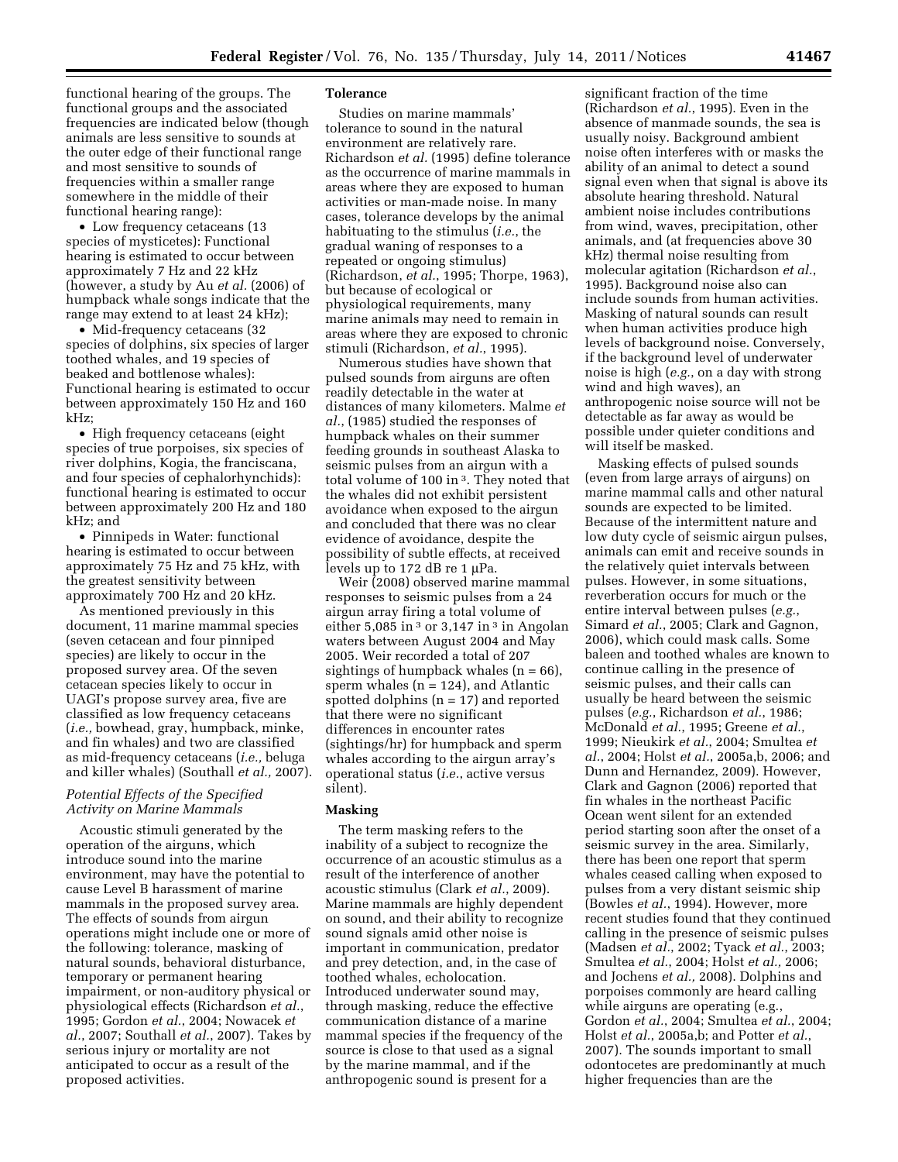functional hearing of the groups. The functional groups and the associated frequencies are indicated below (though animals are less sensitive to sounds at the outer edge of their functional range and most sensitive to sounds of frequencies within a smaller range somewhere in the middle of their functional hearing range):

• Low frequency cetaceans (13 species of mysticetes): Functional hearing is estimated to occur between approximately 7 Hz and 22 kHz (however, a study by Au *et al.* (2006) of humpback whale songs indicate that the range may extend to at least 24 kHz);

• Mid-frequency cetaceans (32) species of dolphins, six species of larger toothed whales, and 19 species of beaked and bottlenose whales): Functional hearing is estimated to occur between approximately 150 Hz and 160 kHz;

• High frequency cetaceans (eight species of true porpoises, six species of river dolphins, Kogia, the franciscana, and four species of cephalorhynchids): functional hearing is estimated to occur between approximately 200 Hz and 180 kHz; and

• Pinnipeds in Water: functional hearing is estimated to occur between approximately 75 Hz and 75 kHz, with the greatest sensitivity between approximately 700 Hz and 20 kHz.

As mentioned previously in this document, 11 marine mammal species (seven cetacean and four pinniped species) are likely to occur in the proposed survey area. Of the seven cetacean species likely to occur in UAGI's propose survey area, five are classified as low frequency cetaceans (*i.e.,* bowhead, gray, humpback, minke, and fin whales) and two are classified as mid-frequency cetaceans (*i.e.,* beluga and killer whales) (Southall *et al.,* 2007).

# *Potential Effects of the Specified Activity on Marine Mammals*

Acoustic stimuli generated by the operation of the airguns, which introduce sound into the marine environment, may have the potential to cause Level B harassment of marine mammals in the proposed survey area. The effects of sounds from airgun operations might include one or more of the following: tolerance, masking of natural sounds, behavioral disturbance, temporary or permanent hearing impairment, or non-auditory physical or physiological effects (Richardson *et al.*, 1995; Gordon *et al.*, 2004; Nowacek *et al.*, 2007; Southall *et al.*, 2007). Takes by serious injury or mortality are not anticipated to occur as a result of the proposed activities.

### **Tolerance**

Studies on marine mammals' tolerance to sound in the natural environment are relatively rare. Richardson *et al.* (1995) define tolerance as the occurrence of marine mammals in areas where they are exposed to human activities or man-made noise. In many cases, tolerance develops by the animal habituating to the stimulus (*i.e.*, the gradual waning of responses to a repeated or ongoing stimulus) (Richardson, *et al.*, 1995; Thorpe, 1963), but because of ecological or physiological requirements, many marine animals may need to remain in areas where they are exposed to chronic stimuli (Richardson, *et al.*, 1995).

Numerous studies have shown that pulsed sounds from airguns are often readily detectable in the water at distances of many kilometers. Malme *et al.*, (1985) studied the responses of humpback whales on their summer feeding grounds in southeast Alaska to seismic pulses from an airgun with a total volume of 100 in 3. They noted that the whales did not exhibit persistent avoidance when exposed to the airgun and concluded that there was no clear evidence of avoidance, despite the possibility of subtle effects, at received levels up to 172 dB re 1 μPa.

Weir (2008) observed marine mammal responses to seismic pulses from a 24 airgun array firing a total volume of either 5,085 in  $3$  or 3,147 in  $3$  in Angolan waters between August 2004 and May 2005. Weir recorded a total of 207 sightings of humpback whales  $(n = 66)$ , sperm whales  $(n = 124)$ , and Atlantic spotted dolphins  $(n = 17)$  and reported that there were no significant differences in encounter rates (sightings/hr) for humpback and sperm whales according to the airgun array's operational status (*i.e.*, active versus silent).

# **Masking**

The term masking refers to the inability of a subject to recognize the occurrence of an acoustic stimulus as a result of the interference of another acoustic stimulus (Clark *et al.*, 2009). Marine mammals are highly dependent on sound, and their ability to recognize sound signals amid other noise is important in communication, predator and prey detection, and, in the case of toothed whales, echolocation. Introduced underwater sound may, through masking, reduce the effective communication distance of a marine mammal species if the frequency of the source is close to that used as a signal by the marine mammal, and if the anthropogenic sound is present for a

significant fraction of the time (Richardson *et al.*, 1995). Even in the absence of manmade sounds, the sea is usually noisy. Background ambient noise often interferes with or masks the ability of an animal to detect a sound signal even when that signal is above its absolute hearing threshold. Natural ambient noise includes contributions from wind, waves, precipitation, other animals, and (at frequencies above 30 kHz) thermal noise resulting from molecular agitation (Richardson *et al.*, 1995). Background noise also can include sounds from human activities. Masking of natural sounds can result when human activities produce high levels of background noise. Conversely, if the background level of underwater noise is high (*e.g.*, on a day with strong wind and high waves), an anthropogenic noise source will not be detectable as far away as would be possible under quieter conditions and will itself be masked.

Masking effects of pulsed sounds (even from large arrays of airguns) on marine mammal calls and other natural sounds are expected to be limited. Because of the intermittent nature and low duty cycle of seismic airgun pulses, animals can emit and receive sounds in the relatively quiet intervals between pulses. However, in some situations, reverberation occurs for much or the entire interval between pulses (*e.g.*, Simard *et al.*, 2005; Clark and Gagnon, 2006), which could mask calls. Some baleen and toothed whales are known to continue calling in the presence of seismic pulses, and their calls can usually be heard between the seismic pulses (*e.g.*, Richardson *et al.*, 1986; McDonald *et al.*, 1995; Greene *et al.*, 1999; Nieukirk *et al.*, 2004; Smultea *et al.*, 2004; Holst *et al.*, 2005a,b, 2006; and Dunn and Hernandez, 2009). However, Clark and Gagnon (2006) reported that fin whales in the northeast Pacific Ocean went silent for an extended period starting soon after the onset of a seismic survey in the area. Similarly, there has been one report that sperm whales ceased calling when exposed to pulses from a very distant seismic ship (Bowles *et al.*, 1994). However, more recent studies found that they continued calling in the presence of seismic pulses (Madsen *et al.*, 2002; Tyack *et al.*, 2003; Smultea *et al.*, 2004; Holst *et al.,* 2006; and Jochens *et al.,* 2008). Dolphins and porpoises commonly are heard calling while airguns are operating (e.g., Gordon *et al.*, 2004; Smultea *et al.*, 2004; Holst *et al.*, 2005a,b; and Potter *et al.*, 2007). The sounds important to small odontocetes are predominantly at much higher frequencies than are the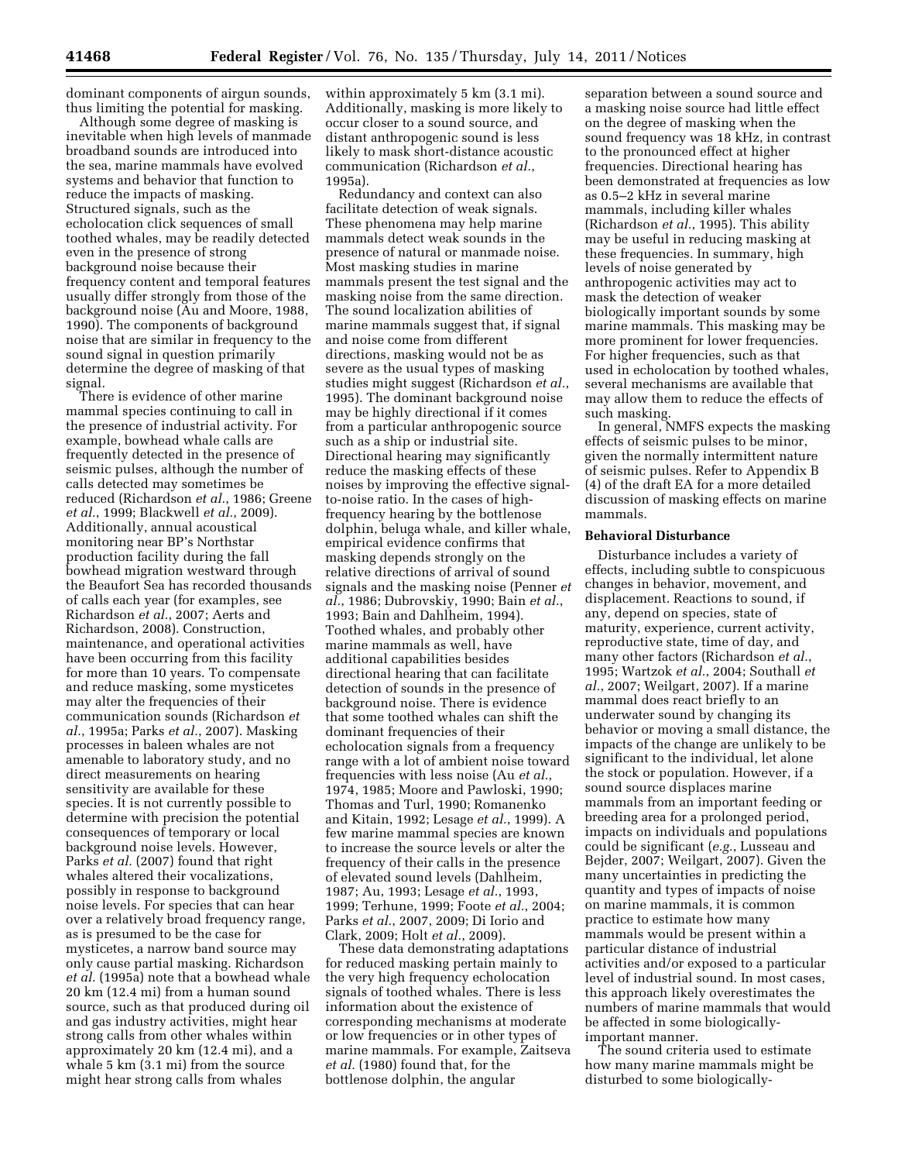dominant components of airgun sounds, thus limiting the potential for masking.

Although some degree of masking is inevitable when high levels of manmade broadband sounds are introduced into the sea, marine mammals have evolved systems and behavior that function to reduce the impacts of masking. Structured signals, such as the echolocation click sequences of small toothed whales, may be readily detected even in the presence of strong background noise because their frequency content and temporal features usually differ strongly from those of the background noise (Au and Moore, 1988, 1990). The components of background noise that are similar in frequency to the sound signal in question primarily determine the degree of masking of that signal.

There is evidence of other marine mammal species continuing to call in the presence of industrial activity. For example, bowhead whale calls are frequently detected in the presence of seismic pulses, although the number of calls detected may sometimes be reduced (Richardson *et al.*, 1986; Greene *et al.*, 1999; Blackwell *et al.*, 2009). Additionally, annual acoustical monitoring near BP's Northstar production facility during the fall bowhead migration westward through the Beaufort Sea has recorded thousands of calls each year (for examples, see Richardson *et al.*, 2007; Aerts and Richardson, 2008). Construction, maintenance, and operational activities have been occurring from this facility for more than 10 years. To compensate and reduce masking, some mysticetes may alter the frequencies of their communication sounds (Richardson *et al.*, 1995a; Parks *et al.*, 2007). Masking processes in baleen whales are not amenable to laboratory study, and no direct measurements on hearing sensitivity are available for these species. It is not currently possible to determine with precision the potential consequences of temporary or local background noise levels. However, Parks *et al.* (2007) found that right whales altered their vocalizations, possibly in response to background noise levels. For species that can hear over a relatively broad frequency range, as is presumed to be the case for mysticetes, a narrow band source may only cause partial masking. Richardson *et al.* (1995a) note that a bowhead whale 20 km (12.4 mi) from a human sound source, such as that produced during oil and gas industry activities, might hear strong calls from other whales within approximately 20 km (12.4 mi), and a whale 5 km (3.1 mi) from the source might hear strong calls from whales

within approximately 5 km (3.1 mi). Additionally, masking is more likely to occur closer to a sound source, and distant anthropogenic sound is less likely to mask short-distance acoustic communication (Richardson *et al.*, 1995a).

Redundancy and context can also facilitate detection of weak signals. These phenomena may help marine mammals detect weak sounds in the presence of natural or manmade noise. Most masking studies in marine mammals present the test signal and the masking noise from the same direction. The sound localization abilities of marine mammals suggest that, if signal and noise come from different directions, masking would not be as severe as the usual types of masking studies might suggest (Richardson *et al.*, 1995). The dominant background noise may be highly directional if it comes from a particular anthropogenic source such as a ship or industrial site. Directional hearing may significantly reduce the masking effects of these noises by improving the effective signalto-noise ratio. In the cases of highfrequency hearing by the bottlenose dolphin, beluga whale, and killer whale, empirical evidence confirms that masking depends strongly on the relative directions of arrival of sound signals and the masking noise (Penner *et al.*, 1986; Dubrovskiy, 1990; Bain *et al.*, 1993; Bain and Dahlheim, 1994). Toothed whales, and probably other marine mammals as well, have additional capabilities besides directional hearing that can facilitate detection of sounds in the presence of background noise. There is evidence that some toothed whales can shift the dominant frequencies of their echolocation signals from a frequency range with a lot of ambient noise toward frequencies with less noise (Au *et al.*, 1974, 1985; Moore and Pawloski, 1990; Thomas and Turl, 1990; Romanenko and Kitain, 1992; Lesage *et al.*, 1999). A few marine mammal species are known to increase the source levels or alter the frequency of their calls in the presence of elevated sound levels (Dahlheim, 1987; Au, 1993; Lesage *et al.*, 1993, 1999; Terhune, 1999; Foote *et al.*, 2004; Parks *et al.*, 2007, 2009; Di Iorio and Clark, 2009; Holt *et al.*, 2009).

These data demonstrating adaptations for reduced masking pertain mainly to the very high frequency echolocation signals of toothed whales. There is less information about the existence of corresponding mechanisms at moderate or low frequencies or in other types of marine mammals. For example, Zaitseva *et al.* (1980) found that, for the bottlenose dolphin, the angular

separation between a sound source and a masking noise source had little effect on the degree of masking when the sound frequency was 18 kHz, in contrast to the pronounced effect at higher frequencies. Directional hearing has been demonstrated at frequencies as low as 0.5–2 kHz in several marine mammals, including killer whales (Richardson *et al.*, 1995). This ability may be useful in reducing masking at these frequencies. In summary, high levels of noise generated by anthropogenic activities may act to mask the detection of weaker biologically important sounds by some marine mammals. This masking may be more prominent for lower frequencies. For higher frequencies, such as that used in echolocation by toothed whales, several mechanisms are available that may allow them to reduce the effects of such masking.

In general, NMFS expects the masking effects of seismic pulses to be minor, given the normally intermittent nature of seismic pulses. Refer to Appendix B (4) of the draft EA for a more detailed discussion of masking effects on marine mammals.

#### **Behavioral Disturbance**

Disturbance includes a variety of effects, including subtle to conspicuous changes in behavior, movement, and displacement. Reactions to sound, if any, depend on species, state of maturity, experience, current activity, reproductive state, time of day, and many other factors (Richardson *et al.*, 1995; Wartzok *et al.*, 2004; Southall *et al.*, 2007; Weilgart, 2007). If a marine mammal does react briefly to an underwater sound by changing its behavior or moving a small distance, the impacts of the change are unlikely to be significant to the individual, let alone the stock or population. However, if a sound source displaces marine mammals from an important feeding or breeding area for a prolonged period, impacts on individuals and populations could be significant (*e.g.*, Lusseau and Bejder, 2007; Weilgart, 2007). Given the many uncertainties in predicting the quantity and types of impacts of noise on marine mammals, it is common practice to estimate how many mammals would be present within a particular distance of industrial activities and/or exposed to a particular level of industrial sound. In most cases, this approach likely overestimates the numbers of marine mammals that would be affected in some biologicallyimportant manner.

The sound criteria used to estimate how many marine mammals might be disturbed to some biologically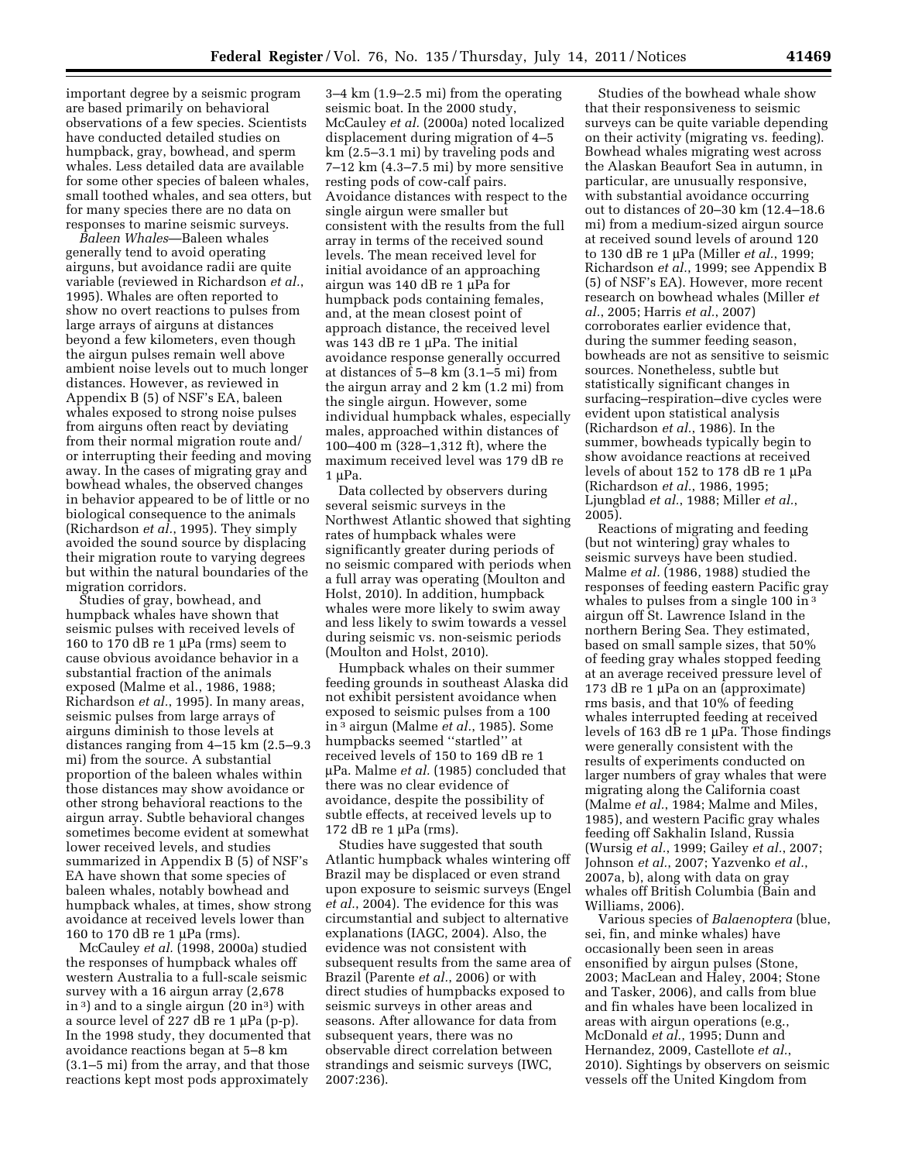important degree by a seismic program are based primarily on behavioral observations of a few species. Scientists have conducted detailed studies on humpback, gray, bowhead, and sperm whales. Less detailed data are available for some other species of baleen whales, small toothed whales, and sea otters, but for many species there are no data on responses to marine seismic surveys.

*Baleen Whales*—Baleen whales generally tend to avoid operating airguns, but avoidance radii are quite variable (reviewed in Richardson *et al.*, 1995). Whales are often reported to show no overt reactions to pulses from large arrays of airguns at distances beyond a few kilometers, even though the airgun pulses remain well above ambient noise levels out to much longer distances. However, as reviewed in Appendix B (5) of NSF's EA, baleen whales exposed to strong noise pulses from airguns often react by deviating from their normal migration route and/ or interrupting their feeding and moving away. In the cases of migrating gray and bowhead whales, the observed changes in behavior appeared to be of little or no biological consequence to the animals (Richardson *et al.*, 1995). They simply avoided the sound source by displacing their migration route to varying degrees but within the natural boundaries of the migration corridors.

Studies of gray, bowhead, and humpback whales have shown that seismic pulses with received levels of 160 to 170 dB re 1 μPa (rms) seem to cause obvious avoidance behavior in a substantial fraction of the animals exposed (Malme et al., 1986, 1988; Richardson *et al.*, 1995). In many areas, seismic pulses from large arrays of airguns diminish to those levels at distances ranging from 4–15 km (2.5–9.3 mi) from the source. A substantial proportion of the baleen whales within those distances may show avoidance or other strong behavioral reactions to the airgun array. Subtle behavioral changes sometimes become evident at somewhat lower received levels, and studies summarized in Appendix B (5) of NSF's EA have shown that some species of baleen whales, notably bowhead and humpback whales, at times, show strong avoidance at received levels lower than 160 to 170 dB re 1 μPa (rms).

McCauley *et al.* (1998, 2000a) studied the responses of humpback whales off western Australia to a full-scale seismic survey with a 16 airgun array (2,678 in 3) and to a single airgun  $(20 \text{ in}^3)$  with a source level of 227 dB re 1 μPa (p-p). In the 1998 study, they documented that avoidance reactions began at 5–8 km (3.1–5 mi) from the array, and that those reactions kept most pods approximately

3–4 km (1.9–2.5 mi) from the operating seismic boat. In the 2000 study, McCauley *et al.* (2000a) noted localized displacement during migration of 4–5 km (2.5–3.1 mi) by traveling pods and 7–12 km (4.3–7.5 mi) by more sensitive resting pods of cow-calf pairs. Avoidance distances with respect to the single airgun were smaller but consistent with the results from the full array in terms of the received sound levels. The mean received level for initial avoidance of an approaching airgun was 140 dB re 1 μPa for humpback pods containing females, and, at the mean closest point of approach distance, the received level was 143 dB re 1 μPa. The initial avoidance response generally occurred at distances of 5–8 km (3.1–5 mi) from the airgun array and 2 km (1.2 mi) from the single airgun. However, some individual humpback whales, especially males, approached within distances of 100–400 m (328–1,312 ft), where the maximum received level was 179 dB re 1 μPa.

Data collected by observers during several seismic surveys in the Northwest Atlantic showed that sighting rates of humpback whales were significantly greater during periods of no seismic compared with periods when a full array was operating (Moulton and Holst, 2010). In addition, humpback whales were more likely to swim away and less likely to swim towards a vessel during seismic vs. non-seismic periods (Moulton and Holst, 2010).

Humpback whales on their summer feeding grounds in southeast Alaska did not exhibit persistent avoidance when exposed to seismic pulses from a 100 in 3 airgun (Malme *et al.*, 1985). Some humpbacks seemed ''startled'' at received levels of 150 to 169 dB re 1 μPa. Malme *et al.* (1985) concluded that there was no clear evidence of avoidance, despite the possibility of subtle effects, at received levels up to 172 dB re 1 μPa (rms).

Studies have suggested that south Atlantic humpback whales wintering off Brazil may be displaced or even strand upon exposure to seismic surveys (Engel *et al.*, 2004). The evidence for this was circumstantial and subject to alternative explanations (IAGC, 2004). Also, the evidence was not consistent with subsequent results from the same area of Brazil (Parente *et al.*, 2006) or with direct studies of humpbacks exposed to seismic surveys in other areas and seasons. After allowance for data from subsequent years, there was no observable direct correlation between strandings and seismic surveys (IWC, 2007:236).

Studies of the bowhead whale show that their responsiveness to seismic surveys can be quite variable depending on their activity (migrating vs. feeding). Bowhead whales migrating west across the Alaskan Beaufort Sea in autumn, in particular, are unusually responsive, with substantial avoidance occurring out to distances of 20–30 km (12.4–18.6 mi) from a medium-sized airgun source at received sound levels of around 120 to 130 dB re 1 μPa (Miller *et al.*, 1999; Richardson *et al.*, 1999; see Appendix B (5) of NSF's EA). However, more recent research on bowhead whales (Miller *et al.*, 2005; Harris *et al.*, 2007) corroborates earlier evidence that, during the summer feeding season, bowheads are not as sensitive to seismic sources. Nonetheless, subtle but statistically significant changes in surfacing–respiration–dive cycles were evident upon statistical analysis (Richardson *et al.*, 1986). In the summer, bowheads typically begin to show avoidance reactions at received levels of about 152 to 178 dB re 1 μPa (Richardson *et al.*, 1986, 1995; Ljungblad *et al.*, 1988; Miller *et al.*, 2005).

Reactions of migrating and feeding (but not wintering) gray whales to seismic surveys have been studied. Malme *et al.* (1986, 1988) studied the responses of feeding eastern Pacific gray whales to pulses from a single 100 in <sup>3</sup> airgun off St. Lawrence Island in the northern Bering Sea. They estimated, based on small sample sizes, that 50% of feeding gray whales stopped feeding at an average received pressure level of 173 dB re 1 μPa on an (approximate) rms basis, and that 10% of feeding whales interrupted feeding at received levels of 163 dB re 1 μPa. Those findings were generally consistent with the results of experiments conducted on larger numbers of gray whales that were migrating along the California coast (Malme *et al.*, 1984; Malme and Miles, 1985), and western Pacific gray whales feeding off Sakhalin Island, Russia (Wursig *et al.*, 1999; Gailey *et al.*, 2007; Johnson *et al.*, 2007; Yazvenko *et al.*, 2007a, b), along with data on gray whales off British Columbia (Bain and Williams, 2006).

Various species of *Balaenoptera* (blue, sei, fin, and minke whales) have occasionally been seen in areas ensonified by airgun pulses (Stone, 2003; MacLean and Haley, 2004; Stone and Tasker, 2006), and calls from blue and fin whales have been localized in areas with airgun operations (e.g., McDonald *et al.*, 1995; Dunn and Hernandez, 2009, Castellote *et al.*, 2010). Sightings by observers on seismic vessels off the United Kingdom from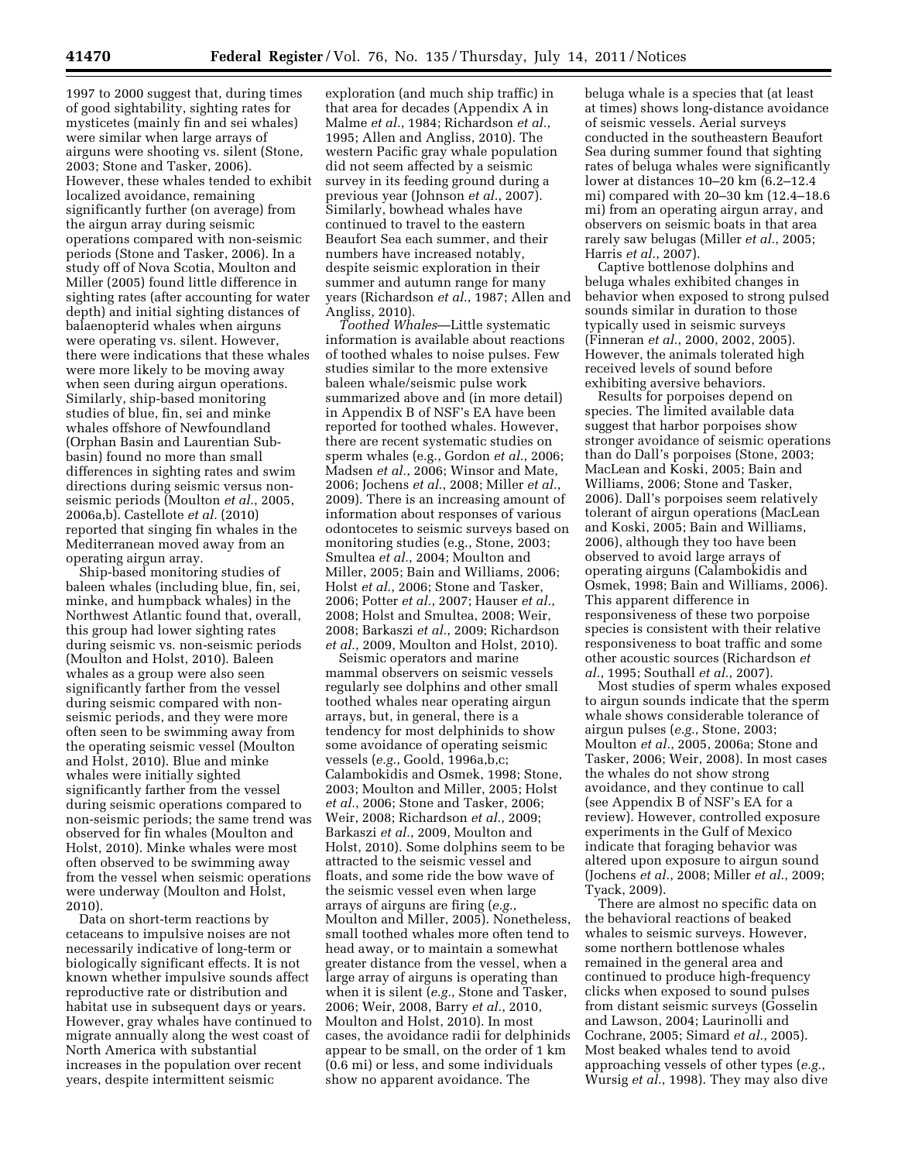1997 to 2000 suggest that, during times of good sightability, sighting rates for mysticetes (mainly fin and sei whales) were similar when large arrays of airguns were shooting vs. silent (Stone, 2003; Stone and Tasker, 2006). However, these whales tended to exhibit localized avoidance, remaining significantly further (on average) from the airgun array during seismic operations compared with non-seismic periods (Stone and Tasker, 2006). In a study off of Nova Scotia, Moulton and Miller (2005) found little difference in sighting rates (after accounting for water depth) and initial sighting distances of balaenopterid whales when airguns were operating vs. silent. However, there were indications that these whales were more likely to be moving away when seen during airgun operations. Similarly, ship-based monitoring studies of blue, fin, sei and minke whales offshore of Newfoundland (Orphan Basin and Laurentian Subbasin) found no more than small differences in sighting rates and swim directions during seismic versus nonseismic periods (Moulton *et al.*, 2005, 2006a,b). Castellote *et al.* (2010) reported that singing fin whales in the Mediterranean moved away from an operating airgun array.

Ship-based monitoring studies of baleen whales (including blue, fin, sei, minke, and humpback whales) in the Northwest Atlantic found that, overall, this group had lower sighting rates during seismic vs. non-seismic periods (Moulton and Holst, 2010). Baleen whales as a group were also seen significantly farther from the vessel during seismic compared with nonseismic periods, and they were more often seen to be swimming away from the operating seismic vessel (Moulton and Holst, 2010). Blue and minke whales were initially sighted significantly farther from the vessel during seismic operations compared to non-seismic periods; the same trend was observed for fin whales (Moulton and Holst, 2010). Minke whales were most often observed to be swimming away from the vessel when seismic operations were underway (Moulton and Holst, 2010).

Data on short-term reactions by cetaceans to impulsive noises are not necessarily indicative of long-term or biologically significant effects. It is not known whether impulsive sounds affect reproductive rate or distribution and habitat use in subsequent days or years. However, gray whales have continued to migrate annually along the west coast of North America with substantial increases in the population over recent years, despite intermittent seismic

exploration (and much ship traffic) in that area for decades (Appendix A in Malme *et al.*, 1984; Richardson *et al.*, 1995; Allen and Angliss, 2010). The western Pacific gray whale population did not seem affected by a seismic survey in its feeding ground during a previous year (Johnson *et al.*, 2007). Similarly, bowhead whales have continued to travel to the eastern Beaufort Sea each summer, and their numbers have increased notably, despite seismic exploration in their summer and autumn range for many years (Richardson *et al.*, 1987; Allen and Angliss, 2010).

*Toothed Whales*—Little systematic information is available about reactions of toothed whales to noise pulses. Few studies similar to the more extensive baleen whale/seismic pulse work summarized above and (in more detail) in Appendix B of NSF's EA have been reported for toothed whales. However, there are recent systematic studies on sperm whales (e.g., Gordon *et al.*, 2006; Madsen *et al.*, 2006; Winsor and Mate, 2006; Jochens *et al.*, 2008; Miller *et al.*, 2009). There is an increasing amount of information about responses of various odontocetes to seismic surveys based on monitoring studies (e.g., Stone, 2003; Smultea *et al.*, 2004; Moulton and Miller, 2005; Bain and Williams, 2006; Holst *et al.*, 2006; Stone and Tasker, 2006; Potter *et al.*, 2007; Hauser *et al.*, 2008; Holst and Smultea, 2008; Weir, 2008; Barkaszi *et al.*, 2009; Richardson *et al.*, 2009, Moulton and Holst, 2010).

Seismic operators and marine mammal observers on seismic vessels regularly see dolphins and other small toothed whales near operating airgun arrays, but, in general, there is a tendency for most delphinids to show some avoidance of operating seismic vessels (*e.g.*, Goold, 1996a,b,c; Calambokidis and Osmek, 1998; Stone, 2003; Moulton and Miller, 2005; Holst *et al.*, 2006; Stone and Tasker, 2006; Weir, 2008; Richardson *et al.*, 2009; Barkaszi *et al.*, 2009, Moulton and Holst, 2010). Some dolphins seem to be attracted to the seismic vessel and floats, and some ride the bow wave of the seismic vessel even when large arrays of airguns are firing (*e.g.*, Moulton and Miller, 2005). Nonetheless, small toothed whales more often tend to head away, or to maintain a somewhat greater distance from the vessel, when a large array of airguns is operating than when it is silent (*e.g.*, Stone and Tasker, 2006; Weir, 2008, Barry *et al.*, 2010, Moulton and Holst, 2010). In most cases, the avoidance radii for delphinids appear to be small, on the order of 1 km (0.6 mi) or less, and some individuals show no apparent avoidance. The

beluga whale is a species that (at least at times) shows long-distance avoidance of seismic vessels. Aerial surveys conducted in the southeastern Beaufort Sea during summer found that sighting rates of beluga whales were significantly lower at distances 10–20 km (6.2–12.4 mi) compared with 20–30 km (12.4–18.6 mi) from an operating airgun array, and observers on seismic boats in that area rarely saw belugas (Miller *et al.*, 2005; Harris *et al.*, 2007).

Captive bottlenose dolphins and beluga whales exhibited changes in behavior when exposed to strong pulsed sounds similar in duration to those typically used in seismic surveys (Finneran *et al.*, 2000, 2002, 2005). However, the animals tolerated high received levels of sound before exhibiting aversive behaviors.

Results for porpoises depend on species. The limited available data suggest that harbor porpoises show stronger avoidance of seismic operations than do Dall's porpoises (Stone, 2003; MacLean and Koski, 2005; Bain and Williams, 2006; Stone and Tasker, 2006). Dall's porpoises seem relatively tolerant of airgun operations (MacLean and Koski, 2005; Bain and Williams, 2006), although they too have been observed to avoid large arrays of operating airguns (Calambokidis and Osmek, 1998; Bain and Williams, 2006). This apparent difference in responsiveness of these two porpoise species is consistent with their relative responsiveness to boat traffic and some other acoustic sources (Richardson *et al.*, 1995; Southall *et al.*, 2007).

Most studies of sperm whales exposed to airgun sounds indicate that the sperm whale shows considerable tolerance of airgun pulses (*e.g.*, Stone, 2003; Moulton *et al.*, 2005, 2006a; Stone and Tasker, 2006; Weir, 2008). In most cases the whales do not show strong avoidance, and they continue to call (see Appendix B of NSF's EA for a review). However, controlled exposure experiments in the Gulf of Mexico indicate that foraging behavior was altered upon exposure to airgun sound (Jochens *et al.*, 2008; Miller *et al.*, 2009; Tyack, 2009).

There are almost no specific data on the behavioral reactions of beaked whales to seismic surveys. However, some northern bottlenose whales remained in the general area and continued to produce high-frequency clicks when exposed to sound pulses from distant seismic surveys (Gosselin and Lawson, 2004; Laurinolli and Cochrane, 2005; Simard *et al.*, 2005). Most beaked whales tend to avoid approaching vessels of other types (*e.g.*, Wursig *et al.*, 1998). They may also dive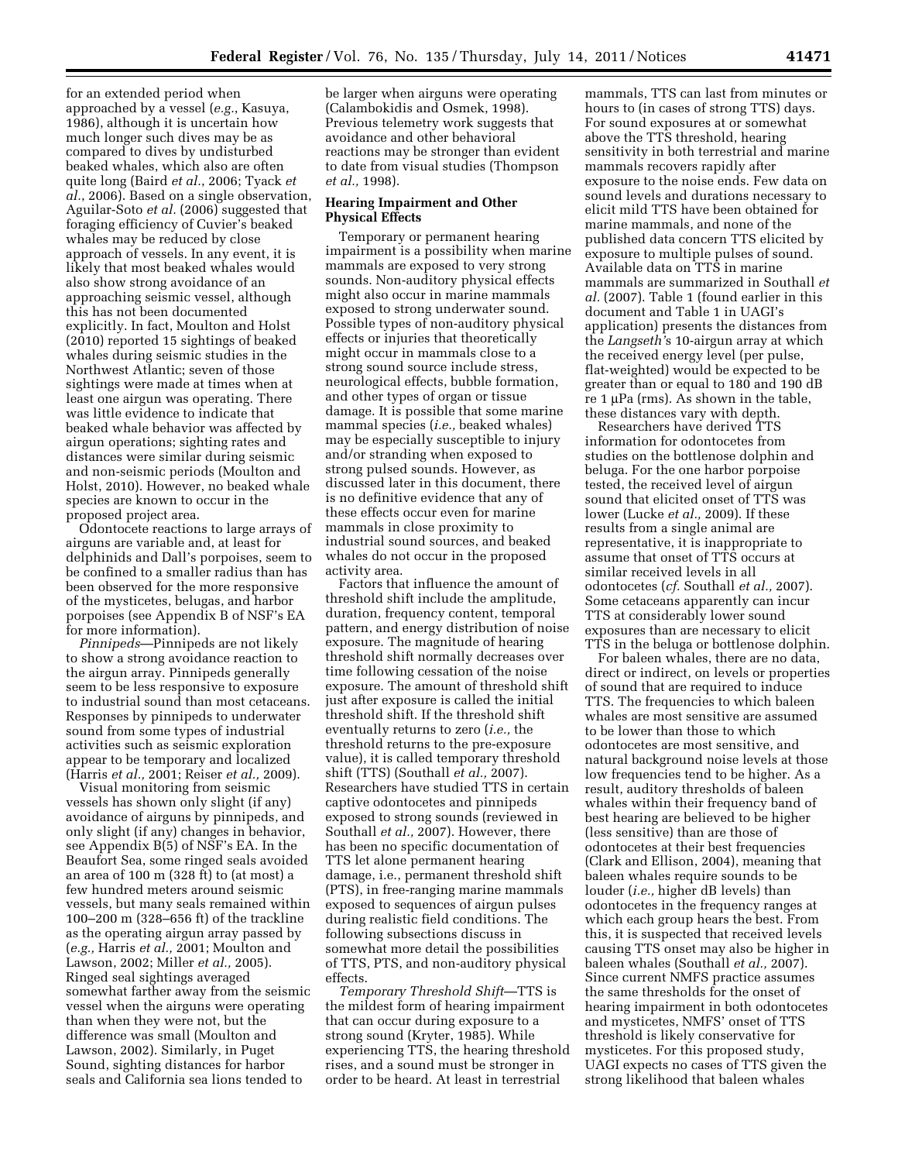for an extended period when approached by a vessel (*e.g.*, Kasuya, 1986), although it is uncertain how much longer such dives may be as compared to dives by undisturbed beaked whales, which also are often quite long (Baird *et al.*, 2006; Tyack *et al.*, 2006). Based on a single observation, Aguilar-Soto *et al.* (2006) suggested that foraging efficiency of Cuvier's beaked whales may be reduced by close approach of vessels. In any event, it is likely that most beaked whales would also show strong avoidance of an approaching seismic vessel, although this has not been documented explicitly. In fact, Moulton and Holst (2010) reported 15 sightings of beaked whales during seismic studies in the Northwest Atlantic; seven of those sightings were made at times when at least one airgun was operating. There was little evidence to indicate that beaked whale behavior was affected by airgun operations; sighting rates and distances were similar during seismic and non-seismic periods (Moulton and Holst, 2010). However, no beaked whale species are known to occur in the proposed project area.

Odontocete reactions to large arrays of airguns are variable and, at least for delphinids and Dall's porpoises, seem to be confined to a smaller radius than has been observed for the more responsive of the mysticetes, belugas, and harbor porpoises (see Appendix B of NSF's EA for more information).

*Pinnipeds*—Pinnipeds are not likely to show a strong avoidance reaction to the airgun array. Pinnipeds generally seem to be less responsive to exposure to industrial sound than most cetaceans. Responses by pinnipeds to underwater sound from some types of industrial activities such as seismic exploration appear to be temporary and localized (Harris *et al.,* 2001; Reiser *et al.,* 2009).

Visual monitoring from seismic vessels has shown only slight (if any) avoidance of airguns by pinnipeds, and only slight (if any) changes in behavior, see Appendix B(5) of NSF's EA. In the Beaufort Sea, some ringed seals avoided an area of 100 m (328 ft) to (at most) a few hundred meters around seismic vessels, but many seals remained within 100–200 m (328–656 ft) of the trackline as the operating airgun array passed by (*e.g.,* Harris *et al.,* 2001; Moulton and Lawson, 2002; Miller *et al.,* 2005). Ringed seal sightings averaged somewhat farther away from the seismic vessel when the airguns were operating than when they were not, but the difference was small (Moulton and Lawson, 2002). Similarly, in Puget Sound, sighting distances for harbor seals and California sea lions tended to

be larger when airguns were operating (Calambokidis and Osmek, 1998). Previous telemetry work suggests that avoidance and other behavioral reactions may be stronger than evident to date from visual studies (Thompson *et al.,* 1998).

## **Hearing Impairment and Other Physical Effects**

Temporary or permanent hearing impairment is a possibility when marine mammals are exposed to very strong sounds. Non-auditory physical effects might also occur in marine mammals exposed to strong underwater sound. Possible types of non-auditory physical effects or injuries that theoretically might occur in mammals close to a strong sound source include stress, neurological effects, bubble formation, and other types of organ or tissue damage. It is possible that some marine mammal species (*i.e.,* beaked whales) may be especially susceptible to injury and/or stranding when exposed to strong pulsed sounds. However, as discussed later in this document, there is no definitive evidence that any of these effects occur even for marine mammals in close proximity to industrial sound sources, and beaked whales do not occur in the proposed activity area.

Factors that influence the amount of threshold shift include the amplitude, duration, frequency content, temporal pattern, and energy distribution of noise exposure. The magnitude of hearing threshold shift normally decreases over time following cessation of the noise exposure. The amount of threshold shift just after exposure is called the initial threshold shift. If the threshold shift eventually returns to zero (*i.e.,* the threshold returns to the pre-exposure value), it is called temporary threshold shift (TTS) (Southall *et al.,* 2007). Researchers have studied TTS in certain captive odontocetes and pinnipeds exposed to strong sounds (reviewed in Southall *et al.,* 2007). However, there has been no specific documentation of TTS let alone permanent hearing damage, i.e., permanent threshold shift (PTS), in free-ranging marine mammals exposed to sequences of airgun pulses during realistic field conditions. The following subsections discuss in somewhat more detail the possibilities of TTS, PTS, and non-auditory physical effects.

*Temporary Threshold Shift*—TTS is the mildest form of hearing impairment that can occur during exposure to a strong sound (Kryter, 1985). While experiencing TTS, the hearing threshold rises, and a sound must be stronger in order to be heard. At least in terrestrial

mammals, TTS can last from minutes or hours to (in cases of strong TTS) days. For sound exposures at or somewhat above the TTS threshold, hearing sensitivity in both terrestrial and marine mammals recovers rapidly after exposure to the noise ends. Few data on sound levels and durations necessary to elicit mild TTS have been obtained for marine mammals, and none of the published data concern TTS elicited by exposure to multiple pulses of sound. Available data on TTS in marine mammals are summarized in Southall *et al.* (2007). Table 1 (found earlier in this document and Table 1 in UAGI's application) presents the distances from the *Langseth'*s 10-airgun array at which the received energy level (per pulse, flat-weighted) would be expected to be greater than or equal to 180 and 190 dB re 1 μPa (rms). As shown in the table, these distances vary with depth.

Researchers have derived TTS information for odontocetes from studies on the bottlenose dolphin and beluga. For the one harbor porpoise tested, the received level of airgun sound that elicited onset of TTS was lower (Lucke *et al.,* 2009). If these results from a single animal are representative, it is inappropriate to assume that onset of TTS occurs at similar received levels in all odontocetes (*cf.* Southall *et al.,* 2007). Some cetaceans apparently can incur TTS at considerably lower sound exposures than are necessary to elicit TTS in the beluga or bottlenose dolphin.

For baleen whales, there are no data, direct or indirect, on levels or properties of sound that are required to induce TTS. The frequencies to which baleen whales are most sensitive are assumed to be lower than those to which odontocetes are most sensitive, and natural background noise levels at those low frequencies tend to be higher. As a result, auditory thresholds of baleen whales within their frequency band of best hearing are believed to be higher (less sensitive) than are those of odontocetes at their best frequencies (Clark and Ellison, 2004), meaning that baleen whales require sounds to be louder (*i.e.,* higher dB levels) than odontocetes in the frequency ranges at which each group hears the best. From this, it is suspected that received levels causing TTS onset may also be higher in baleen whales (Southall *et al.,* 2007). Since current NMFS practice assumes the same thresholds for the onset of hearing impairment in both odontocetes and mysticetes, NMFS' onset of TTS threshold is likely conservative for mysticetes. For this proposed study, UAGI expects no cases of TTS given the strong likelihood that baleen whales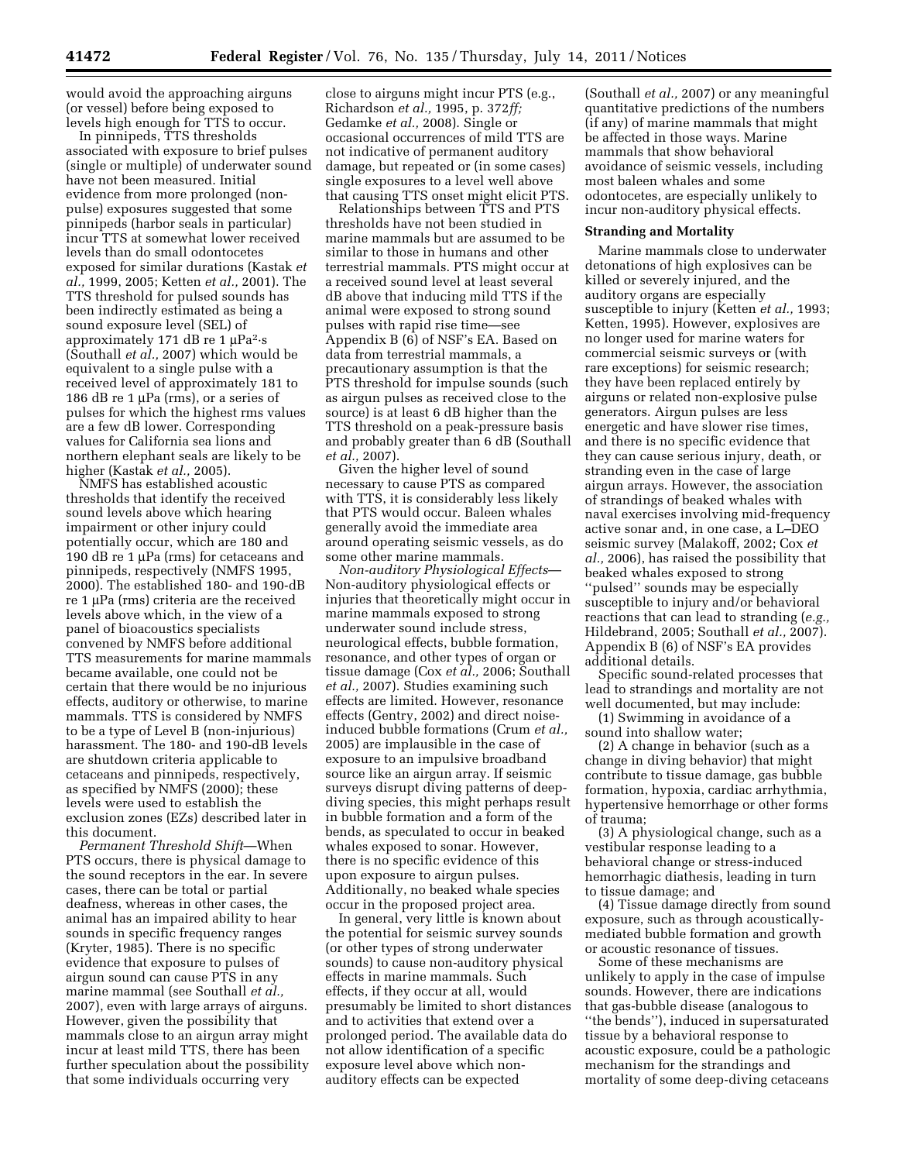would avoid the approaching airguns (or vessel) before being exposed to levels high enough for TTS to occur.

In pinnipeds, TTS thresholds associated with exposure to brief pulses (single or multiple) of underwater sound have not been measured. Initial evidence from more prolonged (nonpulse) exposures suggested that some pinnipeds (harbor seals in particular) incur TTS at somewhat lower received levels than do small odontocetes exposed for similar durations (Kastak *et al.,* 1999, 2005; Ketten *et al.,* 2001). The TTS threshold for pulsed sounds has been indirectly estimated as being a sound exposure level (SEL) of approximately 171 dB re 1 μPa2·s (Southall *et al.,* 2007) which would be equivalent to a single pulse with a received level of approximately 181 to 186 dB re 1 μPa (rms), or a series of pulses for which the highest rms values are a few dB lower. Corresponding values for California sea lions and northern elephant seals are likely to be higher (Kastak *et al.,* 2005).

NMFS has established acoustic thresholds that identify the received sound levels above which hearing impairment or other injury could potentially occur, which are 180 and 190 dB re 1 μPa (rms) for cetaceans and pinnipeds, respectively (NMFS 1995, 2000). The established 180- and 190-dB re 1 μPa (rms) criteria are the received levels above which, in the view of a panel of bioacoustics specialists convened by NMFS before additional TTS measurements for marine mammals became available, one could not be certain that there would be no injurious effects, auditory or otherwise, to marine mammals. TTS is considered by NMFS to be a type of Level B (non-injurious) harassment. The 180- and 190-dB levels are shutdown criteria applicable to cetaceans and pinnipeds, respectively, as specified by NMFS (2000); these levels were used to establish the exclusion zones (EZs) described later in this document.

*Permanent Threshold Shift*—When PTS occurs, there is physical damage to the sound receptors in the ear. In severe cases, there can be total or partial deafness, whereas in other cases, the animal has an impaired ability to hear sounds in specific frequency ranges (Kryter, 1985). There is no specific evidence that exposure to pulses of airgun sound can cause PTS in any marine mammal (see Southall *et al.,*  2007), even with large arrays of airguns. However, given the possibility that mammals close to an airgun array might incur at least mild TTS, there has been further speculation about the possibility that some individuals occurring very

close to airguns might incur PTS (e.g., Richardson *et al.,* 1995, p. 372*ff;*  Gedamke *et al.,* 2008). Single or occasional occurrences of mild TTS are not indicative of permanent auditory damage, but repeated or (in some cases) single exposures to a level well above that causing TTS onset might elicit PTS.

Relationships between TTS and PTS thresholds have not been studied in marine mammals but are assumed to be similar to those in humans and other terrestrial mammals. PTS might occur at a received sound level at least several dB above that inducing mild TTS if the animal were exposed to strong sound pulses with rapid rise time—see Appendix B (6) of NSF's EA. Based on data from terrestrial mammals, a precautionary assumption is that the PTS threshold for impulse sounds (such as airgun pulses as received close to the source) is at least 6 dB higher than the TTS threshold on a peak-pressure basis and probably greater than 6 dB (Southall *et al.,* 2007).

Given the higher level of sound necessary to cause PTS as compared with TTS, it is considerably less likely that PTS would occur. Baleen whales generally avoid the immediate area around operating seismic vessels, as do some other marine mammals.

*Non-auditory Physiological Effects*— Non-auditory physiological effects or injuries that theoretically might occur in marine mammals exposed to strong underwater sound include stress, neurological effects, bubble formation, resonance, and other types of organ or tissue damage (Cox *et al.,* 2006; Southall *et al.,* 2007). Studies examining such effects are limited. However, resonance effects (Gentry, 2002) and direct noiseinduced bubble formations (Crum *et al.,*  2005) are implausible in the case of exposure to an impulsive broadband source like an airgun array. If seismic surveys disrupt diving patterns of deepdiving species, this might perhaps result in bubble formation and a form of the bends, as speculated to occur in beaked whales exposed to sonar. However, there is no specific evidence of this upon exposure to airgun pulses. Additionally, no beaked whale species occur in the proposed project area.

In general, very little is known about the potential for seismic survey sounds (or other types of strong underwater sounds) to cause non-auditory physical effects in marine mammals. Such effects, if they occur at all, would presumably be limited to short distances and to activities that extend over a prolonged period. The available data do not allow identification of a specific exposure level above which nonauditory effects can be expected

(Southall *et al.,* 2007) or any meaningful quantitative predictions of the numbers (if any) of marine mammals that might be affected in those ways. Marine mammals that show behavioral avoidance of seismic vessels, including most baleen whales and some odontocetes, are especially unlikely to incur non-auditory physical effects.

### **Stranding and Mortality**

Marine mammals close to underwater detonations of high explosives can be killed or severely injured, and the auditory organs are especially susceptible to injury (Ketten *et al.,* 1993; Ketten, 1995). However, explosives are no longer used for marine waters for commercial seismic surveys or (with rare exceptions) for seismic research; they have been replaced entirely by airguns or related non-explosive pulse generators. Airgun pulses are less energetic and have slower rise times, and there is no specific evidence that they can cause serious injury, death, or stranding even in the case of large airgun arrays. However, the association of strandings of beaked whales with naval exercises involving mid-frequency active sonar and, in one case, a L–DEO seismic survey (Malakoff, 2002; Cox *et al.,* 2006), has raised the possibility that beaked whales exposed to strong ''pulsed'' sounds may be especially susceptible to injury and/or behavioral reactions that can lead to stranding (*e.g.,*  Hildebrand, 2005; Southall *et al.,* 2007). Appendix B (6) of NSF's EA provides additional details.

Specific sound-related processes that lead to strandings and mortality are not well documented, but may include:

(1) Swimming in avoidance of a sound into shallow water;

(2) A change in behavior (such as a change in diving behavior) that might contribute to tissue damage, gas bubble formation, hypoxia, cardiac arrhythmia, hypertensive hemorrhage or other forms of trauma;

(3) A physiological change, such as a vestibular response leading to a behavioral change or stress-induced hemorrhagic diathesis, leading in turn to tissue damage; and

(4) Tissue damage directly from sound exposure, such as through acousticallymediated bubble formation and growth or acoustic resonance of tissues.

Some of these mechanisms are unlikely to apply in the case of impulse sounds. However, there are indications that gas-bubble disease (analogous to ''the bends''), induced in supersaturated tissue by a behavioral response to acoustic exposure, could be a pathologic mechanism for the strandings and mortality of some deep-diving cetaceans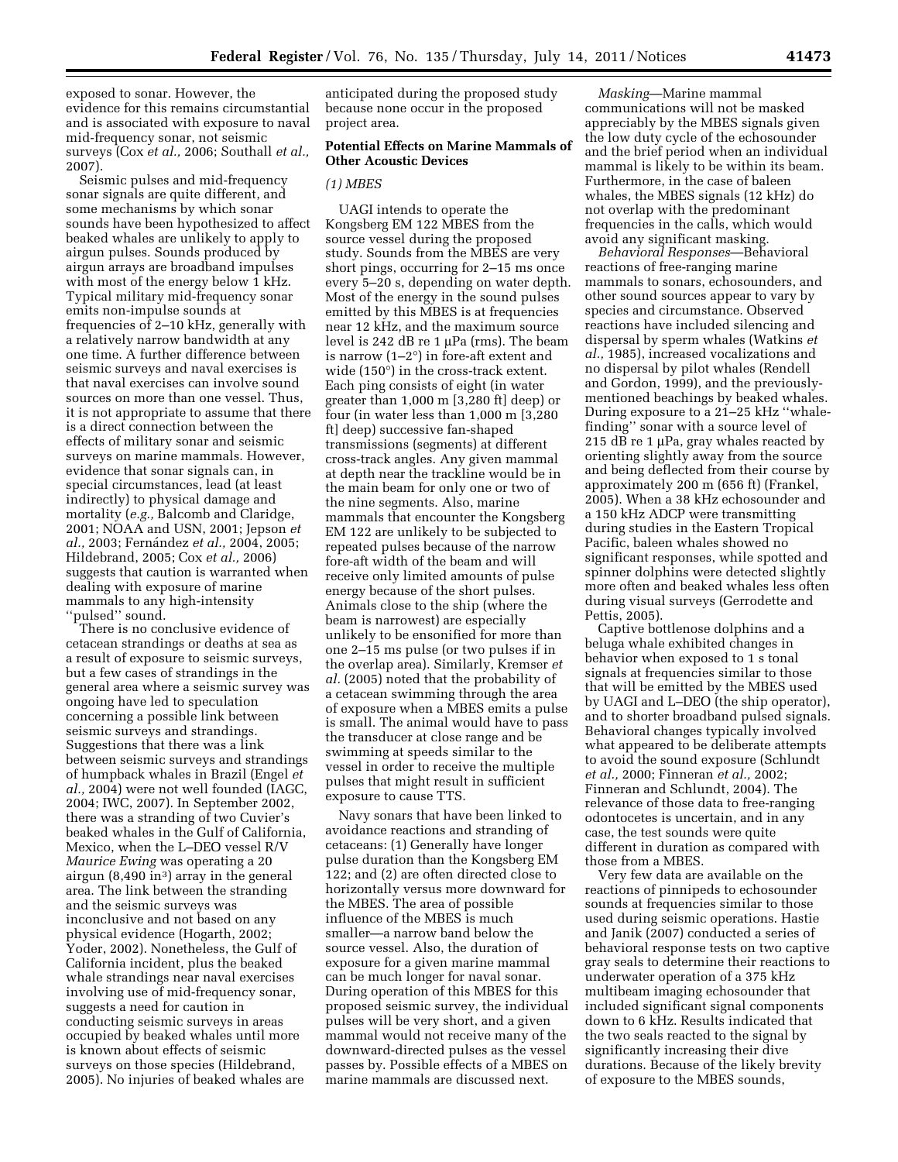exposed to sonar. However, the evidence for this remains circumstantial and is associated with exposure to naval mid-frequency sonar, not seismic surveys (Cox *et al.,* 2006; Southall *et al.,*  2007).

Seismic pulses and mid-frequency sonar signals are quite different, and some mechanisms by which sonar sounds have been hypothesized to affect beaked whales are unlikely to apply to airgun pulses. Sounds produced by airgun arrays are broadband impulses with most of the energy below 1 kHz. Typical military mid-frequency sonar emits non-impulse sounds at frequencies of 2–10 kHz, generally with a relatively narrow bandwidth at any one time. A further difference between seismic surveys and naval exercises is that naval exercises can involve sound sources on more than one vessel. Thus, it is not appropriate to assume that there is a direct connection between the effects of military sonar and seismic surveys on marine mammals. However, evidence that sonar signals can, in special circumstances, lead (at least indirectly) to physical damage and mortality (*e.g.,* Balcomb and Claridge, 2001; NOAA and USN, 2001; Jepson *et al.,* 2003; Ferna´ndez *et al.,* 2004, 2005; Hildebrand, 2005; Cox *et al.,* 2006) suggests that caution is warranted when dealing with exposure of marine mammals to any high-intensity "pulsed" sound.

There is no conclusive evidence of cetacean strandings or deaths at sea as a result of exposure to seismic surveys, but a few cases of strandings in the general area where a seismic survey was ongoing have led to speculation concerning a possible link between seismic surveys and strandings. Suggestions that there was a link between seismic surveys and strandings of humpback whales in Brazil (Engel *et al.,* 2004) were not well founded (IAGC, 2004; IWC, 2007). In September 2002, there was a stranding of two Cuvier's beaked whales in the Gulf of California, Mexico, when the L–DEO vessel R/V *Maurice Ewing* was operating a 20 airgun  $(8,490 \text{ in}^3)$  array in the general area. The link between the stranding and the seismic surveys was inconclusive and not based on any physical evidence (Hogarth, 2002; Yoder, 2002). Nonetheless, the Gulf of California incident, plus the beaked whale strandings near naval exercises involving use of mid-frequency sonar, suggests a need for caution in conducting seismic surveys in areas occupied by beaked whales until more is known about effects of seismic surveys on those species (Hildebrand, 2005). No injuries of beaked whales are

anticipated during the proposed study because none occur in the proposed project area.

## **Potential Effects on Marine Mammals of Other Acoustic Devices**

## *(1) MBES*

UAGI intends to operate the Kongsberg EM 122 MBES from the source vessel during the proposed study. Sounds from the MBES are very short pings, occurring for 2–15 ms once every 5–20 s, depending on water depth. Most of the energy in the sound pulses emitted by this MBES is at frequencies near 12 kHz, and the maximum source level is 242 dB re 1 μPa (rms). The beam is narrow  $(1-2^{\circ})$  in fore-aft extent and wide (150°) in the cross-track extent. Each ping consists of eight (in water greater than 1,000 m [3,280 ft] deep) or four (in water less than 1,000 m [3,280 ft] deep) successive fan-shaped transmissions (segments) at different cross-track angles. Any given mammal at depth near the trackline would be in the main beam for only one or two of the nine segments. Also, marine mammals that encounter the Kongsberg EM 122 are unlikely to be subjected to repeated pulses because of the narrow fore-aft width of the beam and will receive only limited amounts of pulse energy because of the short pulses. Animals close to the ship (where the beam is narrowest) are especially unlikely to be ensonified for more than one 2–15 ms pulse (or two pulses if in the overlap area). Similarly, Kremser *et al.* (2005) noted that the probability of a cetacean swimming through the area of exposure when a MBES emits a pulse is small. The animal would have to pass the transducer at close range and be swimming at speeds similar to the vessel in order to receive the multiple pulses that might result in sufficient exposure to cause TTS.

Navy sonars that have been linked to avoidance reactions and stranding of cetaceans: (1) Generally have longer pulse duration than the Kongsberg EM 122; and (2) are often directed close to horizontally versus more downward for the MBES. The area of possible influence of the MBES is much smaller—a narrow band below the source vessel. Also, the duration of exposure for a given marine mammal can be much longer for naval sonar. During operation of this MBES for this proposed seismic survey, the individual pulses will be very short, and a given mammal would not receive many of the downward-directed pulses as the vessel passes by. Possible effects of a MBES on marine mammals are discussed next.

*Masking*—Marine mammal communications will not be masked appreciably by the MBES signals given the low duty cycle of the echosounder and the brief period when an individual mammal is likely to be within its beam. Furthermore, in the case of baleen whales, the MBES signals (12 kHz) do not overlap with the predominant frequencies in the calls, which would avoid any significant masking.

*Behavioral Responses*—Behavioral reactions of free-ranging marine mammals to sonars, echosounders, and other sound sources appear to vary by species and circumstance. Observed reactions have included silencing and dispersal by sperm whales (Watkins *et al.,* 1985), increased vocalizations and no dispersal by pilot whales (Rendell and Gordon, 1999), and the previouslymentioned beachings by beaked whales. During exposure to a 21–25 kHz ''whalefinding'' sonar with a source level of 215 dB re 1 μPa, gray whales reacted by orienting slightly away from the source and being deflected from their course by approximately 200 m (656 ft) (Frankel, 2005). When a 38 kHz echosounder and a 150 kHz ADCP were transmitting during studies in the Eastern Tropical Pacific, baleen whales showed no significant responses, while spotted and spinner dolphins were detected slightly more often and beaked whales less often during visual surveys (Gerrodette and Pettis, 2005).

Captive bottlenose dolphins and a beluga whale exhibited changes in behavior when exposed to 1 s tonal signals at frequencies similar to those that will be emitted by the MBES used by UAGI and L–DEO (the ship operator), and to shorter broadband pulsed signals. Behavioral changes typically involved what appeared to be deliberate attempts to avoid the sound exposure (Schlundt *et al.,* 2000; Finneran *et al.,* 2002; Finneran and Schlundt, 2004). The relevance of those data to free-ranging odontocetes is uncertain, and in any case, the test sounds were quite different in duration as compared with those from a MBES.

Very few data are available on the reactions of pinnipeds to echosounder sounds at frequencies similar to those used during seismic operations. Hastie and Janik (2007) conducted a series of behavioral response tests on two captive gray seals to determine their reactions to underwater operation of a 375 kHz multibeam imaging echosounder that included significant signal components down to 6 kHz. Results indicated that the two seals reacted to the signal by significantly increasing their dive durations. Because of the likely brevity of exposure to the MBES sounds,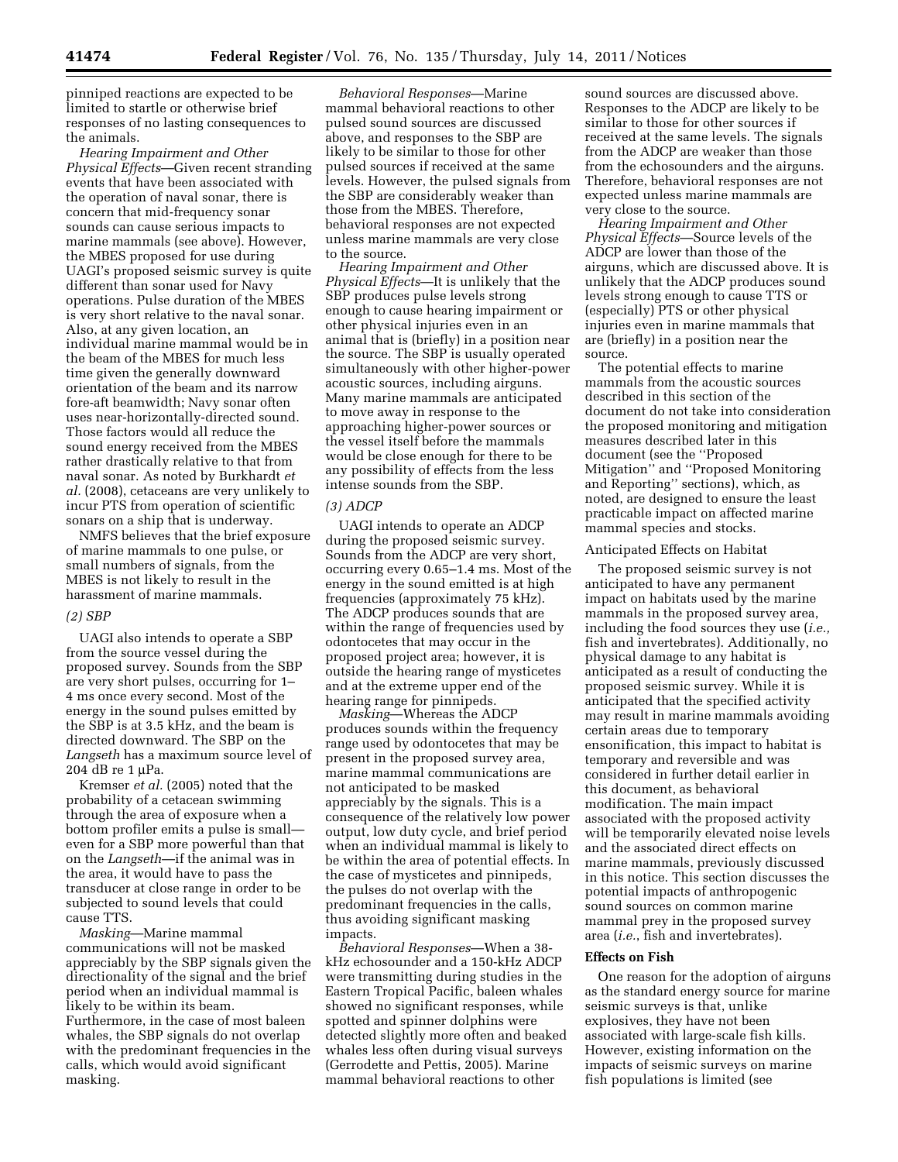pinniped reactions are expected to be limited to startle or otherwise brief responses of no lasting consequences to the animals.

*Hearing Impairment and Other Physical Effects*—Given recent stranding events that have been associated with the operation of naval sonar, there is concern that mid-frequency sonar sounds can cause serious impacts to marine mammals (see above). However, the MBES proposed for use during UAGI's proposed seismic survey is quite different than sonar used for Navy operations. Pulse duration of the MBES is very short relative to the naval sonar. Also, at any given location, an individual marine mammal would be in the beam of the MBES for much less time given the generally downward orientation of the beam and its narrow fore-aft beamwidth; Navy sonar often uses near-horizontally-directed sound. Those factors would all reduce the sound energy received from the MBES rather drastically relative to that from naval sonar. As noted by Burkhardt *et al.* (2008), cetaceans are very unlikely to incur PTS from operation of scientific sonars on a ship that is underway.

NMFS believes that the brief exposure of marine mammals to one pulse, or small numbers of signals, from the MBES is not likely to result in the harassment of marine mammals.

## *(2) SBP*

UAGI also intends to operate a SBP from the source vessel during the proposed survey. Sounds from the SBP are very short pulses, occurring for 1– 4 ms once every second. Most of the energy in the sound pulses emitted by the SBP is at 3.5 kHz, and the beam is directed downward. The SBP on the *Langseth* has a maximum source level of 204 dB re 1 μPa.

Kremser *et al.* (2005) noted that the probability of a cetacean swimming through the area of exposure when a bottom profiler emits a pulse is small even for a SBP more powerful than that on the *Langseth*—if the animal was in the area, it would have to pass the transducer at close range in order to be subjected to sound levels that could cause TTS.

*Masking*—Marine mammal communications will not be masked appreciably by the SBP signals given the directionality of the signal and the brief period when an individual mammal is likely to be within its beam. Furthermore, in the case of most baleen whales, the SBP signals do not overlap with the predominant frequencies in the calls, which would avoid significant masking.

*Behavioral Responses*—Marine mammal behavioral reactions to other pulsed sound sources are discussed above, and responses to the SBP are likely to be similar to those for other pulsed sources if received at the same levels. However, the pulsed signals from the SBP are considerably weaker than those from the MBES. Therefore, behavioral responses are not expected unless marine mammals are very close to the source.

*Hearing Impairment and Other Physical Effects*—It is unlikely that the SBP produces pulse levels strong enough to cause hearing impairment or other physical injuries even in an animal that is (briefly) in a position near the source. The SBP is usually operated simultaneously with other higher-power acoustic sources, including airguns. Many marine mammals are anticipated to move away in response to the approaching higher-power sources or the vessel itself before the mammals would be close enough for there to be any possibility of effects from the less intense sounds from the SBP.

# *(3) ADCP*

UAGI intends to operate an ADCP during the proposed seismic survey. Sounds from the ADCP are very short, occurring every 0.65–1.4 ms. Most of the energy in the sound emitted is at high frequencies (approximately 75 kHz). The ADCP produces sounds that are within the range of frequencies used by odontocetes that may occur in the proposed project area; however, it is outside the hearing range of mysticetes and at the extreme upper end of the hearing range for pinnipeds.

*Masking*—Whereas the ADCP produces sounds within the frequency range used by odontocetes that may be present in the proposed survey area, marine mammal communications are not anticipated to be masked appreciably by the signals. This is a consequence of the relatively low power output, low duty cycle, and brief period when an individual mammal is likely to be within the area of potential effects. In the case of mysticetes and pinnipeds, the pulses do not overlap with the predominant frequencies in the calls, thus avoiding significant masking impacts.

*Behavioral Responses*—When a 38 kHz echosounder and a 150-kHz ADCP were transmitting during studies in the Eastern Tropical Pacific, baleen whales showed no significant responses, while spotted and spinner dolphins were detected slightly more often and beaked whales less often during visual surveys (Gerrodette and Pettis, 2005). Marine mammal behavioral reactions to other

sound sources are discussed above. Responses to the ADCP are likely to be similar to those for other sources if received at the same levels. The signals from the ADCP are weaker than those from the echosounders and the airguns. Therefore, behavioral responses are not expected unless marine mammals are very close to the source.

*Hearing Impairment and Other Physical Effects*—Source levels of the ADCP are lower than those of the airguns, which are discussed above. It is unlikely that the ADCP produces sound levels strong enough to cause TTS or (especially) PTS or other physical injuries even in marine mammals that are (briefly) in a position near the source.

The potential effects to marine mammals from the acoustic sources described in this section of the document do not take into consideration the proposed monitoring and mitigation measures described later in this document (see the ''Proposed Mitigation'' and ''Proposed Monitoring and Reporting'' sections), which, as noted, are designed to ensure the least practicable impact on affected marine mammal species and stocks.

#### Anticipated Effects on Habitat

The proposed seismic survey is not anticipated to have any permanent impact on habitats used by the marine mammals in the proposed survey area, including the food sources they use (*i.e.,*  fish and invertebrates). Additionally, no physical damage to any habitat is anticipated as a result of conducting the proposed seismic survey. While it is anticipated that the specified activity may result in marine mammals avoiding certain areas due to temporary ensonification, this impact to habitat is temporary and reversible and was considered in further detail earlier in this document, as behavioral modification. The main impact associated with the proposed activity will be temporarily elevated noise levels and the associated direct effects on marine mammals, previously discussed in this notice. This section discusses the potential impacts of anthropogenic sound sources on common marine mammal prey in the proposed survey area (*i.e.*, fish and invertebrates).

#### **Effects on Fish**

One reason for the adoption of airguns as the standard energy source for marine seismic surveys is that, unlike explosives, they have not been associated with large-scale fish kills. However, existing information on the impacts of seismic surveys on marine fish populations is limited (see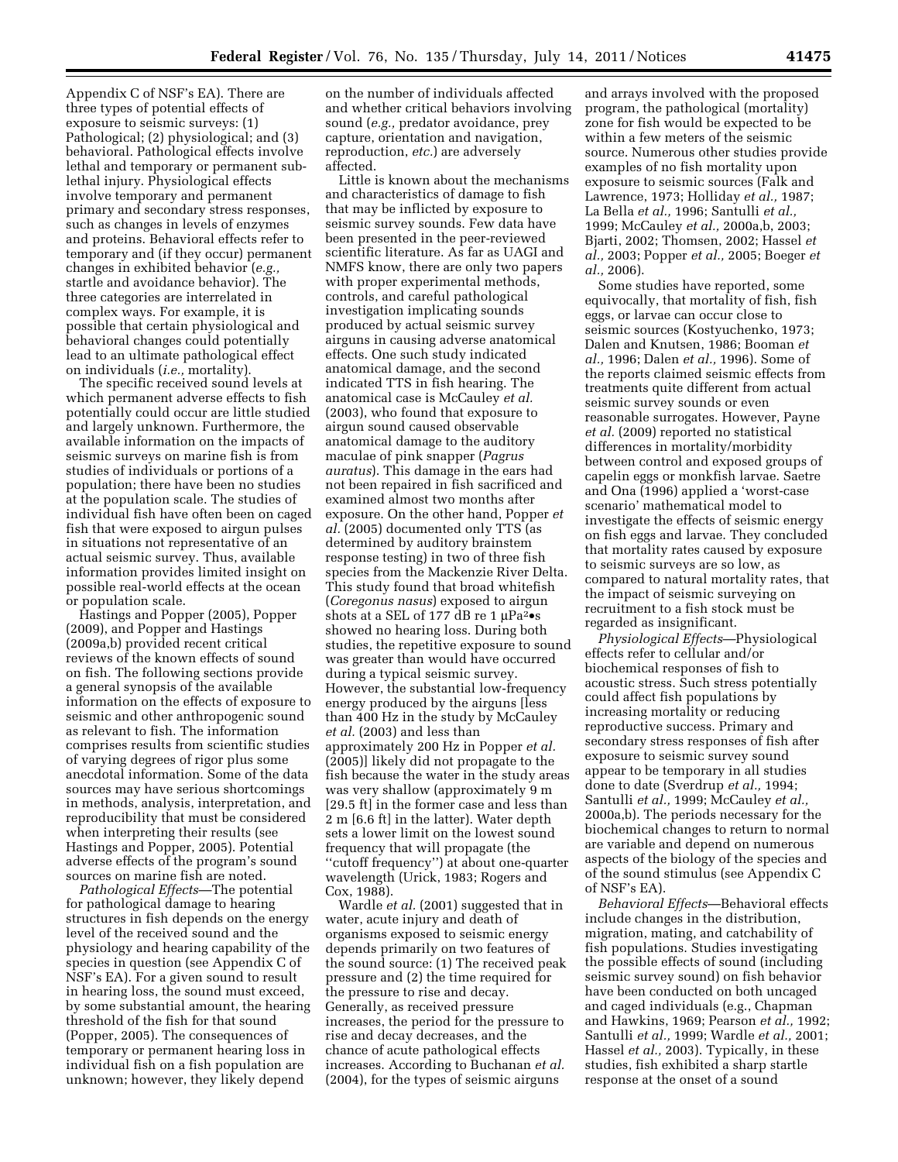Appendix C of NSF's EA). There are three types of potential effects of exposure to seismic surveys: (1) Pathological; (2) physiological; and (3) behavioral. Pathological effects involve lethal and temporary or permanent sublethal injury. Physiological effects involve temporary and permanent primary and secondary stress responses, such as changes in levels of enzymes and proteins. Behavioral effects refer to temporary and (if they occur) permanent changes in exhibited behavior (*e.g.,*  startle and avoidance behavior). The three categories are interrelated in complex ways. For example, it is possible that certain physiological and behavioral changes could potentially lead to an ultimate pathological effect on individuals (*i.e.,* mortality).

The specific received sound levels at which permanent adverse effects to fish potentially could occur are little studied and largely unknown. Furthermore, the available information on the impacts of seismic surveys on marine fish is from studies of individuals or portions of a population; there have been no studies at the population scale. The studies of individual fish have often been on caged fish that were exposed to airgun pulses in situations not representative of an actual seismic survey. Thus, available information provides limited insight on possible real-world effects at the ocean or population scale.

Hastings and Popper (2005), Popper (2009), and Popper and Hastings (2009a,b) provided recent critical reviews of the known effects of sound on fish. The following sections provide a general synopsis of the available information on the effects of exposure to seismic and other anthropogenic sound as relevant to fish. The information comprises results from scientific studies of varying degrees of rigor plus some anecdotal information. Some of the data sources may have serious shortcomings in methods, analysis, interpretation, and reproducibility that must be considered when interpreting their results (see Hastings and Popper, 2005). Potential adverse effects of the program's sound sources on marine fish are noted.

*Pathological Effects*—The potential for pathological damage to hearing structures in fish depends on the energy level of the received sound and the physiology and hearing capability of the species in question (see Appendix C of NSF's EA). For a given sound to result in hearing loss, the sound must exceed, by some substantial amount, the hearing threshold of the fish for that sound (Popper, 2005). The consequences of temporary or permanent hearing loss in individual fish on a fish population are unknown; however, they likely depend

on the number of individuals affected and whether critical behaviors involving sound (*e.g.,* predator avoidance, prey capture, orientation and navigation, reproduction, *etc.*) are adversely affected.

Little is known about the mechanisms and characteristics of damage to fish that may be inflicted by exposure to seismic survey sounds. Few data have been presented in the peer-reviewed scientific literature. As far as UAGI and NMFS know, there are only two papers with proper experimental methods, controls, and careful pathological investigation implicating sounds produced by actual seismic survey airguns in causing adverse anatomical effects. One such study indicated anatomical damage, and the second indicated TTS in fish hearing. The anatomical case is McCauley *et al.*  (2003), who found that exposure to airgun sound caused observable anatomical damage to the auditory maculae of pink snapper (*Pagrus auratus*). This damage in the ears had not been repaired in fish sacrificed and examined almost two months after exposure. On the other hand, Popper *et al.* (2005) documented only TTS (as determined by auditory brainstem response testing) in two of three fish species from the Mackenzie River Delta. This study found that broad whitefish (*Coregonus nasus*) exposed to airgun shots at a SEL of 177 dB re 1 μPa<sup>2</sup>•s showed no hearing loss. During both studies, the repetitive exposure to sound was greater than would have occurred during a typical seismic survey. However, the substantial low-frequency energy produced by the airguns [less than 400 Hz in the study by McCauley *et al.* (2003) and less than approximately 200 Hz in Popper *et al.*  (2005)] likely did not propagate to the fish because the water in the study areas was very shallow (approximately 9 m [29.5 ft] in the former case and less than 2 m [6.6 ft] in the latter). Water depth sets a lower limit on the lowest sound frequency that will propagate (the ''cutoff frequency'') at about one-quarter wavelength (Urick, 1983; Rogers and Cox, 1988).

Wardle *et al.* (2001) suggested that in water, acute injury and death of organisms exposed to seismic energy depends primarily on two features of the sound source: (1) The received peak pressure and (2) the time required for the pressure to rise and decay. Generally, as received pressure increases, the period for the pressure to rise and decay decreases, and the chance of acute pathological effects increases. According to Buchanan *et al.*  (2004), for the types of seismic airguns

and arrays involved with the proposed program, the pathological (mortality) zone for fish would be expected to be within a few meters of the seismic source. Numerous other studies provide examples of no fish mortality upon exposure to seismic sources (Falk and Lawrence, 1973; Holliday *et al.,* 1987; La Bella *et al.,* 1996; Santulli *et al.,*  1999; McCauley *et al.,* 2000a,b, 2003; Bjarti, 2002; Thomsen, 2002; Hassel *et al.,* 2003; Popper *et al.,* 2005; Boeger *et al.,* 2006).

Some studies have reported, some equivocally, that mortality of fish, fish eggs, or larvae can occur close to seismic sources (Kostyuchenko, 1973; Dalen and Knutsen, 1986; Booman *et al.,* 1996; Dalen *et al.,* 1996). Some of the reports claimed seismic effects from treatments quite different from actual seismic survey sounds or even reasonable surrogates. However, Payne *et al.* (2009) reported no statistical differences in mortality/morbidity between control and exposed groups of capelin eggs or monkfish larvae. Saetre and Ona (1996) applied a 'worst-case scenario' mathematical model to investigate the effects of seismic energy on fish eggs and larvae. They concluded that mortality rates caused by exposure to seismic surveys are so low, as compared to natural mortality rates, that the impact of seismic surveying on recruitment to a fish stock must be regarded as insignificant.

*Physiological Effects*—Physiological effects refer to cellular and/or biochemical responses of fish to acoustic stress. Such stress potentially could affect fish populations by increasing mortality or reducing reproductive success. Primary and secondary stress responses of fish after exposure to seismic survey sound appear to be temporary in all studies done to date (Sverdrup *et al.,* 1994; Santulli *et al.,* 1999; McCauley *et al.,*  2000a,b). The periods necessary for the biochemical changes to return to normal are variable and depend on numerous aspects of the biology of the species and of the sound stimulus (see Appendix C of NSF's EA).

*Behavioral Effects*—Behavioral effects include changes in the distribution, migration, mating, and catchability of fish populations. Studies investigating the possible effects of sound (including seismic survey sound) on fish behavior have been conducted on both uncaged and caged individuals (e.g., Chapman and Hawkins, 1969; Pearson *et al.,* 1992; Santulli *et al.,* 1999; Wardle *et al.,* 2001; Hassel *et al.,* 2003). Typically, in these studies, fish exhibited a sharp startle response at the onset of a sound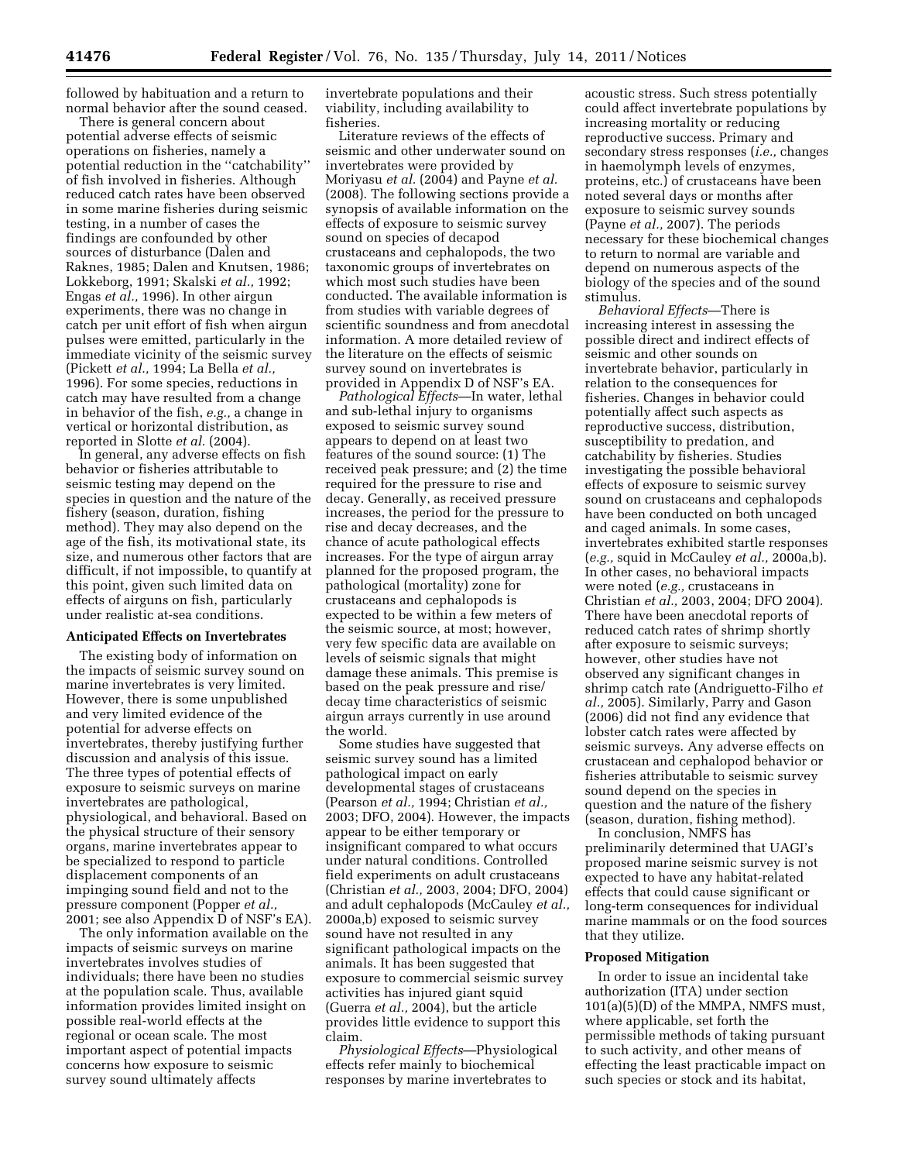followed by habituation and a return to normal behavior after the sound ceased.

There is general concern about potential adverse effects of seismic operations on fisheries, namely a potential reduction in the ''catchability'' of fish involved in fisheries. Although reduced catch rates have been observed in some marine fisheries during seismic testing, in a number of cases the findings are confounded by other sources of disturbance (Dalen and Raknes, 1985; Dalen and Knutsen, 1986; Lokkeborg, 1991; Skalski *et al.,* 1992; Engas *et al.,* 1996). In other airgun experiments, there was no change in catch per unit effort of fish when airgun pulses were emitted, particularly in the immediate vicinity of the seismic survey (Pickett *et al.,* 1994; La Bella *et al.,*  1996). For some species, reductions in catch may have resulted from a change in behavior of the fish, *e.g.,* a change in vertical or horizontal distribution, as reported in Slotte *et al.* (2004).

In general, any adverse effects on fish behavior or fisheries attributable to seismic testing may depend on the species in question and the nature of the fishery (season, duration, fishing method). They may also depend on the age of the fish, its motivational state, its size, and numerous other factors that are difficult, if not impossible, to quantify at this point, given such limited data on effects of airguns on fish, particularly under realistic at-sea conditions.

### **Anticipated Effects on Invertebrates**

The existing body of information on the impacts of seismic survey sound on marine invertebrates is very limited. However, there is some unpublished and very limited evidence of the potential for adverse effects on invertebrates, thereby justifying further discussion and analysis of this issue. The three types of potential effects of exposure to seismic surveys on marine invertebrates are pathological, physiological, and behavioral. Based on the physical structure of their sensory organs, marine invertebrates appear to be specialized to respond to particle displacement components of an impinging sound field and not to the pressure component (Popper *et al.,*  2001; see also Appendix D of NSF's EA).

The only information available on the impacts of seismic surveys on marine invertebrates involves studies of individuals; there have been no studies at the population scale. Thus, available information provides limited insight on possible real-world effects at the regional or ocean scale. The most important aspect of potential impacts concerns how exposure to seismic survey sound ultimately affects

invertebrate populations and their viability, including availability to fisheries.

Literature reviews of the effects of seismic and other underwater sound on invertebrates were provided by Moriyasu *et al.* (2004) and Payne *et al.*  (2008). The following sections provide a synopsis of available information on the effects of exposure to seismic survey sound on species of decapod crustaceans and cephalopods, the two taxonomic groups of invertebrates on which most such studies have been conducted. The available information is from studies with variable degrees of scientific soundness and from anecdotal information. A more detailed review of the literature on the effects of seismic survey sound on invertebrates is provided in Appendix D of NSF's EA.

*Pathological Effects*—In water, lethal and sub-lethal injury to organisms exposed to seismic survey sound appears to depend on at least two features of the sound source: (1) The received peak pressure; and (2) the time required for the pressure to rise and decay. Generally, as received pressure increases, the period for the pressure to rise and decay decreases, and the chance of acute pathological effects increases. For the type of airgun array planned for the proposed program, the pathological (mortality) zone for crustaceans and cephalopods is expected to be within a few meters of the seismic source, at most; however, very few specific data are available on levels of seismic signals that might damage these animals. This premise is based on the peak pressure and rise/ decay time characteristics of seismic airgun arrays currently in use around the world.

Some studies have suggested that seismic survey sound has a limited pathological impact on early developmental stages of crustaceans (Pearson *et al.,* 1994; Christian *et al.,*  2003; DFO, 2004). However, the impacts appear to be either temporary or insignificant compared to what occurs under natural conditions. Controlled field experiments on adult crustaceans (Christian *et al.,* 2003, 2004; DFO, 2004) and adult cephalopods (McCauley *et al.,*  2000a,b) exposed to seismic survey sound have not resulted in any significant pathological impacts on the animals. It has been suggested that exposure to commercial seismic survey activities has injured giant squid (Guerra *et al.,* 2004), but the article provides little evidence to support this claim.

*Physiological Effects*—Physiological effects refer mainly to biochemical responses by marine invertebrates to

acoustic stress. Such stress potentially could affect invertebrate populations by increasing mortality or reducing reproductive success. Primary and secondary stress responses (*i.e.,* changes in haemolymph levels of enzymes, proteins, etc.) of crustaceans have been noted several days or months after exposure to seismic survey sounds (Payne *et al.,* 2007). The periods necessary for these biochemical changes to return to normal are variable and depend on numerous aspects of the biology of the species and of the sound stimulus.

*Behavioral Effects*—There is increasing interest in assessing the possible direct and indirect effects of seismic and other sounds on invertebrate behavior, particularly in relation to the consequences for fisheries. Changes in behavior could potentially affect such aspects as reproductive success, distribution, susceptibility to predation, and catchability by fisheries. Studies investigating the possible behavioral effects of exposure to seismic survey sound on crustaceans and cephalopods have been conducted on both uncaged and caged animals. In some cases, invertebrates exhibited startle responses (*e.g.,* squid in McCauley *et al.,* 2000a,b). In other cases, no behavioral impacts were noted (*e.g.,* crustaceans in Christian *et al.,* 2003, 2004; DFO 2004). There have been anecdotal reports of reduced catch rates of shrimp shortly after exposure to seismic surveys; however, other studies have not observed any significant changes in shrimp catch rate (Andriguetto-Filho *et al.,* 2005). Similarly, Parry and Gason (2006) did not find any evidence that lobster catch rates were affected by seismic surveys. Any adverse effects on crustacean and cephalopod behavior or fisheries attributable to seismic survey sound depend on the species in question and the nature of the fishery (season, duration, fishing method).

In conclusion, NMFS has preliminarily determined that UAGI's proposed marine seismic survey is not expected to have any habitat-related effects that could cause significant or long-term consequences for individual marine mammals or on the food sources that they utilize.

#### **Proposed Mitigation**

In order to issue an incidental take authorization (ITA) under section 101(a)(5)(D) of the MMPA, NMFS must, where applicable, set forth the permissible methods of taking pursuant to such activity, and other means of effecting the least practicable impact on such species or stock and its habitat,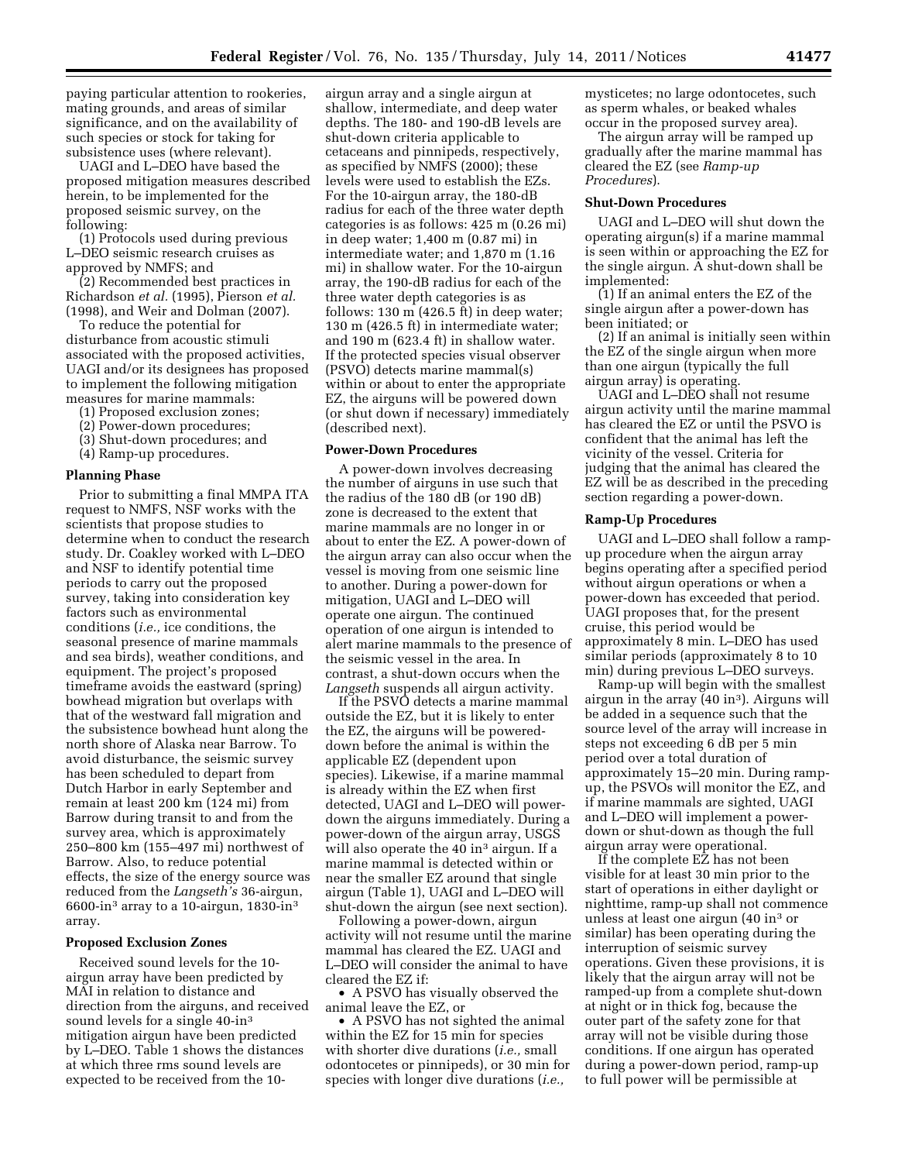paying particular attention to rookeries, mating grounds, and areas of similar significance, and on the availability of such species or stock for taking for subsistence uses (where relevant).

UAGI and L–DEO have based the proposed mitigation measures described herein, to be implemented for the proposed seismic survey, on the following:

(1) Protocols used during previous L–DEO seismic research cruises as approved by NMFS; and

(2) Recommended best practices in Richardson *et al.* (1995), Pierson *et al.*  (1998), and Weir and Dolman (2007).

To reduce the potential for disturbance from acoustic stimuli associated with the proposed activities, UAGI and/or its designees has proposed to implement the following mitigation measures for marine mammals:

- (1) Proposed exclusion zones;
- (2) Power-down procedures;
- (3) Shut-down procedures; and
- (4) Ramp-up procedures.

### **Planning Phase**

Prior to submitting a final MMPA ITA request to NMFS, NSF works with the scientists that propose studies to determine when to conduct the research study. Dr. Coakley worked with L–DEO and NSF to identify potential time periods to carry out the proposed survey, taking into consideration key factors such as environmental conditions (*i.e.,* ice conditions, the seasonal presence of marine mammals and sea birds), weather conditions, and equipment. The project's proposed timeframe avoids the eastward (spring) bowhead migration but overlaps with that of the westward fall migration and the subsistence bowhead hunt along the north shore of Alaska near Barrow. To avoid disturbance, the seismic survey has been scheduled to depart from Dutch Harbor in early September and remain at least 200 km (124 mi) from Barrow during transit to and from the survey area, which is approximately 250–800 km (155–497 mi) northwest of Barrow. Also, to reduce potential effects, the size of the energy source was reduced from the *Langseth's* 36-airgun, 6600-in<sup>3</sup> array to a 10-airgun,  $1830$ -in<sup>3</sup> array.

#### **Proposed Exclusion Zones**

Received sound levels for the 10 airgun array have been predicted by MAI in relation to distance and direction from the airguns, and received sound levels for a single 40-in3 mitigation airgun have been predicted by L–DEO. Table 1 shows the distances at which three rms sound levels are expected to be received from the 10-

airgun array and a single airgun at shallow, intermediate, and deep water depths. The 180- and 190-dB levels are shut-down criteria applicable to cetaceans and pinnipeds, respectively, as specified by NMFS (2000); these levels were used to establish the EZs. For the 10-airgun array, the 180-dB radius for each of the three water depth categories is as follows: 425 m (0.26 mi) in deep water; 1,400 m (0.87 mi) in intermediate water; and 1,870 m (1.16 mi) in shallow water. For the 10-airgun array, the 190-dB radius for each of the three water depth categories is as follows: 130 m (426.5 ft) in deep water; 130 m (426.5 ft) in intermediate water; and 190 m (623.4 ft) in shallow water. If the protected species visual observer (PSVO) detects marine mammal(s) within or about to enter the appropriate EZ, the airguns will be powered down (or shut down if necessary) immediately (described next).

# **Power-Down Procedures**

A power-down involves decreasing the number of airguns in use such that the radius of the 180 dB (or 190 dB) zone is decreased to the extent that marine mammals are no longer in or about to enter the EZ. A power-down of the airgun array can also occur when the vessel is moving from one seismic line to another. During a power-down for mitigation, UAGI and L–DEO will operate one airgun. The continued operation of one airgun is intended to alert marine mammals to the presence of the seismic vessel in the area. In contrast, a shut-down occurs when the *Langseth* suspends all airgun activity.

If the PSVO detects a marine mammal outside the EZ, but it is likely to enter the EZ, the airguns will be powereddown before the animal is within the applicable EZ (dependent upon species). Likewise, if a marine mammal is already within the EZ when first detected, UAGI and L–DEO will powerdown the airguns immediately. During a power-down of the airgun array, USGS will also operate the 40 in<sup>3</sup> airgun. If a marine mammal is detected within or near the smaller EZ around that single airgun (Table 1), UAGI and L–DEO will shut-down the airgun (see next section).

Following a power-down, airgun activity will not resume until the marine mammal has cleared the EZ. UAGI and L–DEO will consider the animal to have cleared the EZ if:

• A PSVO has visually observed the animal leave the EZ, or

• A PSVO has not sighted the animal within the EZ for 15 min for species with shorter dive durations (*i.e.,* small odontocetes or pinnipeds), or 30 min for species with longer dive durations (*i.e.,* 

mysticetes; no large odontocetes, such as sperm whales, or beaked whales occur in the proposed survey area).

The airgun array will be ramped up gradually after the marine mammal has cleared the EZ (see *Ramp-up Procedures*).

# **Shut-Down Procedures**

UAGI and L–DEO will shut down the operating airgun(s) if a marine mammal is seen within or approaching the EZ for the single airgun. A shut-down shall be implemented:

(1) If an animal enters the EZ of the single airgun after a power-down has been initiated; or

(2) If an animal is initially seen within the EZ of the single airgun when more than one airgun (typically the full airgun array) is operating.

UAGI and L–DEO shall not resume airgun activity until the marine mammal has cleared the EZ or until the PSVO is confident that the animal has left the vicinity of the vessel. Criteria for judging that the animal has cleared the EZ will be as described in the preceding section regarding a power-down.

### **Ramp-Up Procedures**

UAGI and L–DEO shall follow a rampup procedure when the airgun array begins operating after a specified period without airgun operations or when a power-down has exceeded that period. UAGI proposes that, for the present cruise, this period would be approximately 8 min. L–DEO has used similar periods (approximately 8 to 10 min) during previous L–DEO surveys.

Ramp-up will begin with the smallest airgun in the array (40 in3). Airguns will be added in a sequence such that the source level of the array will increase in steps not exceeding 6 dB per 5 min period over a total duration of approximately 15–20 min. During rampup, the PSVOs will monitor the EZ, and if marine mammals are sighted, UAGI and L–DEO will implement a powerdown or shut-down as though the full airgun array were operational.

If the complete EZ has not been visible for at least 30 min prior to the start of operations in either daylight or nighttime, ramp-up shall not commence unless at least one airgun (40 in3 or similar) has been operating during the interruption of seismic survey operations. Given these provisions, it is likely that the airgun array will not be ramped-up from a complete shut-down at night or in thick fog, because the outer part of the safety zone for that array will not be visible during those conditions. If one airgun has operated during a power-down period, ramp-up to full power will be permissible at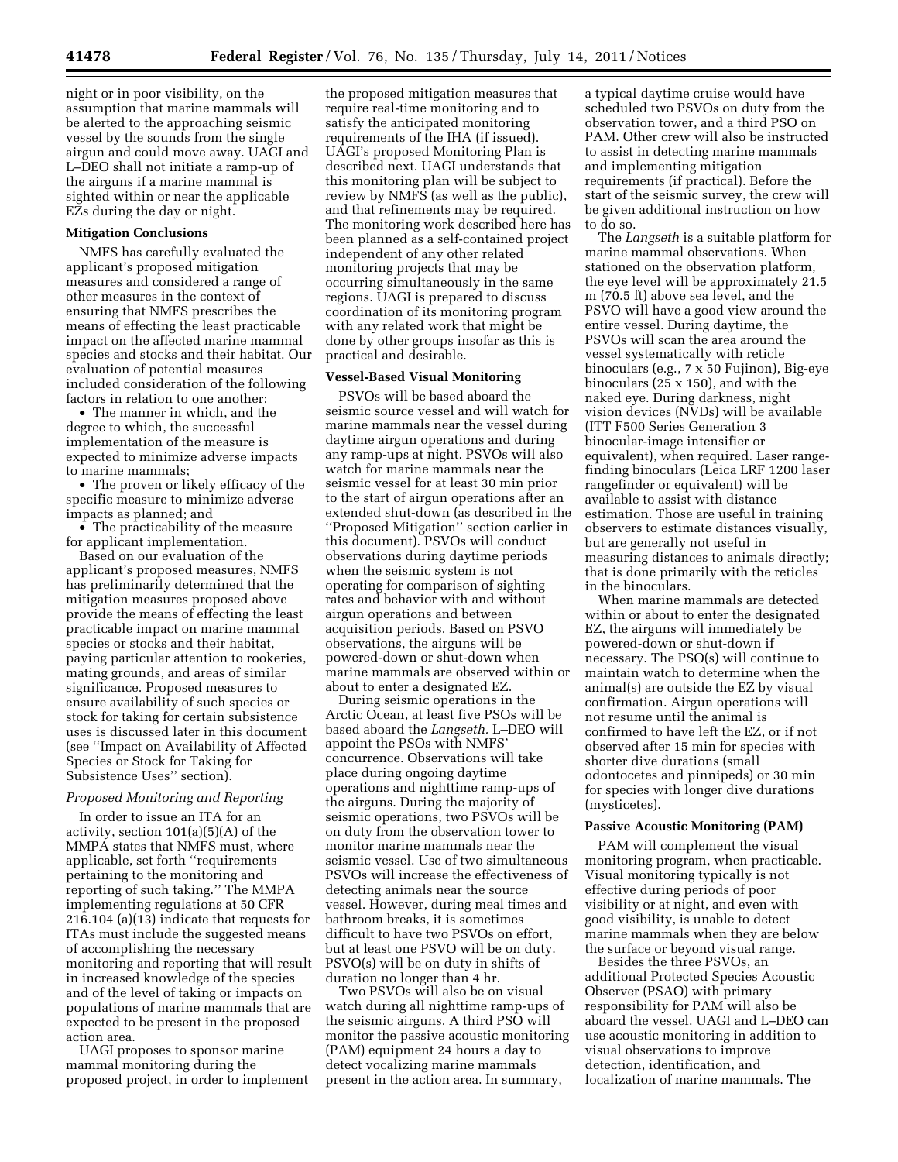night or in poor visibility, on the assumption that marine mammals will be alerted to the approaching seismic vessel by the sounds from the single airgun and could move away. UAGI and L–DEO shall not initiate a ramp-up of the airguns if a marine mammal is sighted within or near the applicable EZs during the day or night.

## **Mitigation Conclusions**

NMFS has carefully evaluated the applicant's proposed mitigation measures and considered a range of other measures in the context of ensuring that NMFS prescribes the means of effecting the least practicable impact on the affected marine mammal species and stocks and their habitat. Our evaluation of potential measures included consideration of the following factors in relation to one another:

• The manner in which, and the degree to which, the successful implementation of the measure is expected to minimize adverse impacts to marine mammals;

• The proven or likely efficacy of the specific measure to minimize adverse impacts as planned; and

• The practicability of the measure for applicant implementation.

Based on our evaluation of the applicant's proposed measures, NMFS has preliminarily determined that the mitigation measures proposed above provide the means of effecting the least practicable impact on marine mammal species or stocks and their habitat, paying particular attention to rookeries, mating grounds, and areas of similar significance. Proposed measures to ensure availability of such species or stock for taking for certain subsistence uses is discussed later in this document (see ''Impact on Availability of Affected Species or Stock for Taking for Subsistence Uses'' section).

# *Proposed Monitoring and Reporting*

In order to issue an ITA for an activity, section 101(a)(5)(A) of the MMPA states that NMFS must, where applicable, set forth ''requirements pertaining to the monitoring and reporting of such taking.'' The MMPA implementing regulations at 50 CFR 216.104 (a)(13) indicate that requests for ITAs must include the suggested means of accomplishing the necessary monitoring and reporting that will result in increased knowledge of the species and of the level of taking or impacts on populations of marine mammals that are expected to be present in the proposed action area.

UAGI proposes to sponsor marine mammal monitoring during the proposed project, in order to implement

the proposed mitigation measures that require real-time monitoring and to satisfy the anticipated monitoring requirements of the IHA (if issued). UAGI's proposed Monitoring Plan is described next. UAGI understands that this monitoring plan will be subject to review by NMFS (as well as the public), and that refinements may be required. The monitoring work described here has been planned as a self-contained project independent of any other related monitoring projects that may be occurring simultaneously in the same regions. UAGI is prepared to discuss coordination of its monitoring program with any related work that might be done by other groups insofar as this is practical and desirable.

## **Vessel-Based Visual Monitoring**

PSVOs will be based aboard the seismic source vessel and will watch for marine mammals near the vessel during daytime airgun operations and during any ramp-ups at night. PSVOs will also watch for marine mammals near the seismic vessel for at least 30 min prior to the start of airgun operations after an extended shut-down (as described in the ''Proposed Mitigation'' section earlier in this document). PSVOs will conduct observations during daytime periods when the seismic system is not operating for comparison of sighting rates and behavior with and without airgun operations and between acquisition periods. Based on PSVO observations, the airguns will be powered-down or shut-down when marine mammals are observed within or about to enter a designated EZ.

During seismic operations in the Arctic Ocean, at least five PSOs will be based aboard the *Langseth.* L–DEO will appoint the PSOs with NMFS' concurrence. Observations will take place during ongoing daytime operations and nighttime ramp-ups of the airguns. During the majority of seismic operations, two PSVOs will be on duty from the observation tower to monitor marine mammals near the seismic vessel. Use of two simultaneous PSVOs will increase the effectiveness of detecting animals near the source vessel. However, during meal times and bathroom breaks, it is sometimes difficult to have two PSVOs on effort, but at least one PSVO will be on duty. PSVO(s) will be on duty in shifts of duration no longer than 4 hr.

Two PSVOs will also be on visual watch during all nighttime ramp-ups of the seismic airguns. A third PSO will monitor the passive acoustic monitoring (PAM) equipment 24 hours a day to detect vocalizing marine mammals present in the action area. In summary,

a typical daytime cruise would have scheduled two PSVOs on duty from the observation tower, and a third PSO on PAM. Other crew will also be instructed to assist in detecting marine mammals and implementing mitigation requirements (if practical). Before the start of the seismic survey, the crew will be given additional instruction on how to do so.

The *Langseth* is a suitable platform for marine mammal observations. When stationed on the observation platform, the eye level will be approximately 21.5 m (70.5 ft) above sea level, and the PSVO will have a good view around the entire vessel. During daytime, the PSVOs will scan the area around the vessel systematically with reticle binoculars (e.g., 7 x 50 Fujinon), Big-eye binoculars (25 x 150), and with the naked eye. During darkness, night vision devices (NVDs) will be available (ITT F500 Series Generation 3 binocular-image intensifier or equivalent), when required. Laser rangefinding binoculars (Leica LRF 1200 laser rangefinder or equivalent) will be available to assist with distance estimation. Those are useful in training observers to estimate distances visually, but are generally not useful in measuring distances to animals directly; that is done primarily with the reticles in the binoculars.

When marine mammals are detected within or about to enter the designated EZ, the airguns will immediately be powered-down or shut-down if necessary. The PSO(s) will continue to maintain watch to determine when the animal(s) are outside the EZ by visual confirmation. Airgun operations will not resume until the animal is confirmed to have left the EZ, or if not observed after 15 min for species with shorter dive durations (small odontocetes and pinnipeds) or 30 min for species with longer dive durations (mysticetes).

#### **Passive Acoustic Monitoring (PAM)**

PAM will complement the visual monitoring program, when practicable. Visual monitoring typically is not effective during periods of poor visibility or at night, and even with good visibility, is unable to detect marine mammals when they are below the surface or beyond visual range.

Besides the three PSVOs, an additional Protected Species Acoustic Observer (PSAO) with primary responsibility for PAM will also be aboard the vessel. UAGI and L–DEO can use acoustic monitoring in addition to visual observations to improve detection, identification, and localization of marine mammals. The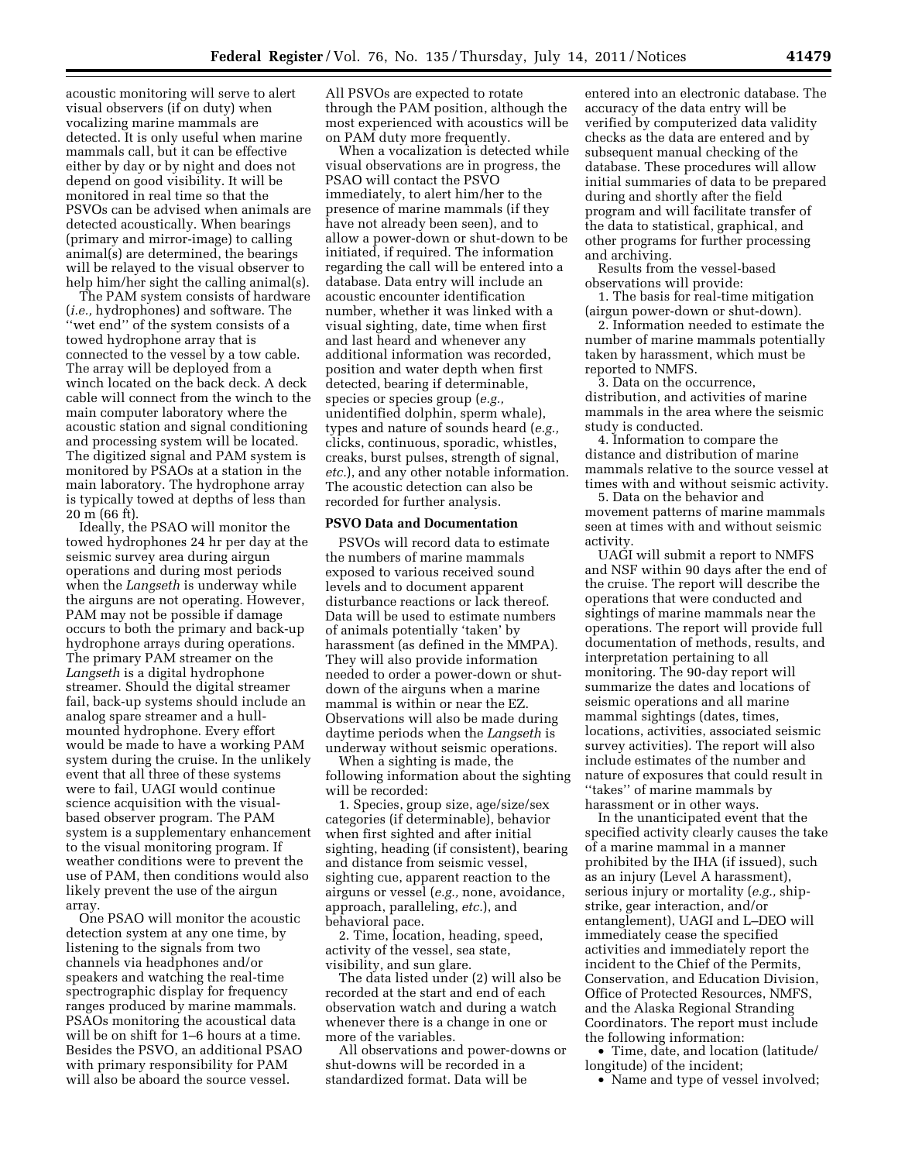acoustic monitoring will serve to alert visual observers (if on duty) when vocalizing marine mammals are detected. It is only useful when marine mammals call, but it can be effective either by day or by night and does not depend on good visibility. It will be monitored in real time so that the PSVOs can be advised when animals are detected acoustically. When bearings (primary and mirror-image) to calling animal(s) are determined, the bearings will be relayed to the visual observer to help him/her sight the calling animal(s).

The PAM system consists of hardware (*i.e.,* hydrophones) and software. The 'wet end'' of the system consists of a towed hydrophone array that is connected to the vessel by a tow cable. The array will be deployed from a winch located on the back deck. A deck cable will connect from the winch to the main computer laboratory where the acoustic station and signal conditioning and processing system will be located. The digitized signal and PAM system is monitored by PSAOs at a station in the main laboratory. The hydrophone array is typically towed at depths of less than 20 m (66 ft).

Ideally, the PSAO will monitor the towed hydrophones 24 hr per day at the seismic survey area during airgun operations and during most periods when the *Langseth* is underway while the airguns are not operating. However, PAM may not be possible if damage occurs to both the primary and back-up hydrophone arrays during operations. The primary PAM streamer on the *Langseth* is a digital hydrophone streamer. Should the digital streamer fail, back-up systems should include an analog spare streamer and a hullmounted hydrophone. Every effort would be made to have a working PAM system during the cruise. In the unlikely event that all three of these systems were to fail, UAGI would continue science acquisition with the visualbased observer program. The PAM system is a supplementary enhancement to the visual monitoring program. If weather conditions were to prevent the use of PAM, then conditions would also likely prevent the use of the airgun array.

One PSAO will monitor the acoustic detection system at any one time, by listening to the signals from two channels via headphones and/or speakers and watching the real-time spectrographic display for frequency ranges produced by marine mammals. PSAOs monitoring the acoustical data will be on shift for 1–6 hours at a time. Besides the PSVO, an additional PSAO with primary responsibility for PAM will also be aboard the source vessel.

All PSVOs are expected to rotate through the PAM position, although the most experienced with acoustics will be on PAM duty more frequently.

When a vocalization is detected while visual observations are in progress, the PSAO will contact the PSVO immediately, to alert him/her to the presence of marine mammals (if they have not already been seen), and to allow a power-down or shut-down to be initiated, if required. The information regarding the call will be entered into a database. Data entry will include an acoustic encounter identification number, whether it was linked with a visual sighting, date, time when first and last heard and whenever any additional information was recorded, position and water depth when first detected, bearing if determinable, species or species group (*e.g.,*  unidentified dolphin, sperm whale), types and nature of sounds heard (*e.g.,*  clicks, continuous, sporadic, whistles, creaks, burst pulses, strength of signal, *etc.*), and any other notable information. The acoustic detection can also be recorded for further analysis.

### **PSVO Data and Documentation**

PSVOs will record data to estimate the numbers of marine mammals exposed to various received sound levels and to document apparent disturbance reactions or lack thereof. Data will be used to estimate numbers of animals potentially 'taken' by harassment (as defined in the MMPA). They will also provide information needed to order a power-down or shutdown of the airguns when a marine mammal is within or near the EZ. Observations will also be made during daytime periods when the *Langseth* is underway without seismic operations.

When a sighting is made, the following information about the sighting will be recorded:

1. Species, group size, age/size/sex categories (if determinable), behavior when first sighted and after initial sighting, heading (if consistent), bearing and distance from seismic vessel, sighting cue, apparent reaction to the airguns or vessel (*e.g.,* none, avoidance, approach, paralleling, *etc.*), and behavioral pace.

2. Time, location, heading, speed, activity of the vessel, sea state, visibility, and sun glare.

The data listed under (2) will also be recorded at the start and end of each observation watch and during a watch whenever there is a change in one or more of the variables.

All observations and power-downs or shut-downs will be recorded in a standardized format. Data will be

entered into an electronic database. The accuracy of the data entry will be verified by computerized data validity checks as the data are entered and by subsequent manual checking of the database. These procedures will allow initial summaries of data to be prepared during and shortly after the field program and will facilitate transfer of the data to statistical, graphical, and other programs for further processing and archiving.

Results from the vessel-based observations will provide:

1. The basis for real-time mitigation (airgun power-down or shut-down).

2. Information needed to estimate the number of marine mammals potentially taken by harassment, which must be reported to NMFS.

3. Data on the occurrence, distribution, and activities of marine mammals in the area where the seismic study is conducted.

4. Information to compare the distance and distribution of marine mammals relative to the source vessel at times with and without seismic activity.

5. Data on the behavior and movement patterns of marine mammals seen at times with and without seismic activity.

UAGI will submit a report to NMFS and NSF within 90 days after the end of the cruise. The report will describe the operations that were conducted and sightings of marine mammals near the operations. The report will provide full documentation of methods, results, and interpretation pertaining to all monitoring. The 90-day report will summarize the dates and locations of seismic operations and all marine mammal sightings (dates, times, locations, activities, associated seismic survey activities). The report will also include estimates of the number and nature of exposures that could result in ''takes'' of marine mammals by harassment or in other ways.

In the unanticipated event that the specified activity clearly causes the take of a marine mammal in a manner prohibited by the IHA (if issued), such as an injury (Level A harassment), serious injury or mortality (*e.g.,* shipstrike, gear interaction, and/or entanglement), UAGI and L–DEO will immediately cease the specified activities and immediately report the incident to the Chief of the Permits, Conservation, and Education Division, Office of Protected Resources, NMFS, and the Alaska Regional Stranding Coordinators. The report must include the following information:

• Time, date, and location (latitude/ longitude) of the incident; • Name and type of vessel involved;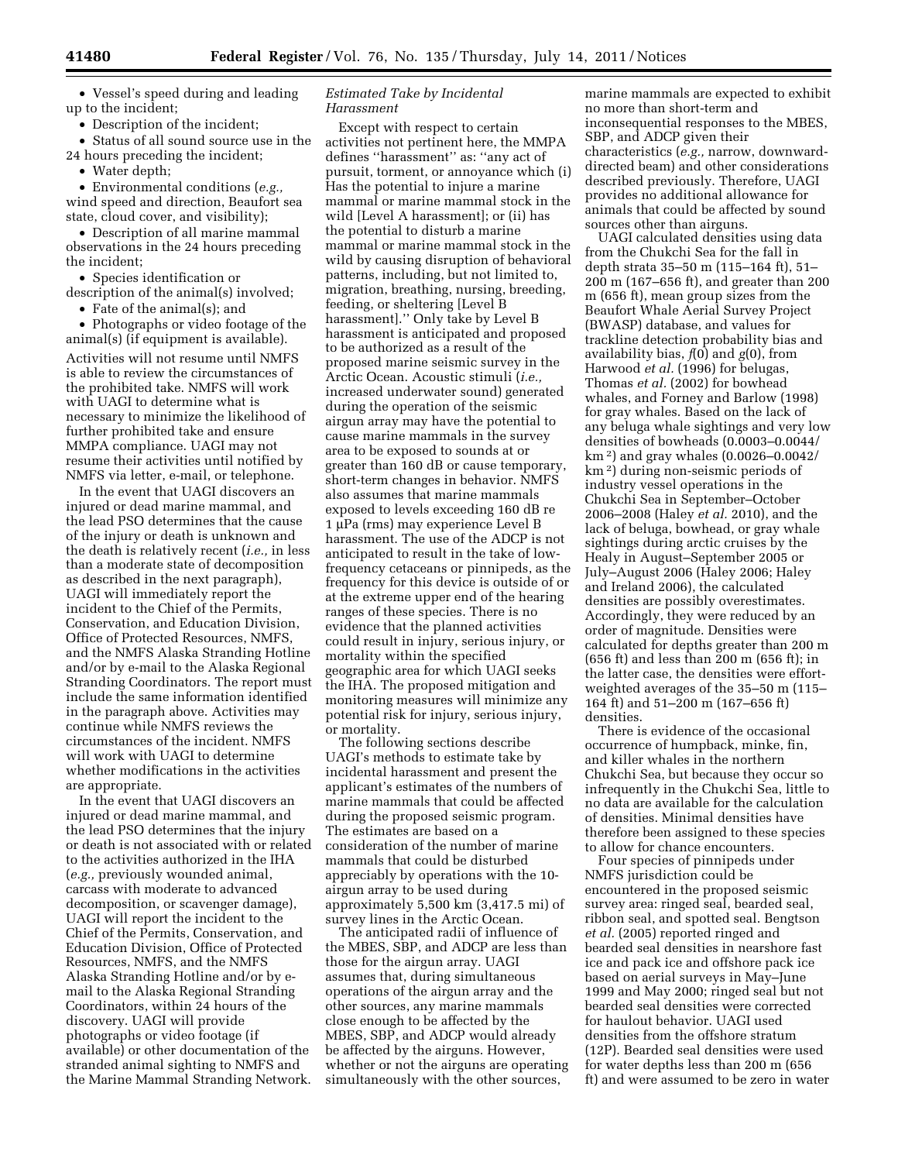• Vessel's speed during and leading up to the incident;

• Description of the incident;

• Status of all sound source use in the 24 hours preceding the incident;

• Water depth;

• Environmental conditions (*e.g.,*  wind speed and direction, Beaufort sea state, cloud cover, and visibility);

• Description of all marine mammal observations in the 24 hours preceding the incident;

• Species identification or

description of the animal(s) involved; • Fate of the animal(s); and

• Photographs or video footage of the

animal(s) (if equipment is available). Activities will not resume until NMFS is able to review the circumstances of the prohibited take. NMFS will work with UAGI to determine what is necessary to minimize the likelihood of further prohibited take and ensure

MMPA compliance. UAGI may not resume their activities until notified by NMFS via letter, e-mail, or telephone. In the event that UAGI discovers an

injured or dead marine mammal, and the lead PSO determines that the cause of the injury or death is unknown and the death is relatively recent (*i.e.,* in less than a moderate state of decomposition as described in the next paragraph), UAGI will immediately report the incident to the Chief of the Permits, Conservation, and Education Division, Office of Protected Resources, NMFS, and the NMFS Alaska Stranding Hotline and/or by e-mail to the Alaska Regional Stranding Coordinators. The report must include the same information identified in the paragraph above. Activities may continue while NMFS reviews the circumstances of the incident. NMFS will work with UAGI to determine whether modifications in the activities are appropriate.

In the event that UAGI discovers an injured or dead marine mammal, and the lead PSO determines that the injury or death is not associated with or related to the activities authorized in the IHA (*e.g.,* previously wounded animal, carcass with moderate to advanced decomposition, or scavenger damage), UAGI will report the incident to the Chief of the Permits, Conservation, and Education Division, Office of Protected Resources, NMFS, and the NMFS Alaska Stranding Hotline and/or by email to the Alaska Regional Stranding Coordinators, within 24 hours of the discovery. UAGI will provide photographs or video footage (if available) or other documentation of the stranded animal sighting to NMFS and the Marine Mammal Stranding Network.

## *Estimated Take by Incidental Harassment*

Except with respect to certain activities not pertinent here, the MMPA defines ''harassment'' as: ''any act of pursuit, torment, or annoyance which (i) Has the potential to injure a marine mammal or marine mammal stock in the wild [Level A harassment]; or (ii) has the potential to disturb a marine mammal or marine mammal stock in the wild by causing disruption of behavioral patterns, including, but not limited to, migration, breathing, nursing, breeding, feeding, or sheltering [Level B harassment].'' Only take by Level B harassment is anticipated and proposed to be authorized as a result of the proposed marine seismic survey in the Arctic Ocean. Acoustic stimuli (*i.e.,*  increased underwater sound) generated during the operation of the seismic airgun array may have the potential to cause marine mammals in the survey area to be exposed to sounds at or greater than 160 dB or cause temporary, short-term changes in behavior. NMFS also assumes that marine mammals exposed to levels exceeding 160 dB re 1 μPa (rms) may experience Level B harassment. The use of the ADCP is not anticipated to result in the take of lowfrequency cetaceans or pinnipeds, as the frequency for this device is outside of or at the extreme upper end of the hearing ranges of these species. There is no evidence that the planned activities could result in injury, serious injury, or mortality within the specified geographic area for which UAGI seeks the IHA. The proposed mitigation and monitoring measures will minimize any potential risk for injury, serious injury, or mortality.

The following sections describe UAGI's methods to estimate take by incidental harassment and present the applicant's estimates of the numbers of marine mammals that could be affected during the proposed seismic program. The estimates are based on a consideration of the number of marine mammals that could be disturbed appreciably by operations with the 10 airgun array to be used during approximately 5,500 km (3,417.5 mi) of survey lines in the Arctic Ocean.

The anticipated radii of influence of the MBES, SBP, and ADCP are less than those for the airgun array. UAGI assumes that, during simultaneous operations of the airgun array and the other sources, any marine mammals close enough to be affected by the MBES, SBP, and ADCP would already be affected by the airguns. However, whether or not the airguns are operating simultaneously with the other sources,

marine mammals are expected to exhibit no more than short-term and inconsequential responses to the MBES, SBP, and ADCP given their characteristics (*e.g.,* narrow, downwarddirected beam) and other considerations described previously. Therefore, UAGI provides no additional allowance for animals that could be affected by sound sources other than airguns.

UAGI calculated densities using data from the Chukchi Sea for the fall in depth strata 35–50 m (115–164 ft), 51– 200 m (167–656 ft), and greater than 200 m (656 ft), mean group sizes from the Beaufort Whale Aerial Survey Project (BWASP) database, and values for trackline detection probability bias and availability bias, *f*(0) and *g*(0), from Harwood *et al.* (1996) for belugas, Thomas *et al.* (2002) for bowhead whales, and Forney and Barlow (1998) for gray whales. Based on the lack of any beluga whale sightings and very low densities of bowheads (0.0003–0.0044/ km 2) and gray whales (0.0026–0.0042/ km 2) during non-seismic periods of industry vessel operations in the Chukchi Sea in September–October 2006–2008 (Haley *et al.* 2010), and the lack of beluga, bowhead, or gray whale sightings during arctic cruises by the Healy in August–September 2005 or July–August 2006 (Haley 2006; Haley and Ireland 2006), the calculated densities are possibly overestimates. Accordingly, they were reduced by an order of magnitude. Densities were calculated for depths greater than 200 m (656 ft) and less than 200 m (656 ft); in the latter case, the densities were effortweighted averages of the 35–50 m (115– 164 ft) and 51–200 m (167–656 ft) densities.

There is evidence of the occasional occurrence of humpback, minke, fin, and killer whales in the northern Chukchi Sea, but because they occur so infrequently in the Chukchi Sea, little to no data are available for the calculation of densities. Minimal densities have therefore been assigned to these species to allow for chance encounters.

Four species of pinnipeds under NMFS jurisdiction could be encountered in the proposed seismic survey area: ringed seal, bearded seal, ribbon seal, and spotted seal. Bengtson *et al.* (2005) reported ringed and bearded seal densities in nearshore fast ice and pack ice and offshore pack ice based on aerial surveys in May–June 1999 and May 2000; ringed seal but not bearded seal densities were corrected for haulout behavior. UAGI used densities from the offshore stratum (12P). Bearded seal densities were used for water depths less than 200 m (656 ft) and were assumed to be zero in water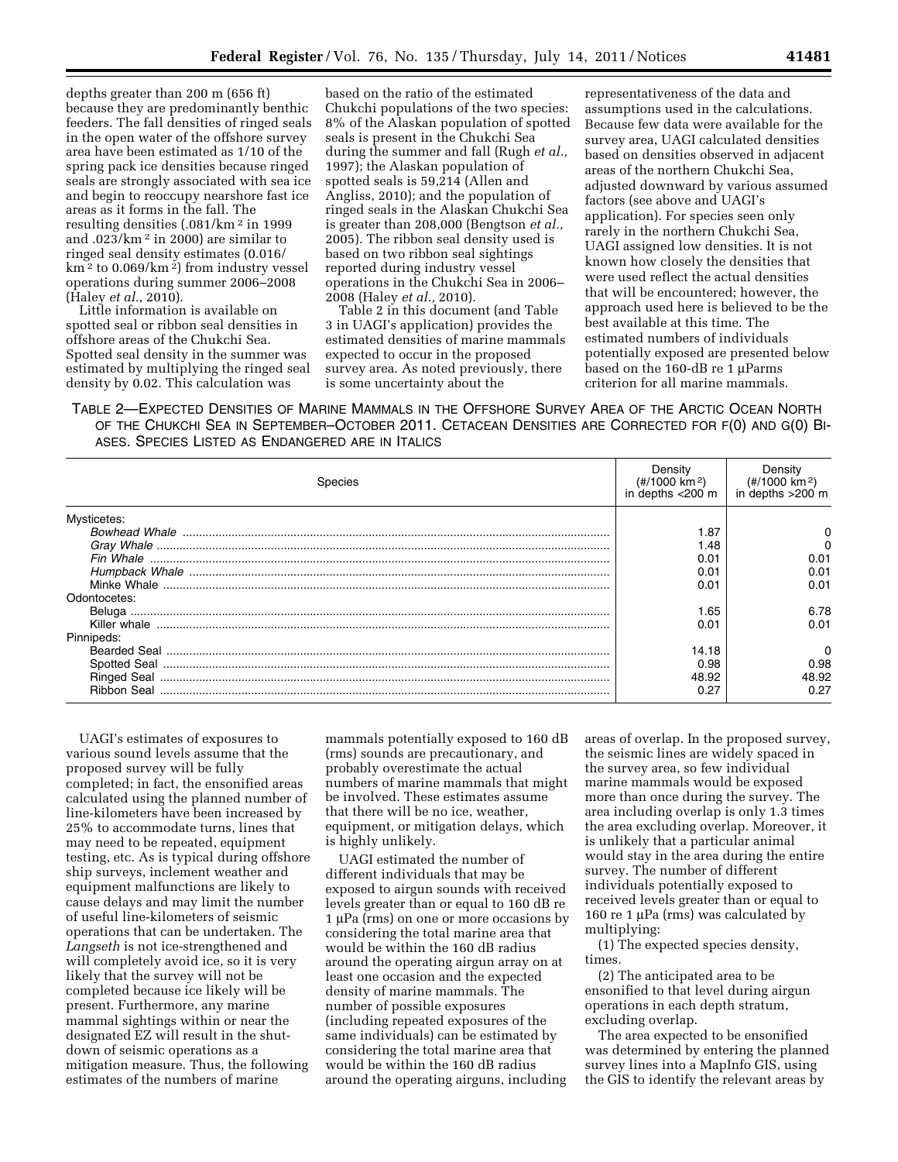depths greater than 200 m (656 ft) because they are predominantly benthic feeders. The fall densities of ringed seals in the open water of the offshore survey area have been estimated as 1/10 of the spring pack ice densities because ringed seals are strongly associated with sea ice and begin to reoccupy nearshore fast ice areas as it forms in the fall. The resulting densities (.081/km 2 in 1999 and .023/km 2 in 2000) are similar to ringed seal density estimates (0.016/  $km^2$  to 0.069/km<sup>2</sup>) from industry vessel operations during summer 2006–2008 (Haley *et al.*, 2010).

Little information is available on spotted seal or ribbon seal densities in offshore areas of the Chukchi Sea. Spotted seal density in the summer was estimated by multiplying the ringed seal density by 0.02. This calculation was

based on the ratio of the estimated Chukchi populations of the two species: 8% of the Alaskan population of spotted seals is present in the Chukchi Sea during the summer and fall (Rugh *et al.,*  1997); the Alaskan population of spotted seals is 59,214 (Allen and Angliss, 2010); and the population of ringed seals in the Alaskan Chukchi Sea is greater than 208,000 (Bengtson *et al.,*  2005). The ribbon seal density used is based on two ribbon seal sightings reported during industry vessel operations in the Chukchi Sea in 2006– 2008 (Haley *et al.,* 2010).

Table 2 in this document (and Table 3 in UAGI's application) provides the estimated densities of marine mammals expected to occur in the proposed survey area. As noted previously, there is some uncertainty about the

representativeness of the data and assumptions used in the calculations. Because few data were available for the survey area, UAGI calculated densities based on densities observed in adjacent areas of the northern Chukchi Sea, adjusted downward by various assumed factors (see above and UAGI's application). For species seen only rarely in the northern Chukchi Sea, UAGI assigned low densities. It is not known how closely the densities that were used reflect the actual densities that will be encountered; however, the approach used here is believed to be the best available at this time. The estimated numbers of individuals potentially exposed are presented below based on the 160-dB re 1 μParms criterion for all marine mammals.

TABLE 2—EXPECTED DENSITIES OF MARINE MAMMALS IN THE OFFSHORE SURVEY AREA OF THE ARCTIC OCEAN NORTH OF THE CHUKCHI SEA IN SEPTEMBER–OCTOBER 2011. CETACEAN DENSITIES ARE CORRECTED FOR F(0) AND G(0) BI-ASES. SPECIES LISTED AS ENDANGERED ARE IN ITALICS

| Species      | Density<br>(#/1000 km <sup>2</sup> )<br>in depths <200 m | Density<br>$(\frac{\text{#}}{1000 \text{ km}^2})$<br>$in$ depths $>200$ m |
|--------------|----------------------------------------------------------|---------------------------------------------------------------------------|
| Mysticetes:  |                                                          |                                                                           |
|              | 1.87                                                     |                                                                           |
|              | 1.48                                                     |                                                                           |
|              | 0.01                                                     | 0.01                                                                      |
|              | 0.01                                                     | 0.01                                                                      |
|              | 0.01                                                     | 0.01                                                                      |
| Odontocetes: |                                                          |                                                                           |
|              | 1.65                                                     | 6.78                                                                      |
|              | 0.01                                                     | 0.01                                                                      |
| Pinnipeds:   |                                                          |                                                                           |
|              | 14.18                                                    | n                                                                         |
|              | 0.98                                                     | 0.98                                                                      |
|              | 48.92                                                    | 48.92                                                                     |
| Ribbon Seal  | 0.27                                                     | 0.27                                                                      |

UAGI's estimates of exposures to various sound levels assume that the proposed survey will be fully completed; in fact, the ensonified areas calculated using the planned number of line-kilometers have been increased by 25% to accommodate turns, lines that may need to be repeated, equipment testing, etc. As is typical during offshore ship surveys, inclement weather and equipment malfunctions are likely to cause delays and may limit the number of useful line-kilometers of seismic operations that can be undertaken. The *Langseth* is not ice-strengthened and will completely avoid ice, so it is very likely that the survey will not be completed because ice likely will be present. Furthermore, any marine mammal sightings within or near the designated EZ will result in the shutdown of seismic operations as a mitigation measure. Thus, the following estimates of the numbers of marine

mammals potentially exposed to 160 dB (rms) sounds are precautionary, and probably overestimate the actual numbers of marine mammals that might be involved. These estimates assume that there will be no ice, weather, equipment, or mitigation delays, which is highly unlikely.

UAGI estimated the number of different individuals that may be exposed to airgun sounds with received levels greater than or equal to 160 dB re 1 μPa (rms) on one or more occasions by considering the total marine area that would be within the 160 dB radius around the operating airgun array on at least one occasion and the expected density of marine mammals. The number of possible exposures (including repeated exposures of the same individuals) can be estimated by considering the total marine area that would be within the 160 dB radius around the operating airguns, including

areas of overlap. In the proposed survey, the seismic lines are widely spaced in the survey area, so few individual marine mammals would be exposed more than once during the survey. The area including overlap is only 1.3 times the area excluding overlap. Moreover, it is unlikely that a particular animal would stay in the area during the entire survey. The number of different individuals potentially exposed to received levels greater than or equal to 160 re 1 μPa (rms) was calculated by multiplying:

(1) The expected species density, times.

(2) The anticipated area to be ensonified to that level during airgun operations in each depth stratum, excluding overlap.

The area expected to be ensonified was determined by entering the planned survey lines into a MapInfo GIS, using the GIS to identify the relevant areas by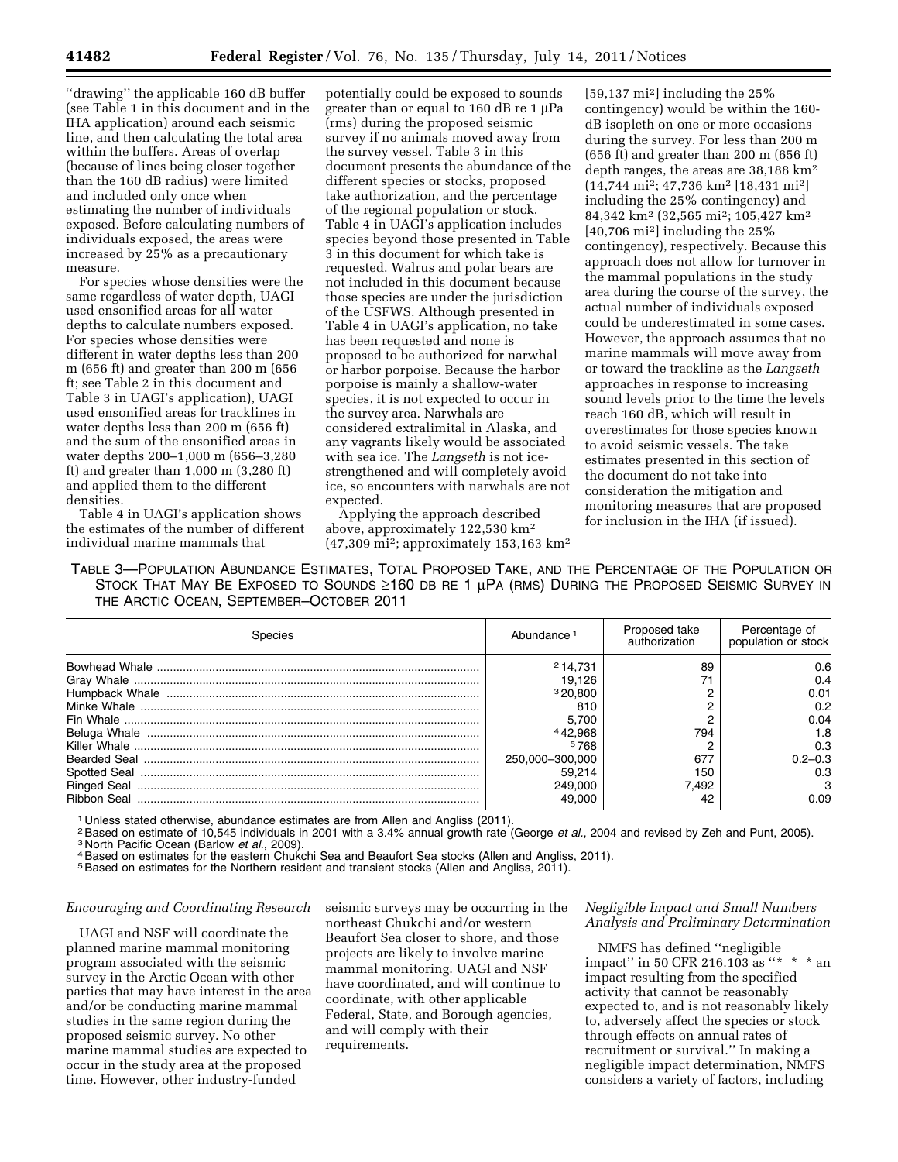''drawing'' the applicable 160 dB buffer (see Table 1 in this document and in the IHA application) around each seismic line, and then calculating the total area within the buffers. Areas of overlap (because of lines being closer together than the 160 dB radius) were limited and included only once when estimating the number of individuals exposed. Before calculating numbers of individuals exposed, the areas were increased by 25% as a precautionary measure.

For species whose densities were the same regardless of water depth, UAGI used ensonified areas for all water depths to calculate numbers exposed. For species whose densities were different in water depths less than 200 m (656 ft) and greater than 200 m (656 ft; see Table 2 in this document and Table 3 in UAGI's application), UAGI used ensonified areas for tracklines in water depths less than 200 m (656 ft) and the sum of the ensonified areas in water depths 200–1,000 m (656–3,280 ft) and greater than 1,000 m (3,280 ft) and applied them to the different densities.

Table 4 in UAGI's application shows the estimates of the number of different individual marine mammals that

potentially could be exposed to sounds greater than or equal to 160 dB re 1 μPa (rms) during the proposed seismic survey if no animals moved away from the survey vessel. Table 3 in this document presents the abundance of the different species or stocks, proposed take authorization, and the percentage of the regional population or stock. Table 4 in UAGI's application includes species beyond those presented in Table 3 in this document for which take is requested. Walrus and polar bears are not included in this document because those species are under the jurisdiction of the USFWS. Although presented in Table 4 in UAGI's application, no take has been requested and none is proposed to be authorized for narwhal or harbor porpoise. Because the harbor porpoise is mainly a shallow-water species, it is not expected to occur in the survey area. Narwhals are considered extralimital in Alaska, and any vagrants likely would be associated with sea ice. The *Langseth* is not icestrengthened and will completely avoid ice, so encounters with narwhals are not expected.

Applying the approach described above, approximately 122,530 km2 (47,309 mi2; approximately 153,163 km2

 $[59,137 \text{ mi}^2]$  including the 25% contingency) would be within the 160 dB isopleth on one or more occasions during the survey. For less than 200 m (656 ft) and greater than 200 m (656 ft) depth ranges, the areas are 38,188 km2 (14,744 mi2; 47,736 km2 [18,431 mi2] including the 25% contingency) and 84,342 km2 (32,565 mi2; 105,427 km2 [40,706 mi2] including the 25% contingency), respectively. Because this approach does not allow for turnover in the mammal populations in the study area during the course of the survey, the actual number of individuals exposed could be underestimated in some cases. However, the approach assumes that no marine mammals will move away from or toward the trackline as the *Langseth*  approaches in response to increasing sound levels prior to the time the levels reach 160 dB, which will result in overestimates for those species known to avoid seismic vessels. The take estimates presented in this section of the document do not take into consideration the mitigation and monitoring measures that are proposed for inclusion in the IHA (if issued).

TABLE 3—POPULATION ABUNDANCE ESTIMATES, TOTAL PROPOSED TAKE, AND THE PERCENTAGE OF THE POPULATION OR STOCK THAT MAY BE EXPOSED TO SOUNDS ≥160 DB RE 1 µPA (RMS) DURING THE PROPOSED SEISMIC SURVEY IN THE ARCTIC OCEAN, SEPTEMBER–OCTOBER 2011

| Species | Abundance       | Proposed take<br>authorization | Percentage of<br>population or stock |  |
|---------|-----------------|--------------------------------|--------------------------------------|--|
|         | 214.731         | 89                             | 0.6                                  |  |
|         | 19.126          |                                | 0.4                                  |  |
|         | 320.800         |                                | 0.01                                 |  |
|         | 810             |                                | 0.2                                  |  |
|         | 5.700           |                                | 0.04                                 |  |
|         | 442.968         | 794                            | 1.8                                  |  |
|         | 5768            |                                | 0.3                                  |  |
|         | 250,000-300,000 | 677                            | $0.2 - 0.3$                          |  |
|         | 59.214          | 150                            | 0.3                                  |  |
|         | 249,000         | 7.492                          |                                      |  |
|         | 49,000          |                                | 0.09                                 |  |

<sup>1</sup> Unless stated otherwise, abundance estimates are from Allen and Angliss (2011).<br><sup>2</sup> Based on estimate of 10,545 individuals in 2001 with a 3.4% annual growth rate (George *et al.*, 2004 and revised by Zeh and Punt, 200

<sup>4</sup> Based on estimates for the eastern Chukchi Sea and Beaufort Sea stocks (Allen and Angliss, 2011).<br><sup>5</sup> Based on estimates for the Northern resident and transient stocks (Allen and Angliss, 2011).

## *Encouraging and Coordinating Research*

UAGI and NSF will coordinate the planned marine mammal monitoring program associated with the seismic survey in the Arctic Ocean with other parties that may have interest in the area and/or be conducting marine mammal studies in the same region during the proposed seismic survey. No other marine mammal studies are expected to occur in the study area at the proposed time. However, other industry-funded

seismic surveys may be occurring in the northeast Chukchi and/or western Beaufort Sea closer to shore, and those projects are likely to involve marine mammal monitoring. UAGI and NSF have coordinated, and will continue to coordinate, with other applicable Federal, State, and Borough agencies, and will comply with their requirements.

## *Negligible Impact and Small Numbers Analysis and Preliminary Determination*

NMFS has defined ''negligible impact'' in 50 CFR 216.103 as ''\* \* \* an impact resulting from the specified activity that cannot be reasonably expected to, and is not reasonably likely to, adversely affect the species or stock through effects on annual rates of recruitment or survival.'' In making a negligible impact determination, NMFS considers a variety of factors, including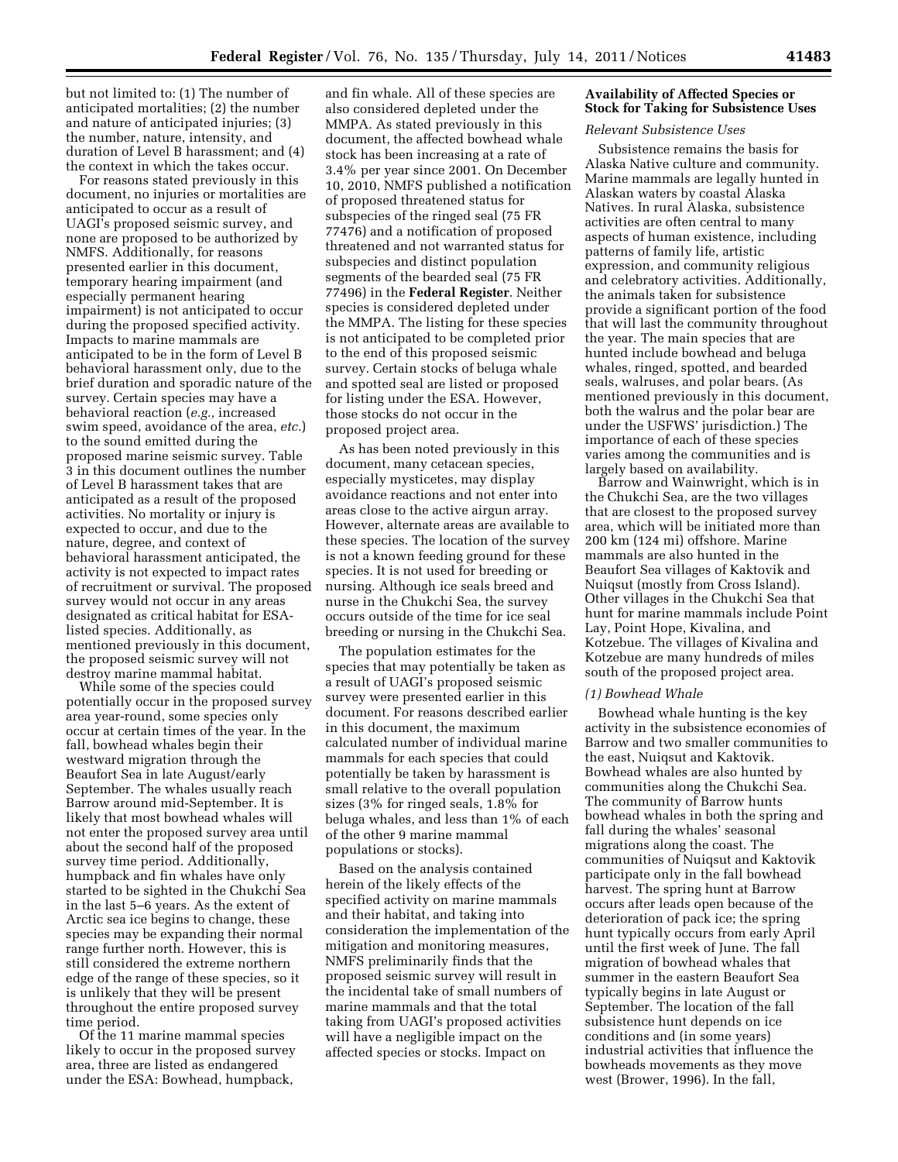but not limited to: (1) The number of anticipated mortalities; (2) the number and nature of anticipated injuries; (3) the number, nature, intensity, and duration of Level B harassment; and (4) the context in which the takes occur.

For reasons stated previously in this document, no injuries or mortalities are anticipated to occur as a result of UAGI's proposed seismic survey, and none are proposed to be authorized by NMFS. Additionally, for reasons presented earlier in this document, temporary hearing impairment (and especially permanent hearing impairment) is not anticipated to occur during the proposed specified activity. Impacts to marine mammals are anticipated to be in the form of Level B behavioral harassment only, due to the brief duration and sporadic nature of the survey. Certain species may have a behavioral reaction (*e.g.,* increased swim speed, avoidance of the area, *etc.*) to the sound emitted during the proposed marine seismic survey. Table 3 in this document outlines the number of Level B harassment takes that are anticipated as a result of the proposed activities. No mortality or injury is expected to occur, and due to the nature, degree, and context of behavioral harassment anticipated, the activity is not expected to impact rates of recruitment or survival. The proposed survey would not occur in any areas designated as critical habitat for ESAlisted species. Additionally, as mentioned previously in this document, the proposed seismic survey will not destroy marine mammal habitat.

While some of the species could potentially occur in the proposed survey area year-round, some species only occur at certain times of the year. In the fall, bowhead whales begin their westward migration through the Beaufort Sea in late August/early September. The whales usually reach Barrow around mid-September. It is likely that most bowhead whales will not enter the proposed survey area until about the second half of the proposed survey time period. Additionally, humpback and fin whales have only started to be sighted in the Chukchi Sea in the last 5–6 years. As the extent of Arctic sea ice begins to change, these species may be expanding their normal range further north. However, this is still considered the extreme northern edge of the range of these species, so it is unlikely that they will be present throughout the entire proposed survey time period.

Of the 11 marine mammal species likely to occur in the proposed survey area, three are listed as endangered under the ESA: Bowhead, humpback,

and fin whale. All of these species are also considered depleted under the MMPA. As stated previously in this document, the affected bowhead whale stock has been increasing at a rate of 3.4% per year since 2001. On December 10, 2010, NMFS published a notification of proposed threatened status for subspecies of the ringed seal (75 FR 77476) and a notification of proposed threatened and not warranted status for subspecies and distinct population segments of the bearded seal (75 FR 77496) in the **Federal Register**. Neither species is considered depleted under the MMPA. The listing for these species is not anticipated to be completed prior to the end of this proposed seismic survey. Certain stocks of beluga whale and spotted seal are listed or proposed for listing under the ESA. However, those stocks do not occur in the proposed project area.

As has been noted previously in this document, many cetacean species, especially mysticetes, may display avoidance reactions and not enter into areas close to the active airgun array. However, alternate areas are available to these species. The location of the survey is not a known feeding ground for these species. It is not used for breeding or nursing. Although ice seals breed and nurse in the Chukchi Sea, the survey occurs outside of the time for ice seal breeding or nursing in the Chukchi Sea.

The population estimates for the species that may potentially be taken as a result of UAGI's proposed seismic survey were presented earlier in this document. For reasons described earlier in this document, the maximum calculated number of individual marine mammals for each species that could potentially be taken by harassment is small relative to the overall population sizes (3% for ringed seals, 1.8% for beluga whales, and less than 1% of each of the other 9 marine mammal populations or stocks).

Based on the analysis contained herein of the likely effects of the specified activity on marine mammals and their habitat, and taking into consideration the implementation of the mitigation and monitoring measures, NMFS preliminarily finds that the proposed seismic survey will result in the incidental take of small numbers of marine mammals and that the total taking from UAGI's proposed activities will have a negligible impact on the affected species or stocks. Impact on

## **Availability of Affected Species or Stock for Taking for Subsistence Uses**

#### *Relevant Subsistence Uses*

Subsistence remains the basis for Alaska Native culture and community. Marine mammals are legally hunted in Alaskan waters by coastal Alaska Natives. In rural Alaska, subsistence activities are often central to many aspects of human existence, including patterns of family life, artistic expression, and community religious and celebratory activities. Additionally, the animals taken for subsistence provide a significant portion of the food that will last the community throughout the year. The main species that are hunted include bowhead and beluga whales, ringed, spotted, and bearded seals, walruses, and polar bears. (As mentioned previously in this document, both the walrus and the polar bear are under the USFWS' jurisdiction.) The importance of each of these species varies among the communities and is largely based on availability.

Barrow and Wainwright, which is in the Chukchi Sea, are the two villages that are closest to the proposed survey area, which will be initiated more than 200 km (124 mi) offshore. Marine mammals are also hunted in the Beaufort Sea villages of Kaktovik and Nuiqsut (mostly from Cross Island). Other villages in the Chukchi Sea that hunt for marine mammals include Point Lay, Point Hope, Kivalina, and Kotzebue. The villages of Kivalina and Kotzebue are many hundreds of miles south of the proposed project area.

### *(1) Bowhead Whale*

Bowhead whale hunting is the key activity in the subsistence economies of Barrow and two smaller communities to the east, Nuiqsut and Kaktovik. Bowhead whales are also hunted by communities along the Chukchi Sea. The community of Barrow hunts bowhead whales in both the spring and fall during the whales' seasonal migrations along the coast. The communities of Nuiqsut and Kaktovik participate only in the fall bowhead harvest. The spring hunt at Barrow occurs after leads open because of the deterioration of pack ice; the spring hunt typically occurs from early April until the first week of June. The fall migration of bowhead whales that summer in the eastern Beaufort Sea typically begins in late August or September. The location of the fall subsistence hunt depends on ice conditions and (in some years) industrial activities that influence the bowheads movements as they move west (Brower, 1996). In the fall,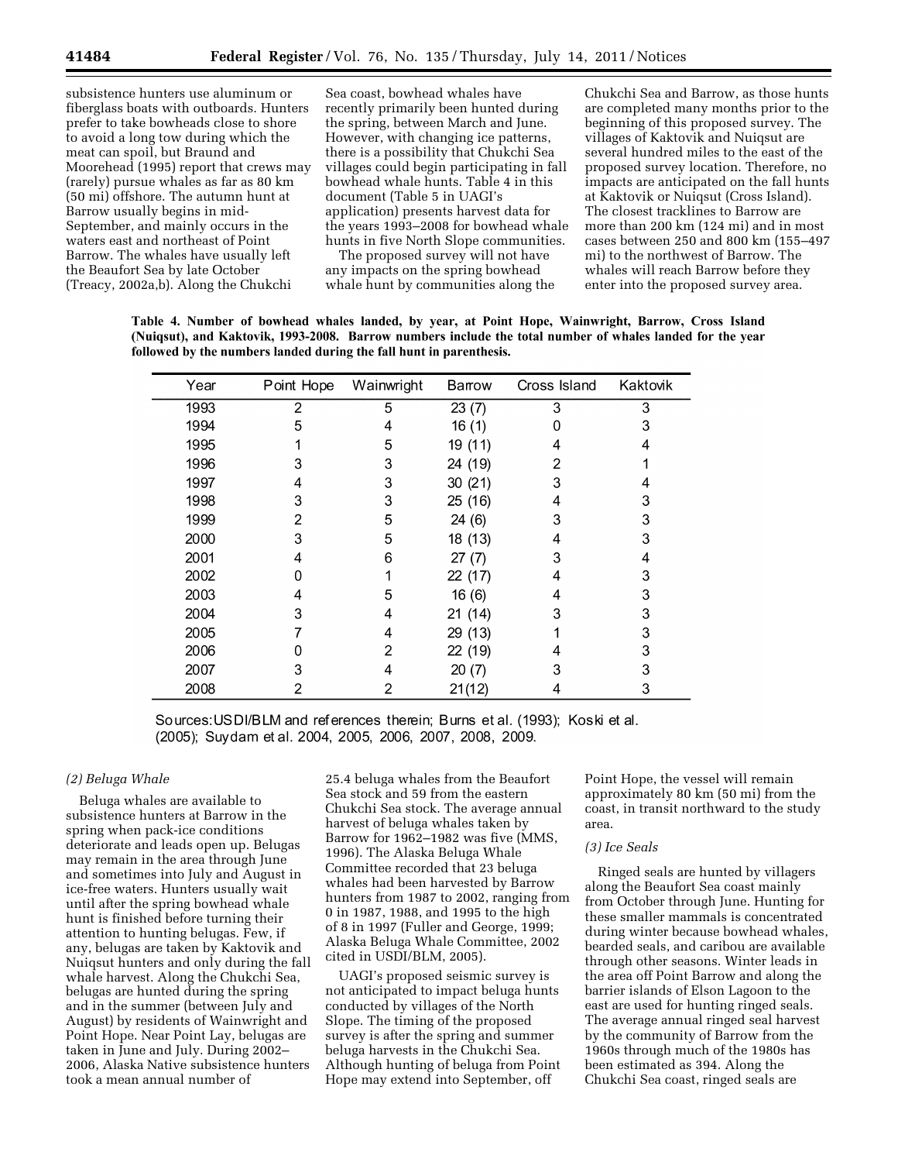subsistence hunters use aluminum or fiberglass boats with outboards. Hunters prefer to take bowheads close to shore to avoid a long tow during which the meat can spoil, but Braund and Moorehead (1995) report that crews may (rarely) pursue whales as far as 80 km (50 mi) offshore. The autumn hunt at Barrow usually begins in mid-September, and mainly occurs in the waters east and northeast of Point Barrow. The whales have usually left the Beaufort Sea by late October (Treacy, 2002a,b). Along the Chukchi

Sea coast, bowhead whales have recently primarily been hunted during the spring, between March and June. However, with changing ice patterns, there is a possibility that Chukchi Sea villages could begin participating in fall bowhead whale hunts. Table 4 in this document (Table 5 in UAGI's application) presents harvest data for the years 1993–2008 for bowhead whale hunts in five North Slope communities.

The proposed survey will not have any impacts on the spring bowhead whale hunt by communities along the Chukchi Sea and Barrow, as those hunts are completed many months prior to the beginning of this proposed survey. The villages of Kaktovik and Nuiqsut are several hundred miles to the east of the proposed survey location. Therefore, no impacts are anticipated on the fall hunts at Kaktovik or Nuiqsut (Cross Island). The closest tracklines to Barrow are more than 200 km (124 mi) and in most cases between 250 and 800 km (155–497 mi) to the northwest of Barrow. The whales will reach Barrow before they enter into the proposed survey area.

Table 4. Number of bowhead whales landed, by year, at Point Hope, Wainwright, Barrow, Cross Island (Nuiqsut), and Kaktovik, 1993-2008. Barrow numbers include the total number of whales landed for the year followed by the numbers landed during the fall hunt in parenthesis.

| Year | Point Hope | Wainwright | Barrow  | Cross Island | Kaktovik |
|------|------------|------------|---------|--------------|----------|
| 1993 | 2          | 5          | 23(7)   | 3            | 3        |
| 1994 | 5          | 4          | 16(1)   | 0            | 3        |
| 1995 |            | 5          | 19 (11) | 4            | 4        |
| 1996 | 3          | 3          | 24 (19) | 2            |          |
| 1997 | 4          | 3          | 30(21)  | 3            |          |
| 1998 | З          | 3          | 25 (16) | 4            | 3        |
| 1999 | 2          | 5          | 24(6)   | 3            | 3        |
| 2000 | 3          | 5          | 18 (13) | 4            | 3        |
| 2001 | 4          | 6          | 27(7)   | 3            | 4        |
| 2002 | 0          |            | 22 (17) | 4            | 3        |
| 2003 | 4          | 5          | 16(6)   | 4            | 3        |
| 2004 | 3          | 4          | 21 (14) | 3            | 3        |
| 2005 |            | 4          | 29 (13) |              | 3        |
| 2006 |            | 2          | 22 (19) | 4            | 3        |
| 2007 | 3          | 4          | 20(7)   | 3            | 3        |
| 2008 | 2          | 2          | 21(12)  | 4            | 3        |

Sources: USDI/BLM and references therein; Burns et al. (1993); Koski et al. (2005); Suydam et al. 2004, 2005, 2006, 2007, 2008, 2009.

## *(2) Beluga Whale*

Beluga whales are available to subsistence hunters at Barrow in the spring when pack-ice conditions deteriorate and leads open up. Belugas may remain in the area through June and sometimes into July and August in ice-free waters. Hunters usually wait until after the spring bowhead whale hunt is finished before turning their attention to hunting belugas. Few, if any, belugas are taken by Kaktovik and Nuiqsut hunters and only during the fall whale harvest. Along the Chukchi Sea, belugas are hunted during the spring and in the summer (between July and August) by residents of Wainwright and Point Hope. Near Point Lay, belugas are taken in June and July. During 2002– 2006, Alaska Native subsistence hunters took a mean annual number of

25.4 beluga whales from the Beaufort Sea stock and 59 from the eastern Chukchi Sea stock. The average annual harvest of beluga whales taken by Barrow for 1962–1982 was five (MMS, 1996). The Alaska Beluga Whale Committee recorded that 23 beluga whales had been harvested by Barrow hunters from 1987 to 2002, ranging from 0 in 1987, 1988, and 1995 to the high of 8 in 1997 (Fuller and George, 1999; Alaska Beluga Whale Committee, 2002 cited in USDI/BLM, 2005).

UAGI's proposed seismic survey is not anticipated to impact beluga hunts conducted by villages of the North Slope. The timing of the proposed survey is after the spring and summer beluga harvests in the Chukchi Sea. Although hunting of beluga from Point Hope may extend into September, off

Point Hope, the vessel will remain approximately 80 km (50 mi) from the coast, in transit northward to the study area.

#### *(3) Ice Seals*

Ringed seals are hunted by villagers along the Beaufort Sea coast mainly from October through June. Hunting for these smaller mammals is concentrated during winter because bowhead whales, bearded seals, and caribou are available through other seasons. Winter leads in the area off Point Barrow and along the barrier islands of Elson Lagoon to the east are used for hunting ringed seals. The average annual ringed seal harvest by the community of Barrow from the 1960s through much of the 1980s has been estimated as 394. Along the Chukchi Sea coast, ringed seals are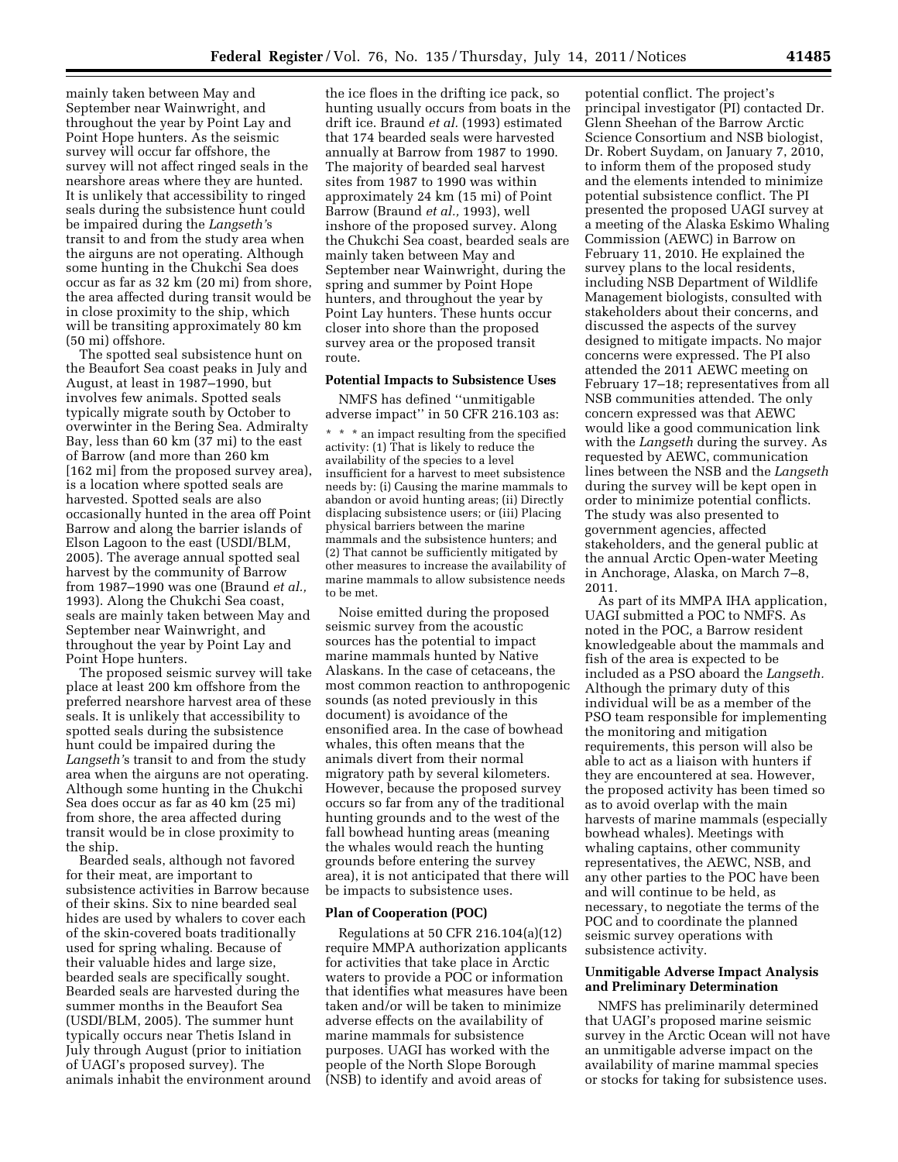mainly taken between May and September near Wainwright, and throughout the year by Point Lay and Point Hope hunters. As the seismic survey will occur far offshore, the survey will not affect ringed seals in the nearshore areas where they are hunted. It is unlikely that accessibility to ringed seals during the subsistence hunt could be impaired during the *Langseth'*s transit to and from the study area when the airguns are not operating. Although some hunting in the Chukchi Sea does occur as far as 32 km (20 mi) from shore, the area affected during transit would be in close proximity to the ship, which will be transiting approximately 80 km (50 mi) offshore.

The spotted seal subsistence hunt on the Beaufort Sea coast peaks in July and August, at least in 1987–1990, but involves few animals. Spotted seals typically migrate south by October to overwinter in the Bering Sea. Admiralty Bay, less than 60 km (37 mi) to the east of Barrow (and more than 260 km [162 mi] from the proposed survey area), is a location where spotted seals are harvested. Spotted seals are also occasionally hunted in the area off Point Barrow and along the barrier islands of Elson Lagoon to the east (USDI/BLM, 2005). The average annual spotted seal harvest by the community of Barrow from 1987–1990 was one (Braund *et al.,*  1993). Along the Chukchi Sea coast, seals are mainly taken between May and September near Wainwright, and throughout the year by Point Lay and Point Hope hunters.

The proposed seismic survey will take place at least 200 km offshore from the preferred nearshore harvest area of these seals. It is unlikely that accessibility to spotted seals during the subsistence hunt could be impaired during the *Langseth'*s transit to and from the study area when the airguns are not operating. Although some hunting in the Chukchi Sea does occur as far as 40 km (25 mi) from shore, the area affected during transit would be in close proximity to the ship.

Bearded seals, although not favored for their meat, are important to subsistence activities in Barrow because of their skins. Six to nine bearded seal hides are used by whalers to cover each of the skin-covered boats traditionally used for spring whaling. Because of their valuable hides and large size, bearded seals are specifically sought. Bearded seals are harvested during the summer months in the Beaufort Sea (USDI/BLM, 2005). The summer hunt typically occurs near Thetis Island in July through August (prior to initiation of UAGI's proposed survey). The animals inhabit the environment around

the ice floes in the drifting ice pack, so hunting usually occurs from boats in the drift ice. Braund *et al.* (1993) estimated that 174 bearded seals were harvested annually at Barrow from 1987 to 1990. The majority of bearded seal harvest sites from 1987 to 1990 was within approximately 24 km (15 mi) of Point Barrow (Braund *et al.,* 1993), well inshore of the proposed survey. Along the Chukchi Sea coast, bearded seals are mainly taken between May and September near Wainwright, during the spring and summer by Point Hope hunters, and throughout the year by Point Lay hunters. These hunts occur closer into shore than the proposed survey area or the proposed transit route.

## **Potential Impacts to Subsistence Uses**

NMFS has defined ''unmitigable adverse impact'' in 50 CFR 216.103 as:

\* \* \* an impact resulting from the specified activity: (1) That is likely to reduce the availability of the species to a level insufficient for a harvest to meet subsistence needs by: (i) Causing the marine mammals to abandon or avoid hunting areas; (ii) Directly displacing subsistence users; or (iii) Placing physical barriers between the marine mammals and the subsistence hunters; and (2) That cannot be sufficiently mitigated by other measures to increase the availability of marine mammals to allow subsistence needs to be met.

Noise emitted during the proposed seismic survey from the acoustic sources has the potential to impact marine mammals hunted by Native Alaskans. In the case of cetaceans, the most common reaction to anthropogenic sounds (as noted previously in this document) is avoidance of the ensonified area. In the case of bowhead whales, this often means that the animals divert from their normal migratory path by several kilometers. However, because the proposed survey occurs so far from any of the traditional hunting grounds and to the west of the fall bowhead hunting areas (meaning the whales would reach the hunting grounds before entering the survey area), it is not anticipated that there will be impacts to subsistence uses.

### **Plan of Cooperation (POC)**

Regulations at 50 CFR 216.104(a)(12) require MMPA authorization applicants for activities that take place in Arctic waters to provide a POC or information that identifies what measures have been taken and/or will be taken to minimize adverse effects on the availability of marine mammals for subsistence purposes. UAGI has worked with the people of the North Slope Borough (NSB) to identify and avoid areas of

potential conflict. The project's principal investigator (PI) contacted Dr. Glenn Sheehan of the Barrow Arctic Science Consortium and NSB biologist, Dr. Robert Suydam, on January 7, 2010, to inform them of the proposed study and the elements intended to minimize potential subsistence conflict. The PI presented the proposed UAGI survey at a meeting of the Alaska Eskimo Whaling Commission (AEWC) in Barrow on February 11, 2010. He explained the survey plans to the local residents, including NSB Department of Wildlife Management biologists, consulted with stakeholders about their concerns, and discussed the aspects of the survey designed to mitigate impacts. No major concerns were expressed. The PI also attended the 2011 AEWC meeting on February 17–18; representatives from all NSB communities attended. The only concern expressed was that AEWC would like a good communication link with the *Langseth* during the survey. As requested by AEWC, communication lines between the NSB and the *Langseth*  during the survey will be kept open in order to minimize potential conflicts. The study was also presented to government agencies, affected stakeholders, and the general public at the annual Arctic Open-water Meeting in Anchorage, Alaska, on March 7–8, 2011.

As part of its MMPA IHA application, UAGI submitted a POC to NMFS. As noted in the POC, a Barrow resident knowledgeable about the mammals and fish of the area is expected to be included as a PSO aboard the *Langseth.*  Although the primary duty of this individual will be as a member of the PSO team responsible for implementing the monitoring and mitigation requirements, this person will also be able to act as a liaison with hunters if they are encountered at sea. However, the proposed activity has been timed so as to avoid overlap with the main harvests of marine mammals (especially bowhead whales). Meetings with whaling captains, other community representatives, the AEWC, NSB, and any other parties to the POC have been and will continue to be held, as necessary, to negotiate the terms of the POC and to coordinate the planned seismic survey operations with subsistence activity.

## **Unmitigable Adverse Impact Analysis and Preliminary Determination**

NMFS has preliminarily determined that UAGI's proposed marine seismic survey in the Arctic Ocean will not have an unmitigable adverse impact on the availability of marine mammal species or stocks for taking for subsistence uses.